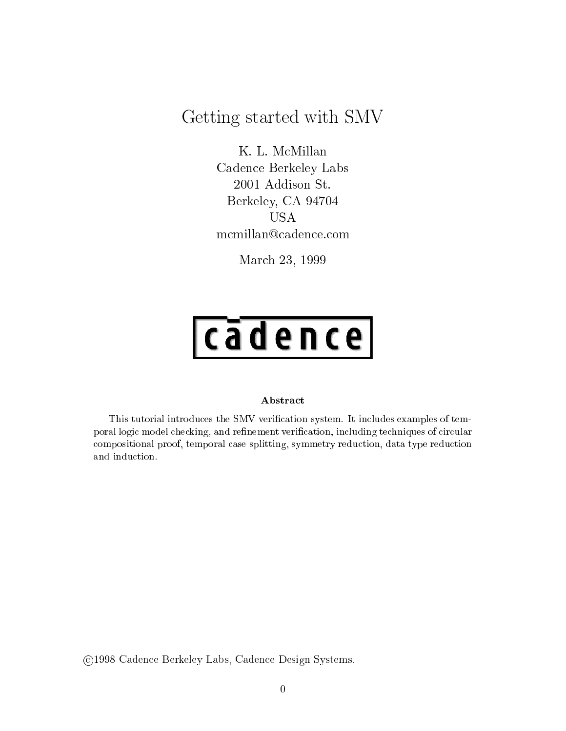# $\sim$  started with SMV started with SMV started with SMV started with SMV started with SMV started with SMV started with SMV started with  $\sim$

K. L. McMillan Cadence Berkeley Labs 2001 Addison St. Berkeley, CA 94704 USA mcmillan@cadence.com

March 23, 1999

# $|$ cādence $|$

#### Abstract

This tutorial introduces the SMV verication system. It includes examples of temporal logic model checking, and renement verication, including techniques of circular compositional proof, temporal case splitting, symmetry reduction, data type reduction

c 1998 Cadence Berkeley Labs, Cadence Design Systems.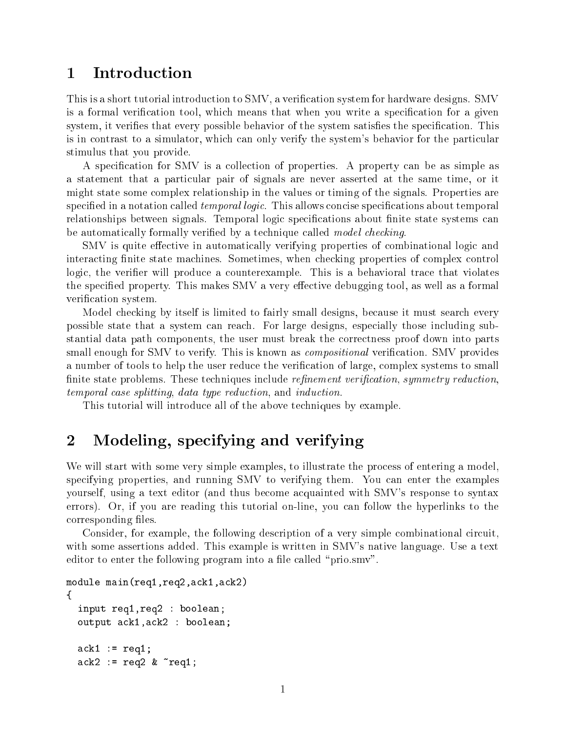## Introduction

This is a short tutorial introduction to SMV, a verication system for hardware designs. SMV is a formal verification tool, which means that when you write a specification for a given system, it verifies that every possible behavior of the system satisfies the specification. This is in contrast to a simulator, which can only verify the system's behavior for the particular stimulus that you provide.

A specification for SMV is a collection of properties. A property can be as simple as a statement that a particular pair of signals are never asserted at the same time, or it might state some complex relationship in the values or timing of the signals. Properties are specified in a notation called *temporal logic*. This allows concise specifications about temporal relationships between signals. Temporal logic specifications about finite state systems can be automatically formally verified by a technique called *model checking*.

SMV is quite effective in automatically verifying properties of combinational logic and interacting finite state machines. Sometimes, when checking properties of complex control logic, the verifier will produce a counterexample. This is a behavioral trace that violates the specified property. This makes SMV a very effective debugging tool, as well as a formal verification system.

Model checking by itself is limited to fairly small designs, because it must search every possible state that a system can reach. For large designs, especially those including substantial data path components, the user must break the correctness proof down into parts small enough for SMV to verify. This is known as *compositional* verification. SMV provides a number of tools to help the user reduce the verication of large, complex systems to small finite state problems. These techniques include *refinement verification*, symmetry reduction, temporal case splitting, data type reduction, and induction.

This tutorial will introduce all of the above techniques by example.

#### 2Modeling, specifying and verifying

We will start with some very simple examples, to illustrate the process of entering a model. specifying properties, and running SMV to verifying them. You can enter the examples yourself, using a text editor (and thus become acquainted with SMV's response to syntax errors). Or, if you are reading this tutorial on-line, you can follow the hyperlinks to the corresponding files.

Consider, for example, the following description of a very simple combinational circuit, with some assertions added. This example is written in SMV's native language. Use a text editor to enter the following program into a file called "prio.smv".

```
module main(req1,req2,ack1,ack2)
\mathcal{L}input req1,req2 : boolean;
  output ack1,ack2 : boolean;
  ack1 := \text{req1};ack2 := req2 & k \text{ 'req1;}
```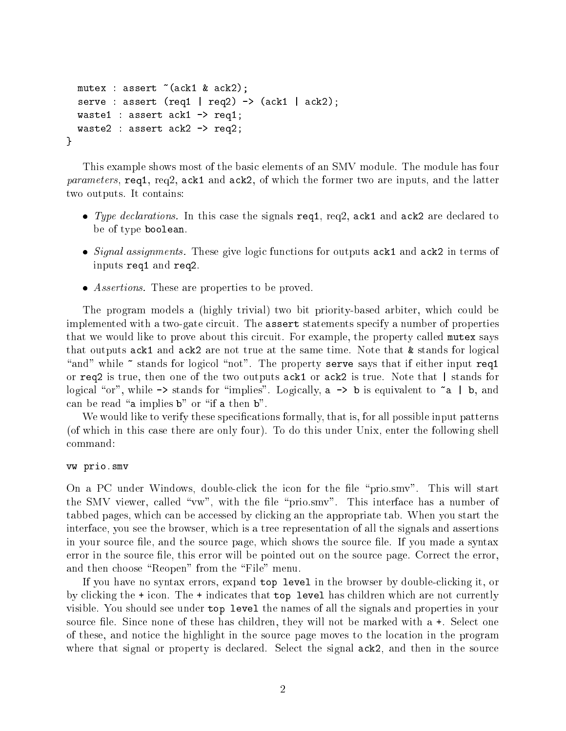```
mutex : assert \tilde{c} (ack1 & ack2);
  serve : assert (req1 | req2) \rightarrow (ack1 | ack2);
  waste1 : assert ack1 -> req1;
  waste2 : assert ack2 -> req2;
}
```
This example shows most of the basic elements of an SMV module. The module has four parameters, req1, req2, ack1 and ack2, of which the former two are inputs, and the latter two outputs. It contains:

- Type declarations. In this case the signals req1, req2, ack1 and ack2 are declared to be of type boolean.
- Signal assignments. These give logic functions for outputs ack1 and ack2 in terms of inputs req1 and req2.
- Assertions. These are properties to be proved.

The program models a (highly trivial) two bit priority-based arbiter, which could be implemented with a two-gate circuit. The assert statements specify a number of properties that we would like to prove about this circuit. For example, the property called mutex says that outputs ack1 and ack2 are not true at the same time. Note that & stands for logical "and" while  $\tilde{\phantom{a}}$  stands for logicol "not". The property serve says that if either input req1 or req2 is true, then one of the two outputs ack1 or ack2 is true. Note that | stands for logical "or", while  $\rightarrow$  stands for "implies". Logically, a  $\rightarrow$  b is equivalent to  $\tilde{a}$  | b, and can be read "a implies  $b$ " or "if a then  $b$ ".

We would like to verify these specifications formally, that is, for all possible input patterns (of which in this case there are only four). To do this under Unix, enter the following shell command:

#### vw prio.smv

On a PC under Windows, double-click the icon for the file "prio.smv". This will start the SMV viewer, called "vw", with the file "prio.smv". This interface has a number of tabbed pages, which can be accessed by clicking an the appropriate tab. When you start the interface, you see the browser, which is a tree representation of all the signals and assertions in your source file, and the source page, which shows the source file. If you made a syntax error in the source file, this error will be pointed out on the source page. Correct the error, and then choose "Reopen" from the "File" menu.

If you have no syntax errors, expand top level in the browser by double-clicking it, or by clicking the + icon. The + indicates that top level has children which are not currently visible. You should see under top level the names of all the signals and properties in your source file. Since none of these has children, they will not be marked with  $a +$ . Select one of these, and notice the highlight in the source page moves to the location in the program where that signal or property is declared. Select the signal  $ack2$ , and then in the source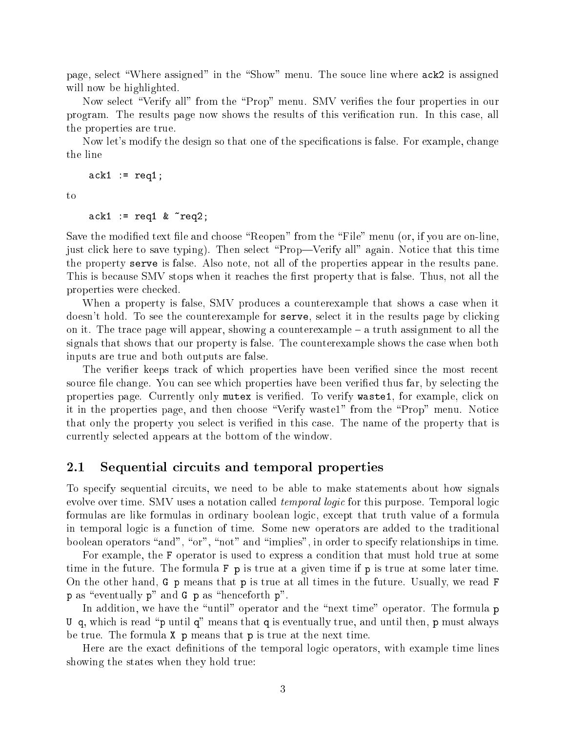page, select "Where assigned" in the "Show" menu. The souce line where  $ack2$  is assigned will now be highlighted.

Now select "Verify all" from the "Prop" menu. SMV verifies the four properties in our program. The results page now shows the results of this verication run. In this case, all the properties are true.

Now let's modify the design so that one of the specifications is false. For example, change the line

 $ack1 := req1;$ 

to

 $ack1 := \text{req1 } \& \text{ \texttt{req2}}$ ;

Save the modified text file and choose "Reopen" from the "File" menu (or, if you are on-line, just click here to save typing). Then select "Prop—Verify all" again. Notice that this time the property serve is false. Also note, not all of the properties appear in the results pane. This is because SMV stops when it reaches the first property that is false. Thus, not all the properties were checked.

When a property is false, SMV produces a counterexample that shows a case when it doesn't hold. To see the counterexample for serve, select it in the results page by clicking on it. The trace page will appear, showing a counterexample  $-$  a truth assignment to all the signals that shows that our property is false. The counterexample shows the case when both inputs are true and both outputs are false.

The verifier keeps track of which properties have been verified since the most recent source file change. You can see which properties have been verified thus far, by selecting the properties page. Currently only mutex is verified. To verify waste1, for example, click on it in the properties page, and then choose \Verify waste1" from the \Prop" menu. Notice that only the property you select is veried in this case. The name of the property that is currently selected appears at the bottom of the window.

## 2.1 Sequential circuits and temporal properties

To specify sequential circuits, we need to be able to make statements about how signals evolve over time. SMV uses a notation called *temporal logic* for this purpose. Temporal logic formulas are like formulas in ordinary boolean logic, except that truth value of a formula in temporal logic is a function of time. Some new operators are added to the traditional boolean operators "and", "or", "not" and "implies", in order to specify relationships in time.

For example, the F operator is used to express a condition that must hold true at some time in the future. The formula F p is true at a given time if p is true at some later time. On the other hand, G p means that p is true at all times in the future. Usually, we read F  $p$  as "eventually  $p$ " and  $G$   $p$  as "henceforth  $p$ ".

In addition, we have the "until" operator and the "next time" operator. The formula p U q, which is read "p until q" means that q is eventually true, and until then, p must always be true. The formula **X p** means that **p** is true at the next time.

Here are the exact definitions of the temporal logic operators, with example time lines showing the states when they hold true: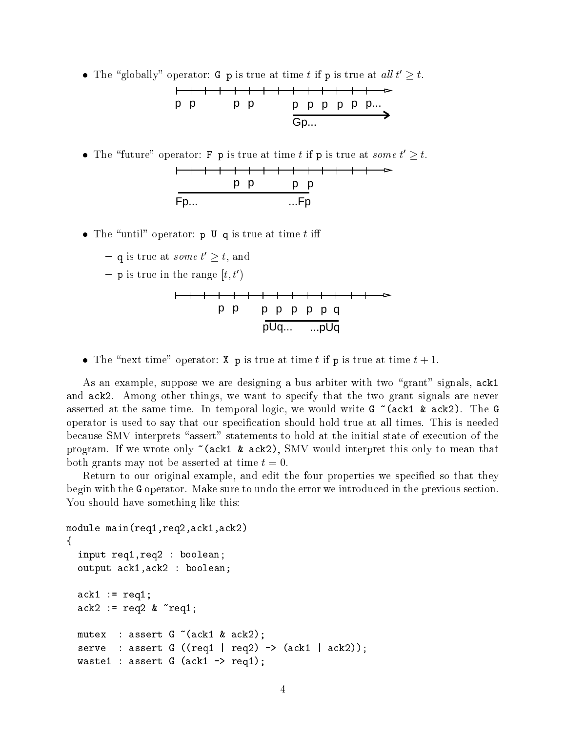**•** The globally operator: G p is true at time t if p is true at  $a u t t \geq t$ .

$$
\begin{array}{cccc}\n\uparrow & \uparrow & \uparrow & \uparrow & \uparrow & \uparrow & \uparrow & \uparrow & \uparrow & \uparrow & \uparrow & \uparrow & \uparrow & \uparrow & \uparrow & \uparrow & \uparrow & \uparrow & \uparrow & \uparrow & \uparrow & \uparrow & \uparrow & \uparrow & \uparrow & \uparrow & \uparrow & \uparrow & \uparrow & \uparrow & \uparrow & \uparrow & \uparrow & \uparrow & \uparrow & \uparrow & \uparrow & \uparrow & \uparrow & \uparrow & \uparrow & \uparrow & \uparrow & \uparrow & \uparrow & \uparrow & \uparrow & \uparrow & \uparrow & \uparrow & \uparrow & \uparrow & \uparrow & \uparrow & \uparrow & \uparrow & \uparrow & \uparrow & \uparrow & \uparrow & \uparrow & \uparrow & \uparrow & \uparrow & \uparrow & \uparrow & \uparrow & \uparrow & \uparrow & \uparrow & \uparrow & \uparrow & \uparrow & \uparrow & \uparrow & \uparrow & \uparrow & \uparrow & \uparrow & \uparrow & \uparrow & \uparrow & \uparrow & \uparrow & \uparrow & \uparrow & \uparrow & \uparrow & \uparrow & \uparrow & \uparrow & \uparrow & \uparrow & \uparrow & \uparrow & \uparrow & \uparrow & \uparrow & \uparrow & \uparrow & \uparrow & \uparrow & \uparrow & \uparrow & \uparrow & \uparrow & \uparrow & \uparrow & \uparrow & \uparrow & \uparrow & \uparrow & \uparrow & \uparrow & \uparrow & \uparrow & \uparrow & \uparrow & \uparrow & \uparrow & \uparrow & \uparrow & \uparrow & \uparrow & \uparrow & \up
$$

**•** The future operator: **F** p is true at time t if p is true at *some t*  $\geq t$ . p p p p Fp... ...Fp

- The \until" operator: p U q is true at time <sup>t</sup> i
	- $-$  q is true at *some t*  $\geq$  *t*, and
	- $-$  p is true in the range  $[t, t]$



The time time operators: X p is true at time to time to the p is true at time t  $+$ 

As an example, suppose we are designing a bus arbiter with two "grant" signals, ack1 and ack2. Among other things, we want to specify that the two grant signals are never asserted at the same time. In temporal logic, we would write G ~(ack1 & ack2). The G operator is used to say that our specification should hold true at all times. This is needed because SMV interprets "assert" statements to hold at the initial state of execution of the program. If we wrote only  $\tilde{\ }$  (ack1 & ack2), SMV would interpret this only to mean that both grants may not be asserted at time  $t = 0$ .

Return to our original example, and edit the four properties we specified so that they begin with the G operator. Make sure to undo the error we introduced in the previous section. You should have something like this:

```
module main(req1,req2,ack1,ack2)
{
  input req1,req2 : boolean;
  output ack1,ack2 : boolean;
  ack1 := \text{req1};ack2 := req2 & x \text{ } 'req1;mutex : assert G^{\sim} (ack1 & ack2);
  serve : assert G ((req1 | req2) \rightarrow (ack1 | ack2));waste1 : assert G (ack1 -> req1);
```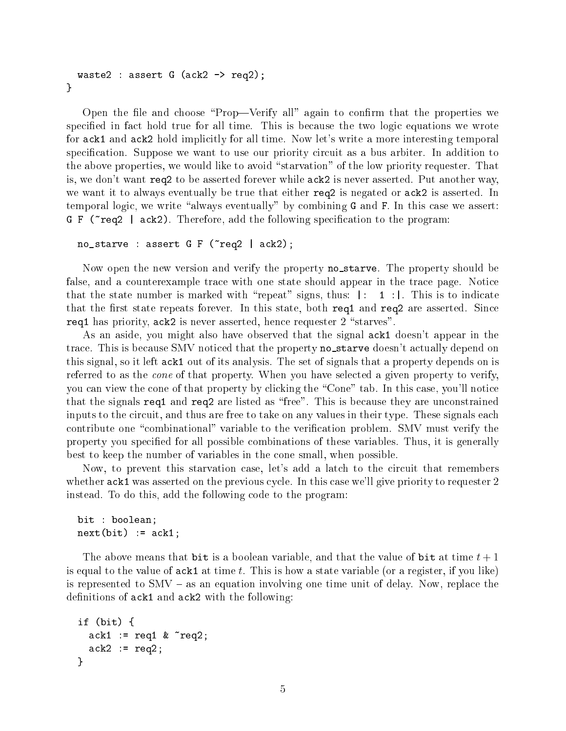```
waste2 : assert G (ack2 \rightarrow req2);
\mathcal{L}}
```
Open the file and choose "Prop—Verify all" again to confirm that the properties we specified in fact hold true for all time. This is because the two logic equations we wrote for ack1 and ack2 hold implicitly for all time. Now let's write a more interesting temporal specification. Suppose we want to use our priority circuit as a bus arbiter. In addition to the above properties, we would like to avoid "starvation" of the low priority requester. That is, we don't want req2 to be asserted forever while ack2 is never asserted. Put another way, we want it to always eventually be true that either req2 is negated or ack2 is asserted. In temporal logic, we write "always eventually" by combining  $G$  and  $F$ . In this case we assert: G F ( $\tau$ eq2 | ack2). Therefore, add the following specification to the program:

```
no\_starve : assert G F (req2 | ack2);
```
Now open the new version and verify the property no\_starve. The property should be false, and a counterexample trace with one state should appear in the trace page. Notice that the state number is marked with "repeat" signs, thus:  $|: 1 :|$ . This is to indicate that the first state repeats forever. In this state, both req1 and req2 are asserted. Since req1 has priority,  $ack2$  is never asserted, hence requester  $2$  "starves".

As an aside, you might also have observed that the signal ack1 doesn't appear in the trace. This is because SMV noticed that the property no starve doesn't actually depend on this signal, so it left ack1 out of its analysis. The set of signals that a property depends on is referred to as the cone of that property. When you have selected a given property to verify, you can view the cone of that property by clicking the \Cone" tab. In this case, you'll notice that the signals req1 and req2 are listed as \free". This is because they are unconstrained inputs to the circuit, and thus are free to take on any values in their type. These signals each contribute one "combinational" variable to the verification problem. SMV must verify the property you specied for all possible combinations of these variables. Thus, it is generally best to keep the number of variables in the cone small, when possible.

Now, to prevent this starvation case, let's add a latch to the circuit that remembers whether ack1 was asserted on the previous cycle. In this case we'll give priority to requester 2 instead. To do this, add the following code to the program:

```
bit : boolean;
next(bit) := ack1;
```
The above means that bit is a boolean variable, and that the value of bit at time  $t + 1$ is equal to the value of  $ack1$  at time t. This is how a state variable (or a register, if you like) is represented to  $\text{SMV}$  – as an equation involving one time unit of delay. Now, replace the definitions of  $ack1$  and  $ack2$  with the following:

```
if (bit) {
  ack1 := req1 & x \text{ } "req2;ack2 := req2;}
```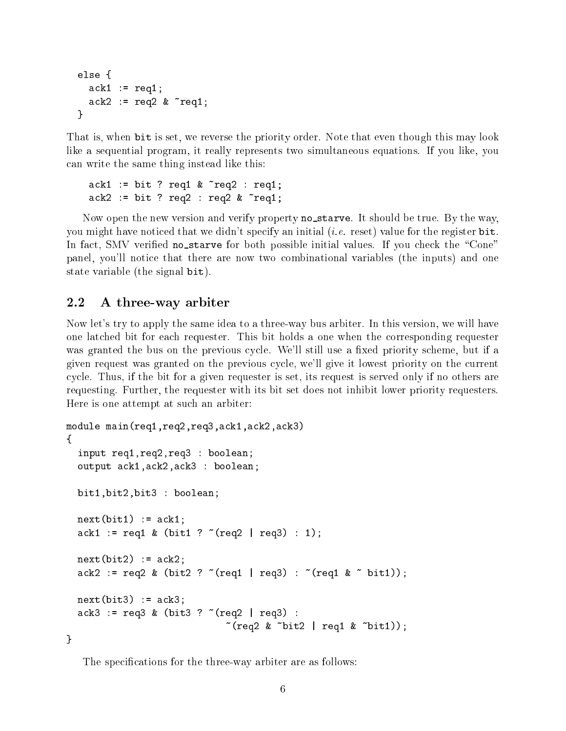```
else {
   ack1 := \text{req1};ack2 := req2 & x \text{ } "req1;}
```
That is, when bit is set, we reverse the priority order. Note that even though this may look like a sequential program, it really represents two simultaneous equations. If you like, you can write the same thing instead like this:

```
ack1 := bit ? \text{req1} \& \text{req2} : req1;ack2 := bit ? \text{req2 : req2 & req1};
```
Now open the new version and verify property no\_starve. It should be true. By the way, you might have noticed that we didn't specify an initial (*i.e.* reset) value for the register  $bit$ . In fact, SMV verified no\_starve for both possible initial values. If you check the "Cone" panel, you'll notice that there are now two combinational variables (the inputs) and one state variable (the signal bit).

## 2.2 A three-way arbiter

Now let's try to apply the same idea to a three-way bus arbiter. In this version, we will have one latched bit for each requester. This bit holds a one when the corresponding requester was granted the bus on the previous cycle. We'll still use a fixed priority scheme, but if a given request was granted on the previous cycle, we'll give it lowest priority on the current cycle. Thus, if the bit for a given requester is set, its request is served only if no others are requesting. Further, the requester with its bit set does not inhibit lower priority requesters. Here is one attempt at such an arbiter:

```
module main(req1,req2,req3,ack1,ack2,ack3)
{
  input req1,req2,req3 : boolean;
  output ack1,ack2,ack3 : boolean;
  bit1,bit2,bit3 : boolean;
  next(bit) := ack1;ack1 := req1 \& (bit1 ? ^ (req2 | req3) : 1);next(bit2) := ack2;ack2 := req2 \& (bit2 ? ^ (req1 | req3) : ^ (req1 \& ^ ) bit1));next(bit3) := ack3;ack3 := req3 \& (bits3 ? (req2 | req3) :\tilde{c} (req2 & \tilde{b} bit2 | req1 & \tilde{c} bit1));
}
```
The specifications for the three-way arbiter are as follows: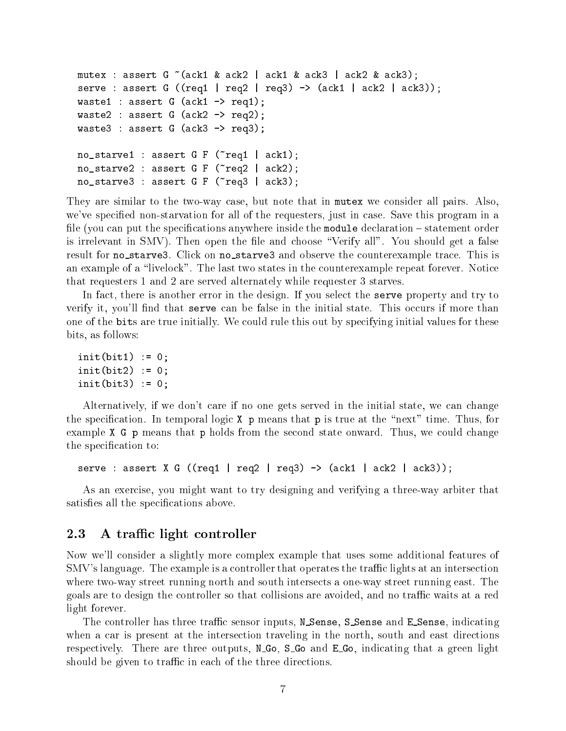```
mutex : assert G^{\sim} (ack1 & ack2 | ack1 & ack3 | ack2 & ack3);
serve : assert G ((req1 | req2 | req3) \rightarrow (ack 1 | ack2 | ack3));waste1 : assert G (ack1 -> req1);
waste2 : assert G (ack2 \rightarrow req2);
waste3 : assert G (ack3 \rightarrow req3);
no\_starve1 : assert G F (req1 | ack1);
no\_starve2 : assert G F (req2 | ack2);
no_starve3 : assert G F (~req3 | ack3);
```
They are similar to the two-way case, but note that in mutex we consider all pairs. Also, we've specied non-starvation for all of the requesters, just in case. Save this program in a file (you can put the specifications anywhere inside the module declaration – statement order is irrelevant in SMV). Then open the file and choose "Verify all". You should get a false result for no\_starve3. Click on no\_starve3 and observe the counterexample trace. This is an example of a "livelock". The last two states in the counterexample repeat forever. Notice that requesters 1 and 2 are served alternately while requester 3 starves.

In fact, there is another error in the design. If you select the serve property and try to verify it, you'll find that serve can be false in the initial state. This occurs if more than one of the bits are true initially. We could rule this out by specifying initial values for these bits, as follows:

```
init(bit1) := 0;init(bit2) := 0;init(bit3) := 0;
```
Alternatively, if we don't care if no one gets served in the initial state, we can change the specification. In temporal logic  $X$  p means that p is true at the "next" time. Thus, for example X G p means that p holds from the second state onward. Thus, we could change the specification to:

serve : assert X G ((req1 | req2 | req3)  $\rightarrow$  (ack1 | ack2 | ack3));

As an exercise, you might want to try designing and verifying a three-way arbiter that satisfies all the specifications above.

#### 2.3 A traffic light controller

Now we'll consider a slightly more complex example that uses some additional features of SMV's language. The example is a controller that operates the traffic lights at an intersection where two-way street running north and south intersects a one-way street running east. The goals are to design the controller so that collisions are avoided, and no traffic waits at a red light forever.

The controller has three traffic sensor inputs, N\_Sense, S\_Sense and E\_Sense, indicating when a car is present at the intersection traveling in the north, south and east directions respectively. There are three outputs, N<sub>-Go</sub>, S<sub>-Go</sub> and E<sub>-Go</sub>, indicating that a green light should be given to traffic in each of the three directions.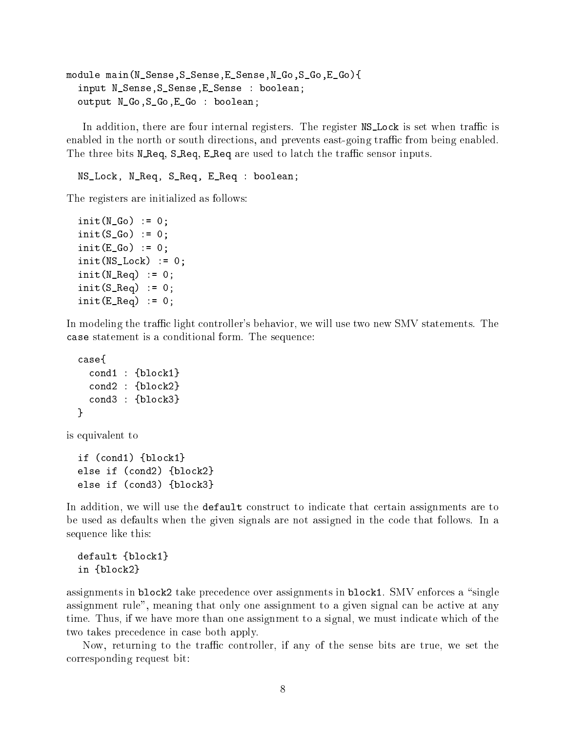```
module main(N_Sense,S_Sense,E_Sense,N_Go,S_Go,E_Go){
 input N_Sense,S_Sense,E_Sense : boolean;
 output N_Go,S_Go,E_Go : boolean;
```
In addition, there are four internal registers. The register  $NS\_Lock$  is set when traffic is enabled in the north or south directions, and prevents east-going traffic from being enabled. The three bits N\_Req, S\_Req, E\_Req are used to latch the traffic sensor inputs.

NS\_Lock, N\_Req, S\_Req, E\_Req : boolean;

The registers are initialized as follows:

```
init(N_Go) := 0;init(S_Go) := 0;init(E_Go) := 0;init(NS\_Lock) := 0;init(N\_Req) := 0;init(S_{\text{Aeq}}) := 0;
init(E_{\text{Aeq}}) := 0;
```
In modeling the traffic light controller's behavior, we will use two new SMV statements. The case statement is a conditional form. The sequence:

```
case{
  cond1 : {block1}
  cond2 : {block2}
  cond3 : {block3}
\mathbf{r}
```
is equivalent to

}

if (cond1) {block1} else if (cond2) {block2} else if (cond3) {block3}

In addition, we will use the **default** construct to indicate that certain assignments are to be used as defaults when the given signals are not assigned in the code that follows. In a sequence like this:

```
default {block1}
in {block2}
```
assignments in block2 take precedence over assignments in block1. SMV enforces a "single assignment rule", meaning that only one assignment to a given signal can be active at any time. Thus, if we have more than one assignment to a signal, we must indicate which of the two takes precedence in case both apply.

Now, returning to the traffic controller, if any of the sense bits are true, we set the corresponding request bit: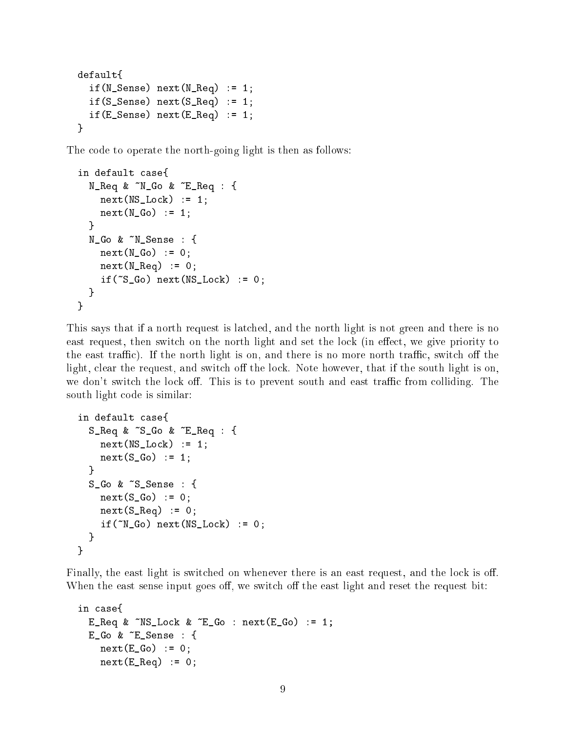```
default{
  if(N_Sense) next(N_Req) := 1;if(S_Sense) next(S_Req) := 1;
  if(E_Sense) next(E_Req) := 1;\mathcal{L}}
```
The code to operate the north-going light is then as follows:

```
in default case{
  N_{R}eq & ~N_{G}o & ~E_{R}eq : {
    next(NS\_Lock) := 1;next(N_Go) := 1;}
  N_Go & ~N_Sense : {
    next(N_Go) := 0;next(N\_Req) := 0;if('S_Go) next(MS_Lock) := 0;}
\mathcal{L}}
```
This says that if a north request is latched, and the north light is not green and there is no east request, then switch on the north light and set the lock (in effect, we give priority to the east traffic). If the north light is on, and there is no more north traffic, switch off the light, clear the request, and switch off the lock. Note however, that if the south light is on, we don't switch the lock off. This is to prevent south and east traffic from colliding. The south light code is similar:

```
in default case{
  S_Req & ~S_Go & ~E_Req : {
    next(NS\_Lock) := 1;next(S_Go) := 1;}
  S_Go & ~S_Sense : {
    next(S_Go) := 0;next(S_{\text{eq}}) := 0;if("N_Go) next(MS_Lock) := 0;}
\mathbf{R}
```
}

Finally, the east light is switched on whenever there is an east request, and the lock is off. When the east sense input goes off, we switch off the east light and reset the request bit:

```
in case{
  E_Req & N_S Lock & E_G : next(E_Go) := 1;
  E_Go & E_Sense : {
    next(E_Go) := 0;next(E_{\text{eq}}) := 0;
```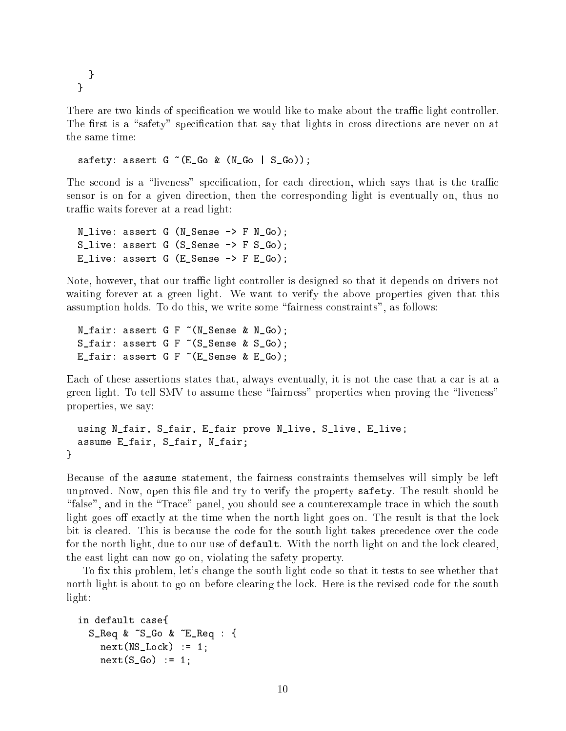}  $\mathbf{r}$ }

There are two kinds of specification we would like to make about the traffic light controller. The first is a "safety" specification that say that lights in cross directions are never on at the same time:

safety: assert  $G \tilde{f}(E_G \tilde{G})$  (N\_Go | S\_Go));

The second is a "liveness" specification, for each direction, which says that is the traffic sensor is on for a given direction, then the corresponding light is eventually on, thus no traffic waits forever at a read light:

```
N_live: assert G (N_Sense -> F N_Go);
S_live: assert G (S_ Sense \rightarrow F S_ Go);
E_live: assert G (E_Sense \rightarrow F E_Go);
```
Note, however, that our traffic light controller is designed so that it depends on drivers not waiting forever at a green light. We want to verify the above properties given that this assumption holds. To do this, we write some \fairness constraints", as follows:

```
N_fair: assert G F ~(N_Sense & N_Go);
S_fair: assert G F (S_S)ense & S_Go);
E_fair: assert G F \tilde{C} (E_Sense & E_Go);
```
Each of these assertions states that, always eventually, it is not the case that a car is at a green light. To tell SMV to assume these "fairness" properties when proving the "liveness" properties, we say:

```
using N_fair, S_fair, E_fair prove N_live, S_live, E_live;
  assume E_fair, S_fair, N_fair;
\mathcal{F}}
```
Because of the assume statement, the fairness constraints themselves will simply be left unproved. Now, open this file and try to verify the property safety. The result should be "false", and in the "Trace" panel, you should see a counterexample trace in which the south light goes off exactly at the time when the north light goes on. The result is that the lock bit is cleared. This is because the code for the south light takes precedence over the code for the north light, due to our use of default. With the north light on and the lock cleared, the east light can now go on, violating the safety property.

To fix this problem, let's change the south light code so that it tests to see whether that north light is about to go on before clearing the lock. Here is the revised code for the south light:

```
in default case{
  S_Req & ~S_Go & ~E_Req : {
   next(NS\_Lock) := 1;next(S_Go) := 1;
```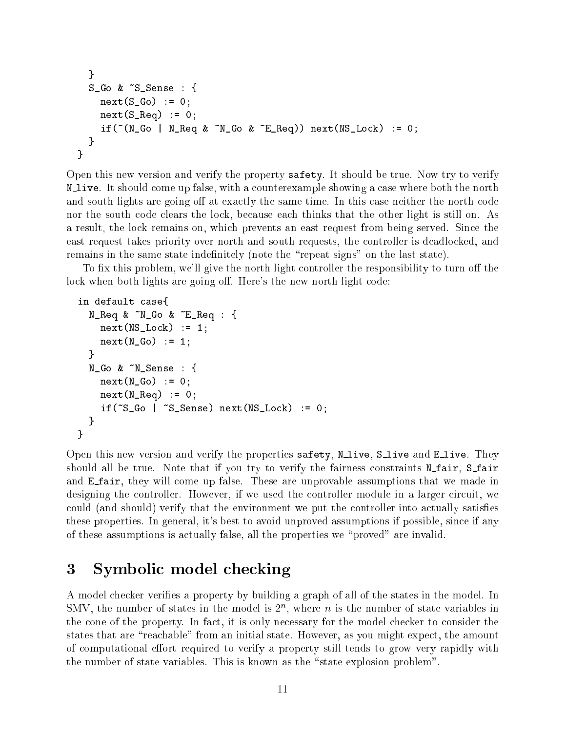```
}
  S_Go & ~S_Sense : {
    next(S_Go) := 0;next(S_{\text{Eq}}) := 0;if('N_Go | N_Req & N_Go & E_Req)) next (NS_Lock) := 0;}
}
```
Open this new version and verify the property safety. It should be true. Now try to verify N live. It should come up false, with <sup>a</sup> counterexample showing <sup>a</sup> case where both the north and south lights are going off at exactly the same time. In this case neither the north code nor the south code clears the lock, because each thinks that the other light is still on. As a result, the lock remains on, which prevents an east request from being served. Since the east request takes priority over north and south requests, the controller is deadlocked, and remains in the same state indefinitely (note the "repeat signs" on the last state).

To fix this problem, we'll give the north light controller the responsibility to turn off the lock when both lights are going off. Here's the new north light code:

```
in default case{
  N_Req & ~N_Go & ~E_Req : {
    next(NS\_Lock) := 1;next(N_Go) := 1;}
  N_Go & ~N_Sense : {
    next(N_Go) := 0;next(N\_Req) := 0;if("S_Go | "S_Sense) next (NS_Lock) := 0;}
}
```
Open this new version and verify the properties  $\texttt{safety}, \texttt{N\_live}, \texttt{S\_live}$  and  $\texttt{E\_live}$ . They should all be true. Note that if you try to verify the fairness constraints N\_fair, S\_fair and **E** fair, they will come up false. These are unprovable assumptions that we made in designing the controller. However, if we used the controller module in a larger circuit, we could (and should) verify that the environment we put the controller into actually satises these properties. In general, it's best to avoid unproved assumptions if possible, since if any of these assumptions is actually false, all the properties we \proved" are invalid.

#### 3Symbolic model checking

A model checker veries a property by building a graph of all of the states in the model. In SMV, the number of states in the model is  $2^{\circ}$ , where n is the number of state variables in the cone of the property. In fact, it is only necessary for the model checker to consider the states that are "reachable" from an initial state. However, as you might expect, the amount of computational effort required to verify a property still tends to grow very rapidly with the number of state variables. This is known as the "state explosion problem".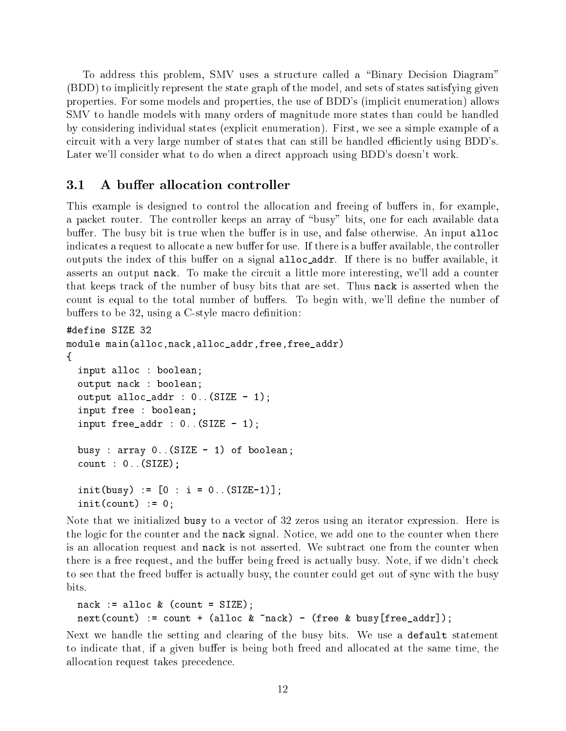To address this problem, SMV uses a structure called a "Binary Decision Diagram" (BDD) to implicitly represent the state graph of the model, and sets of states satisfying given properties. For some models and properties, the use of BDD's (implicit enumeration) allows SMV to handle models with many orders of magnitude more states than could be handled by considering individual states (explicit enumeration). First, we see a simple example of a circuit with a very large number of states that can still be handled efficiently using BDD's. Later we'll consider what to do when a direct approach using BDD's doesn't work.

#### $3.1$ A buffer allocation controller

This example is designed to control the allocation and freeing of buffers in, for example, a packet router. The controller keeps an array of "busy" bits, one for each available data buffer. The busy bit is true when the buffer is in use, and false otherwise. An input alloc indicates a request to allocate a new buffer for use. If there is a buffer available, the controller outputs the index of this buffer on a signal alloc\_addr. If there is no buffer available, it asserts an output nack. To make the circuit a little more interesting, we'll add a counter that keeps track of the number of busy bits that are set. Thus nack is asserted when the count is equal to the total number of buffers. To begin with, we'll define the number of buffers to be  $32$ , using a C-style macro definition:

```
#define SIZE 32
module main(alloc,nack,alloc_addr,free,free_addr)
\{input alloc : boolean;
  output nack : boolean;
  output alloc_addr : 0. (SIZE - 1);
  input free : boolean;
  input free_addr : 0..(SIZE - 1);
  busy : array 0.. (SIZE - 1) of boolean;
  count : 0..(SIZE);
  init(busy) := [0 : i = 0. (SIZE-1)];
  init(count) := 0;
```
Note that we initialized busy to a vector of 32 zeros using an iterator expression. Here is the logic for the counter and the nack signal. Notice, we add one to the counter when there is an allocation request and nack is not asserted. We subtract one from the counter when there is a free request, and the buffer being freed is actually busy. Note, if we didn't check to see that the freed buffer is actually busy, the counter could get out of sync with the busy bits.

```
nack := alloc \& (count = SIZE);
next(count) := count + (alloc & back) - (free & busy[free\_addr]);
```
Next we handle the setting and clearing of the busy bits. We use a default statement to indicate that, if a given buffer is being both freed and allocated at the same time, the allocation request takes precedence.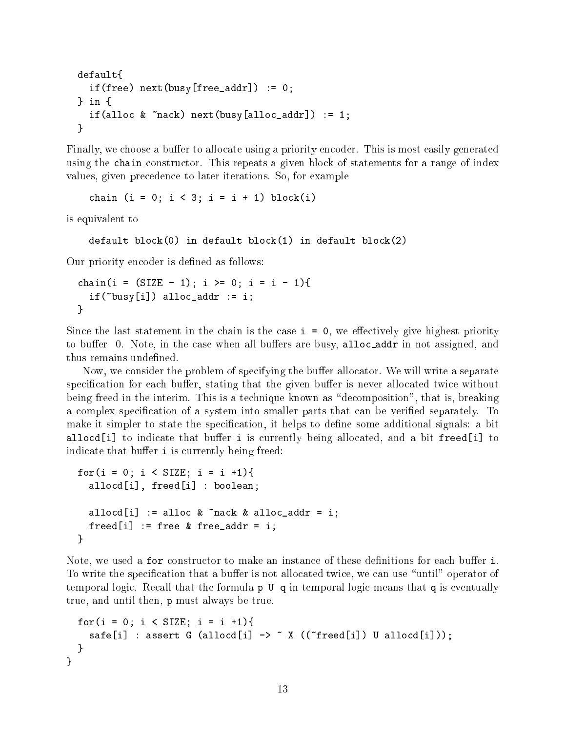```
default{
default{
  if(free) next(busy[free\_addr]) := 0;} in {
  if(alloc \& \text{rack}) next(busy[alloc_addr]) := 1;
\mathcal{L}}
```
Finally, we choose a buffer to allocate using a priority encoder. This is most easily generated using the chain constructor. This repeats a given block of statements for a range of index values, given precedence to later iterations. So, for example

chain (i = 0; i < 3; i = i + 1) block(i)

is equivalent to

```
default block(0) in default block(1) in default block(2)
```
Our priority encoder is defined as follows:

```
chain(i = (SIZE - 1); i >= 0; i = i - 1){
  if("busy[i]) alloc\_addr := i;\mathcal{L}}
```
Since the last statement in the chain is the case  $i = 0$ , we effectively give highest priority to buffer 0. Note, in the case when all buffers are busy, alloc\_addr in not assigned, and thus remains undefined.

Now, we consider the problem of specifying the buffer allocator. We will write a separate specification for each buffer, stating that the given buffer is never allocated twice without being freed in the interim. This is a technique known as "decomposition", that is, breaking a complex specification of a system into smaller parts that can be verified separately. To make it simpler to state the specification, it helps to define some additional signals: a bit allocd[i] to indicate that buffer i is currently being allocated, and a bit freed[i] to indicate that buffer i is currently being freed:

```
for(i = 0; i < SIZE; i = i +1){
  allocd[i], freed[i] : boolean;
  allocd[i] := alloc \& \tilde{a} rack \& alloc_addr = i;
  freed[i] := free \& free\_addr = i;}
```
Note, we used a for constructor to make an instance of these definitions for each buffer i. To write the specification that a buffer is not allocated twice, we can use "until" operator of temporal logic. Recall that the formula p U q in temporal logic means that q is eventually true, and until then, p must always be true.

```
for(i = 0; i < SIZE; i = i +1){
     safe[i] : assert G (allocd[i] \rightarrow \tilde{X} ((\tilde{Y}freed[i]) U allocd[i]));
  }
}
```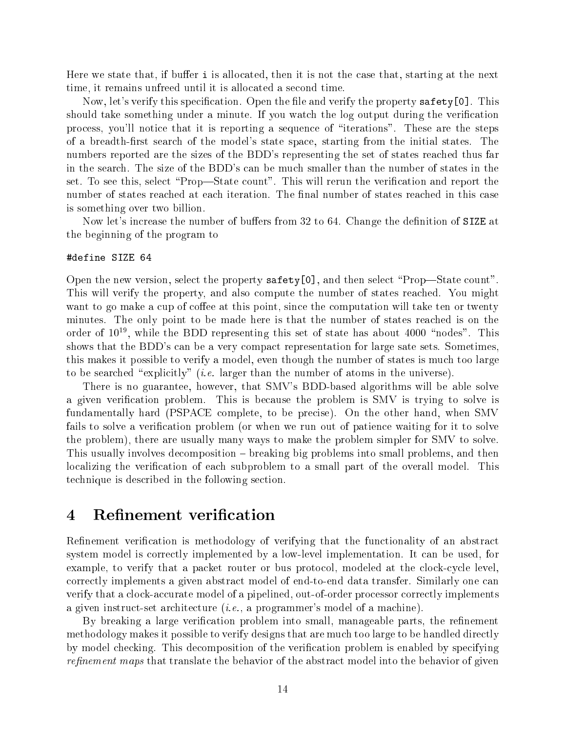Here we state that, if buffer  $\mathbf i$  is allocated, then it is not the case that, starting at the next time, it remains unfreed until it is allocated a second time.

Now, let's verify this specification. Open the file and verify the property  $\texttt{safety[0]}$  . This should take something under a minute. If you watch the log output during the verication process, you'll notice that it is reporting a sequence of \iterations". These are the steps of a breadth-first search of the model's state space, starting from the initial states. The numbers reported are the sizes of the BDD's representing the set of states reached thus far in the search. The size of the BDD's can be much smaller than the number of states in the set. To see this, select "Prop—State count". This will rerun the verification and report the number of states reached at each iteration. The final number of states reached in this case is something over two billion.

Now let's increase the number of buffers from 32 to 64. Change the definition of SIZE at the beginning of the program to

#### #define SIZE 64

Open the new version, select the property safety[0], and then select "Prop—State count". This will verify the property, and also compute the number of states reached. You might want to go make a cup of coffee at this point, since the computation will take ten or twenty minutes. The only point to be made here is that the number of states reached is on the order of 10<sup>19</sup>, while the BDD representing this set of state has about 4000  $\,$  nodes . This shows that the BDD's can be a very compact representation for large sate sets. Sometimes, this makes it possible to verify a model, even though the number of states is much too large to be searched "explicitly" *(i.e.* larger than the number of atoms in the universe).

There is no guarantee, however, that SMV's BDD-based algorithms will be able solve a given verification problem. This is because the problem is SMV is trying to solve is fundamentally hard (PSPACE complete, to be precise). On the other hand, when SMV fails to solve a verification problem (or when we run out of patience waiting for it to solve the problem), there are usually many ways to make the problem simpler for SMV to solve. This usually involves decomposition – breaking big problems into small problems, and then localizing the verification of each subproblem to a small part of the overall model. This technique is described in the following section.

#### 4Refinement verification

Refinement verification is methodology of verifying that the functionality of an abstract system model is correctly implemented by a low-level implementation. It can be used, for example, to verify that a packet router or bus protocol, modeled at the clock-cycle level, correctly implements a given abstract model of end-to-end data transfer. Similarly one can verify that a clock-accurate model of a pipelined, out-of-order processor correctly implements a given instruct-set architecture (i.e., a programmer's model of a machine).

By breaking a large verification problem into small, manageable parts, the refinement methodology makes it possible to verify designs that are much too large to be handled directly by model checking. This decomposition of the verication problem is enabled by specifying refinement maps that translate the behavior of the abstract model into the behavior of given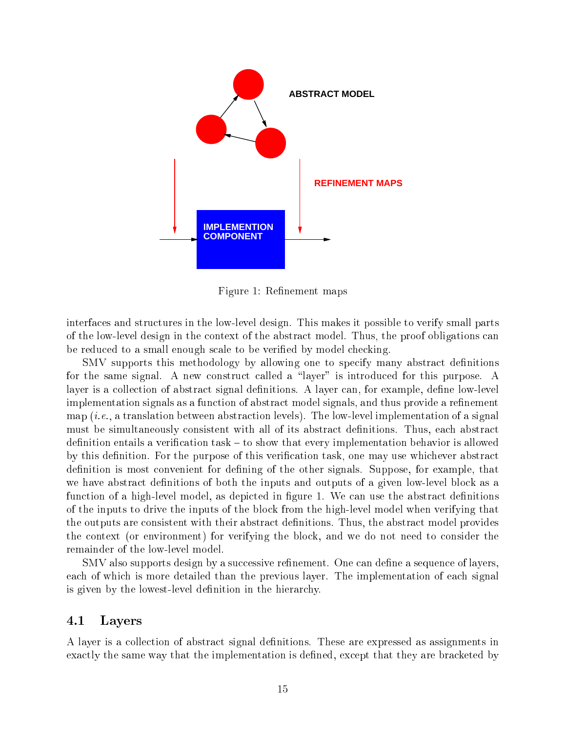

Figure 1: Refinement maps

interfaces and structures in the low-level design. This makes it possible to verify small parts of the low-level design in the context of the abstract model. Thus, the proof obligations can be reduced to a small enough scale to be veried by model checking.

SMV supports this methodology by allowing one to specify many abstract definitions for the same signal. A new construct called a "layer" is introduced for this purpose. A layer is a collection of abstract signal definitions. A layer can, for example, define low-level implementation signals as a function of abstract model signals, and thus provide a refinement map  $(i.e., a translation between abstraction levels)$ . The low-level implementation of a signal must be simultaneously consistent with all of its abstract definitions. Thus, each abstract definition entails a verification task  $-$  to show that every implementation behavior is allowed by this definition. For the purpose of this verification task, one may use whichever abstract definition is most convenient for defining of the other signals. Suppose, for example, that we have abstract definitions of both the inputs and outputs of a given low-level block as a function of a high-level model, as depicted in figure 1. We can use the abstract definitions of the inputs to drive the inputs of the block from the high-level model when verifying that the outputs are consistent with their abstract definitions. Thus, the abstract model provides the context (or environment) for verifying the block, and we do not need to consider the remainder of the low-level model.

SMV also supports design by a successive refinement. One can define a sequence of layers. each of which is more detailed than the previous layer. The implementation of each signal is given by the lowest-level definition in the hierarchy.

## 4.1 Layers

A layer is a collection of abstract signal denitions. These are expressed as assignments in exactly the same way that the implementation is defined, except that they are bracketed by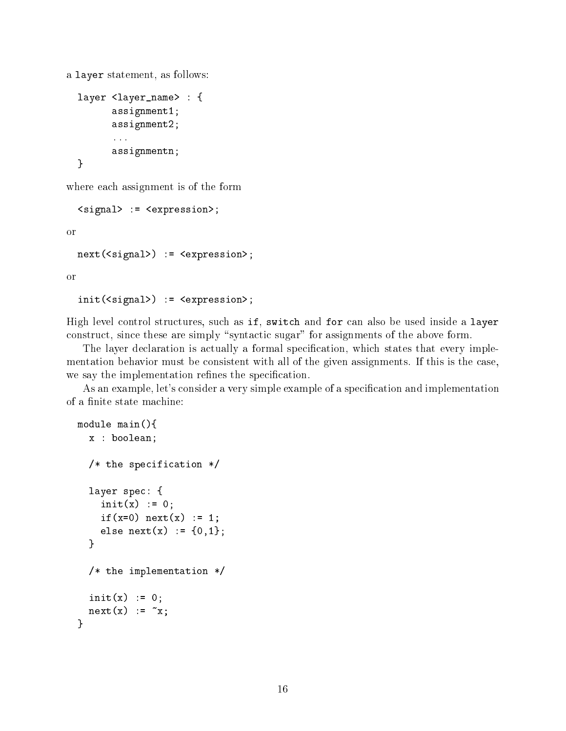a layer statement, as follows:

```
layer <layer_name> : {
      assignment1;
      assignment2;
      ...
      assignmentn;
```
where each assignment is of the form

<signal> := <expression>;

or

}

```
next(<signal>) := <expression>;
```
or

```
init(<signal>) := <expression>;
```
High level control structures, such as if, switch and for can also be used inside a layer construct, since these are simply "syntactic sugar" for assignments of the above form.

The layer declaration is actually a formal specification, which states that every implementation behavior must be consistent with all of the given assignments. If this is the case, we say the implementation refines the specification.

As an example, let's consider a very simple example of a specification and implementation of a finite state machine:

```
module main(){
  x : boolean;
  /* the specification */
  layer spec: {
    init(x) := 0;
    if(x=0) next(x) := 1;else next(x) := \{0, 1\};\mathcal{L}}
  /* the implementation */
  init(x) := 0;
  next(x) := x;}
```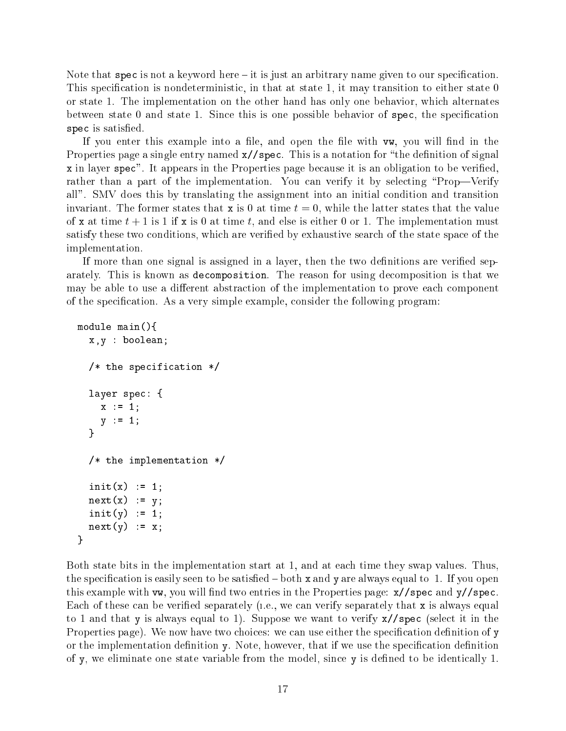Note that spec is not a keyword here  $-i$  it is just an arbitrary name given to our specification. This specification is nondeterministic, in that at state 1, it may transition to either state 0 or state 1. The implementation on the other hand has only one behavior, which alternates between state 0 and state 1. Since this is one possible behavior of spec, the specication spec is satisfied.

If you enter this example into a file, and open the file with vw, you will find in the Properties page a single entry named  $x//spec$ . This is a notation for "the definition of signal x in layer spec". It appears in the Properties page because it is an obligation to be veried, rather than a part of the implementation. You can verify it by selecting "Prop—Verify" all". SMV does this by translating the assignment into an initial condition and transition invariant. The former states that **x** is 0 at time  $t = 0$ , while the latter states that the value of x at time  $t + 1$  is 1 if x is 0 at time t, and else is either 0 or 1. The implementation must satisfy these two conditions, which are veried by exhaustive search of the state space of the implementation.

If more than one signal is assigned in a layer, then the two definitions are verified separately. This is known as decomposition. The reason for using decomposition is that we may be able to use a different abstraction of the implementation to prove each component of the specification. As a very simple example, consider the following program:

```
module main(){
  x,y : boolean;
  /* the specification */
  layer spec: {
    x := 1;y := 1;ļ.
  }
  /* the implementation */
  init(x) := 1;next(x) := y;init(y) := 1;next(y) := x;\mathbf{r}
```
}

Both state bits in the implementation start at 1, and at each time they swap values. Thus, the specification is easily seen to be satisfied  $-$  both x and y are always equal to 1. If you open this example with vw, you will find two entries in the Properties page:  $\frac{x}{s}$  spec and y//spec. Each of these can be verified separately (i.e., we can verify separately that  $x$  is always equal to 1 and that y is always equal to 1). Suppose we want to verify x//spec (select it in the Properties page). We now have two choices: we can use either the specification definition of y or the implementation definition y. Note, however, that if we use the specification definition of y, we eliminate one state variable from the model, since y is defined to be identically 1.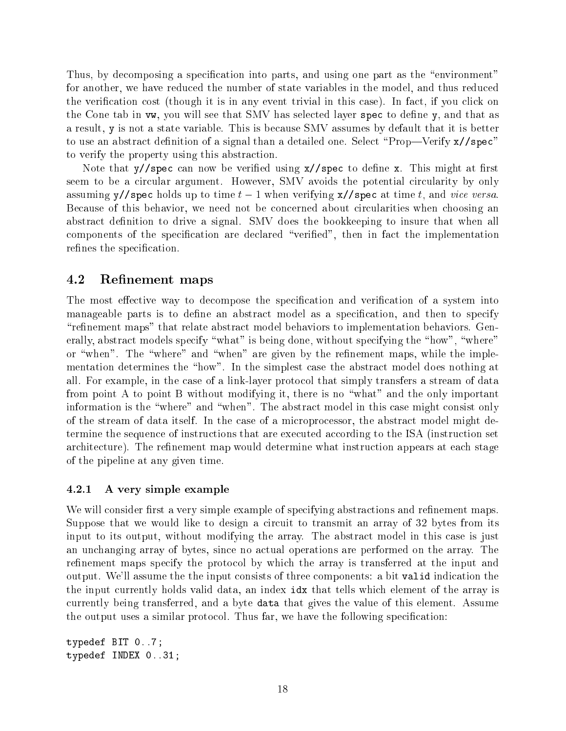Thus, by decomposing a specification into parts, and using one part as the "environment" for another, we have reduced the number of state variables in the model, and thus reduced the verification cost (though it is in any event trivial in this case). In fact, if you click on the Cone tab in vw, you will see that SMV has selected layer spec to define y, and that as a result, y is not a state variable. This is because SMV assumes by default that it is better to use an abstract definition of a signal than a detailed one. Select "Prop—Verify  $x//spec"$ to verify the property using this abstraction.

Note that  $y//spec$  can now be verified using  $x//spec$  to define x. This might at first seem to be a circular argument. However, SMV avoids the potential circularity by only assuming y//spec holds up to time  $t-1$  when verifying x//spec at time t, and vice versa. Because of this behavior, we need not be concerned about circularities when choosing an abstract definition to drive a signal. SMV does the bookkeeping to insure that when all components of the specification are declared "verified", then in fact the implementation refines the specification.

## 4.2 Refinement maps

The most effective way to decompose the specification and verification of a system into manageable parts is to define an abstract model as a specification, and then to specify "refinement maps" that relate abstract model behaviors to implementation behaviors. Generally, abstract models specify "what" is being done, without specifying the "how", "where" or "when". The "where" and "when" are given by the refinement maps, while the implementation determines the "how". In the simplest case the abstract model does nothing at all. For example, in the case of a link-layer protocol that simply transfers a stream of data from point A to point B without modifying it, there is no \what" and the only important information is the "where" and "when". The abstract model in this case might consist only of the stream of data itself. In the case of a microprocessor, the abstract model might determine the sequence of instructions that are executed according to the ISA (instruction set architecture). The refinement map would determine what instruction appears at each stage of the pipeline at any given time.

#### 4.2.1 A very simple example

We will consider first a very simple example of specifying abstractions and refinement maps. Suppose that we would like to design a circuit to transmit an array of 32 bytes from its input to its output, without modifying the array. The abstract model in this case is just an unchanging array of bytes, since no actual operations are performed on the array. The refinement maps specify the protocol by which the array is transferred at the input and output. We'll assume the the input consists of three components: a bit valid indication the the input currently holds valid data, an index idx that tells which element of the array is currently being transferred, and a byte data that gives the value of this element. Assume the output uses a similar protocol. Thus far, we have the following specification:

typedef BIT 0..7; typedef INDEX 0..31;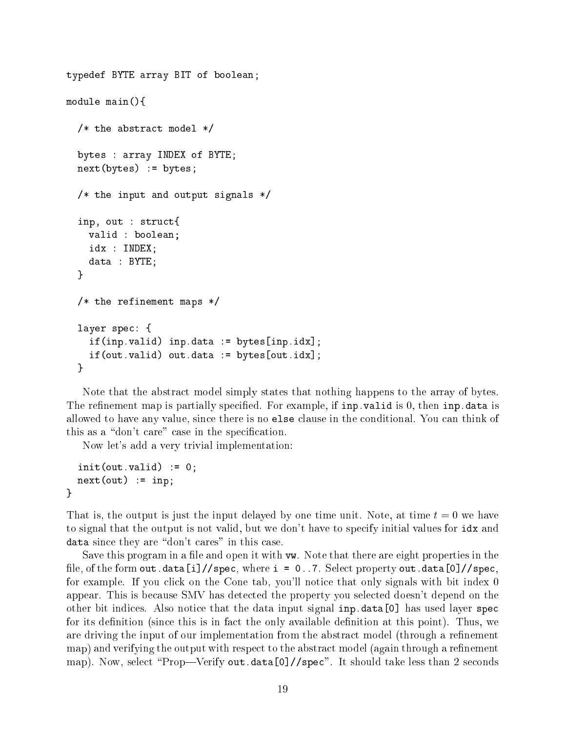```
typedef BYTE array BIT of boolean;
module main(){
  /* the abstract model */\mathbf{r} the abstract model \mathbf{r} the abstract model \mathbf{r}bytes : array INDEX of BYTE;
  next(bytes) := bytes;
  /* the input and output signals */inp, out : struct{
    valid : boolean;
    idx : INDEX;
    data : BYTE;
  \mathcal{L}}
  /* the refinement maps */
  layer spec: {
    if(inp.valid) inp.data := bytes[inp.idx];
    if(out.valid) out.data := bytes[out.idx];
  }
```
Note that the abstract model simply states that nothing happens to the array of bytes. The refinement map is partially specified. For example, if  $\text{inp } \cdot \text{valid}$  is 0, then  $\text{inp } \cdot \text{data}$  is allowed to have any value, since there is no else clause in the conditional. You can think of this as a "don't care" case in the specification.

Now let's add a very trivial implementation:

 $init(out.valid) := 0;$  $next(out) := inp;$  $\mathcal{F}$ 

}

That is, the output is just the input delayed by one time unit. Note, at time  $t = 0$  we have to signal that the output is not valid, but we don't have to specify initial values for idx and data since they are "don't cares" in this case.

Save this program in a file and open it with  $vw$ . Note that there are eight properties in the file, of the form out.data[i]//spec, where  $i = 0..7$ . Select property out.data[0]//spec, for example. If you click on the Cone tab, you'll notice that only signals with bit index 0 appear. This is because SMV has detected the property you selected doesn't depend on the other bit indices. Also notice that the data input signal inp.data[0] has used layer spec for its definition (since this is in fact the only available definition at this point). Thus, we are driving the input of our implementation from the abstract model (through a refinement map) and verifying the output with respect to the abstract model (again through a refinement map). Now, select "Prop—Verify out.data[0]//spec". It should take less than 2 seconds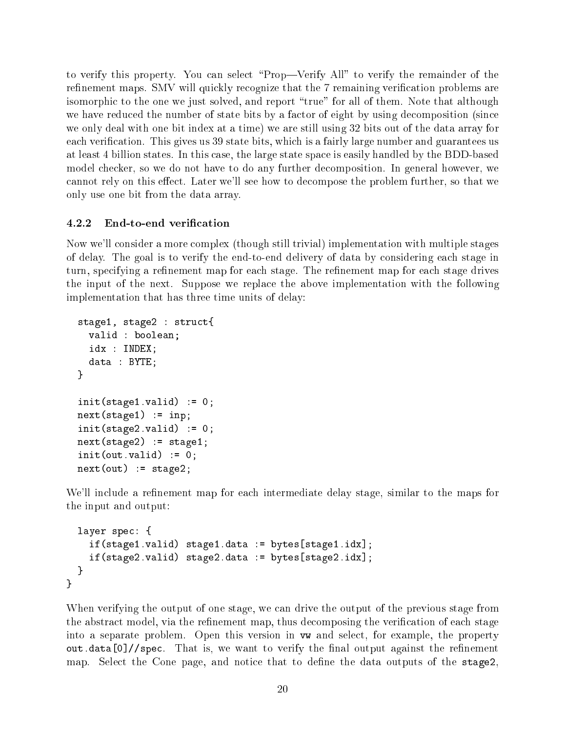to verify this property. You can select \Prop|Verify All" to verify the remainder of the refinement maps. SMV will quickly recognize that the 7 remaining verification problems are isomorphic to the one we just solved, and report "true" for all of them. Note that although we have reduced the number of state bits by a factor of eight by using decomposition (since we only deal with one bit index at a time) we are still using 32 bits out of the data array for each verification. This gives us 39 state bits, which is a fairly large number and guarantees us at least 4 billion states. In this case, the large state space is easily handled by the BDD-based model checker, so we do not have to do any further decomposition. In general however, we cannot rely on this effect. Later we'll see how to decompose the problem further, so that we only use one bit from the data array.

## 4.2.2 End-to-end verification

Now we'll consider a more complex (though still trivial) implementation with multiple stages of delay. The goal is to verify the end-to-end delivery of data by considering each stage in turn, specifying a refinement map for each stage. The refinement map for each stage drives the input of the next. Suppose we replace the above implementation with the following implementation that has three time units of delay:

```
stage1, stage2 : struct{
  valid : boolean;
  idx : INDEX;
  data : BYTE;
}
init(\text{stage1.valid}) := 0;next(state1) := inp;init(\text{stage2.valid}) := 0;next(state2) := stage1;init(out.valid) := 0;next(out) := stage2;
```
We'll include a refinement map for each intermediate delay stage, similar to the maps for the input and output:

```
layer spec: {
    if(stage1.valid) stage1.data := bytes[stage1.idx];
    if(stage2.valid) stage2.data := bytes[stage2.idx];
  \mathcal{L}}
}
```
When verifying the output of one stage, we can drive the output of the previous stage from the abstract model, via the refinement map, thus decomposing the verification of each stage into a separate problem. Open this version in vw and select, for example, the property out.data[0]//spec. That is, we want to verify the final output against the refinement map. Select the Cone page, and notice that to define the data outputs of the stage2.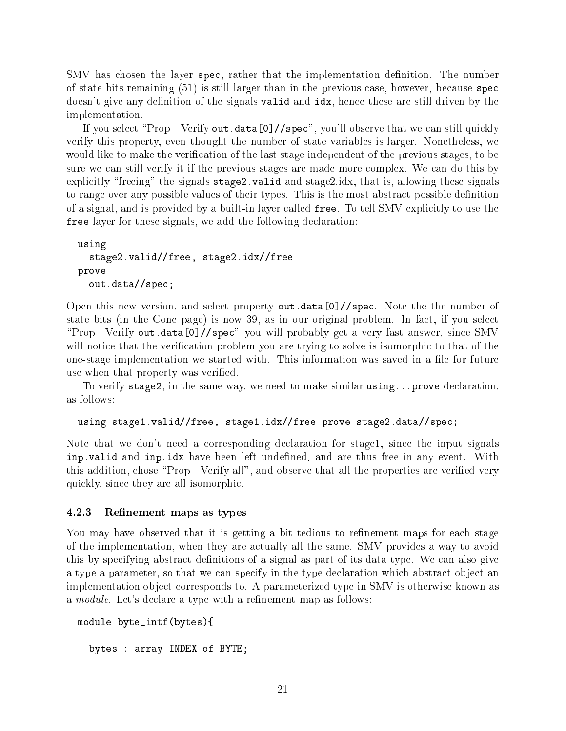SMV has chosen the layer spec, rather that the implementation definition. The number of state bits remaining (51) is still larger than in the previous case, however, because spec doesn't give any definition of the signals valid and idx, hence these are still driven by the implementation.

If you select "Prop—Verify out.data[0]//spec", you'll observe that we can still quickly verify this property, even thought the number of state variables is larger. Nonetheless, we would like to make the verification of the last stage independent of the previous stages, to be sure we can still verify it if the previous stages are made more complex. We can do this by explicitly "freeing" the signals stage2.valid and stage2.idx, that is, allowing these signals to range over any possible values of their types. This is the most abstract possible definition of a signal, and is provided by a built-in layer called free. To tell SMV explicitly to use the free layer for these signals, we add the following declaration:

```
using
  stage2.valid//free, stage2.idx//free
prove
  out.data//spec;
```
Open this new version, and select property out.data[0]//spec. Note the the number of state bits (in the Cone page) is now 39, as in our original problem. In fact, if you select "Prop—Verify out.data[0]//spec" you will probably get a very fast answer, since SMV will notice that the verification problem you are trying to solve is isomorphic to that of the one-stage implementation we started with. This information was saved in a file for future use when that property was verified.

To verify stage2, in the same way, we need to make similar using...prove declaration, as follows:

```
using stage1.valid//free, stage1.idx//free prove stage2.data//spec;
```
Note that we don't need a corresponding declaration for stage1, since the input signals inp. valid and inp. idx have been left undefined, and are thus free in any event. With this addition, chose "Prop—Verify all", and observe that all the properties are verified very quickly, since they are all isomorphic.

#### 4.2.3 Renement maps as types

You may have observed that it is getting a bit tedious to refinement maps for each stage of the implementation, when they are actually all the same. SMV provides a way to avoid this by specifying abstract definitions of a signal as part of its data type. We can also give a type a parameter, so that we can specify in the type declaration which abstract object an implementation object corresponds to. A parameterized type in SMV is otherwise known as a *module*. Let's declare a type with a refinement map as follows:

```
module byte_intf(bytes){
  bytes : array INDEX of BYTE;
```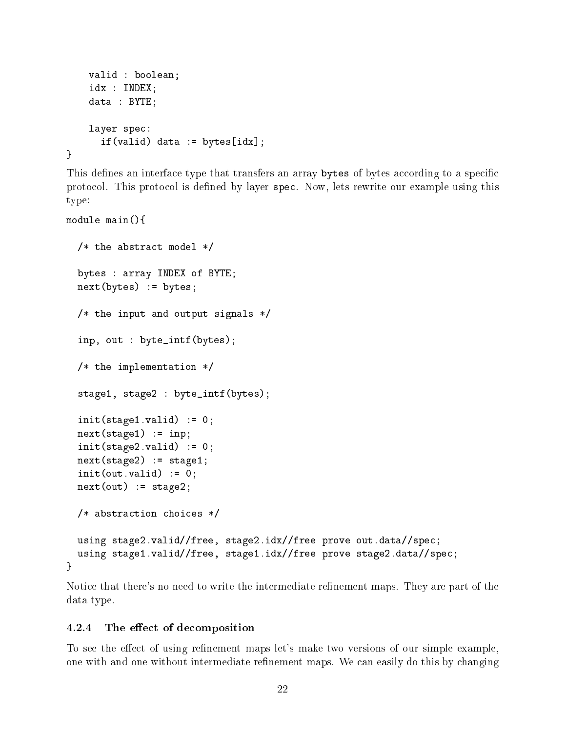```
valid : boolean;
idx : INDEX;
data : BYTE;
layer spec:
  if(valid) data := bytes[idx];
```
This defines an interface type that transfers an array bytes of bytes according to a specific protocol. This protocol is defined by layer spec. Now, lets rewrite our example using this type:

```
module main(){
```
}

```
/* the abstract model */
  bytes : array INDEX of BYTE;
  next(bytes) := bytes;
  /* the input and output signals */
  inp, out : byte_intf(bytes);
  /* the implementation */
  stage1, stage2 : byte_intf(bytes);
  init(\text{stage1.valid}) := 0;next(state1) := inp;init(state2.valid) := 0;next(state2) := stage1;init(out.valid) := 0;next(out) := stage2;/* abstraction choices */
 using stage2.valid//free, stage2.idx//free prove out.data//spec;
  using stage1.valid//free, stage1.idx//free prove stage2.data//spec;
}
```
Notice that there's no need to write the intermediate refinement maps. They are part of the data type.

#### 4.2.4 The effect of decomposition

To see the effect of using refinement maps let's make two versions of our simple example, one with and one without intermediate refinement maps. We can easily do this by changing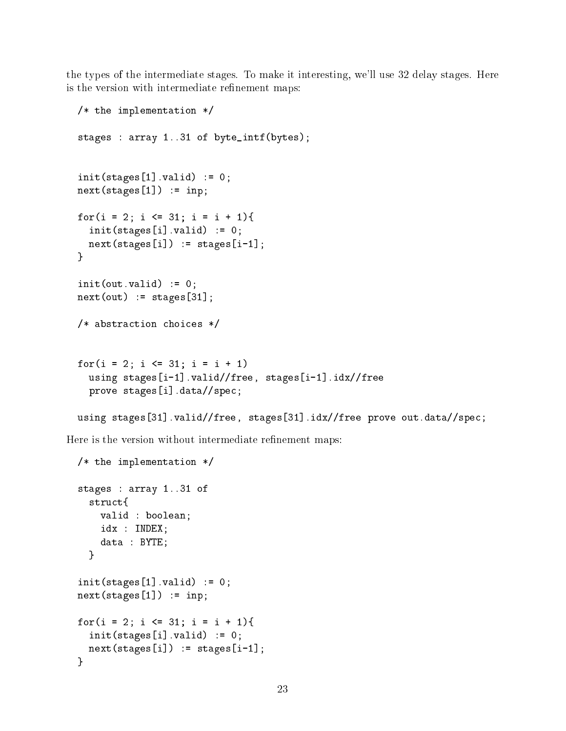the types of the intermediate stages. To make it interesting, we'll use 32 delay stages. Here is the version with intermediate refinement maps:

```
/* the implementation */
stages : array 1..31 of byte_intf(bytes);
init(stages[1].valid) := 0;next(stages[1]) := inp;for(i = 2; i <= 31; i = i + 1){
  init(\text{stages}[i].valid) := 0;next(stages[i]) := stages[i-1];\mathbf{r}}
init(out.valid) := 0;next(out) := stages[31];/* abstraction choices */
for(i = 2; i \le 31; i = i + 1)
  using stages[i-1].valid//free, stages[i-1].idx//free
  prove stages[i].data//spec;
using stages[31].valid//free, stages[31].idx//free prove out.data//spec;
```
Here is the version without intermediate refinement maps:

```
/* the implementation */
stages : array 1..31 of
  structf
  struct{
    valid : boolean;
    idx : INDEX;
    data : BYTE;
  \mathbf{r}}
init(stages[1].valid) := 0;next(stages[1]) := inp;for(i = 2; i <= 31; i = i + 1){
  init(\text{stages}[i].valid) := 0;next(stages[i]) := stages[i-1];\mathcal{L}}
```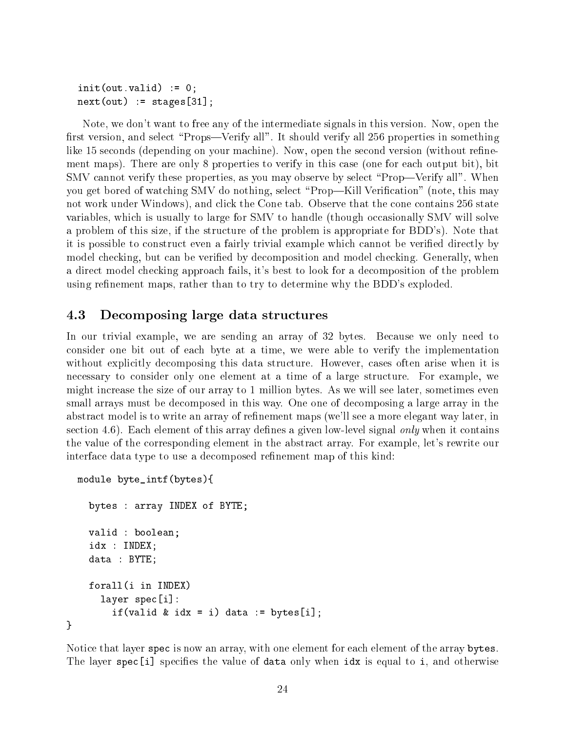```
init(out.valid) := 0;next(out) := stages[31];
```
Note, we don't want to free any of the intermediate signals in this version. Now, open the first version, and select "Props—Verify all". It should verify all 256 properties in something like 15 seconds (depending on your machine). Now, open the second version (without refinement maps). There are only 8 properties to verify in this case (one for each output bit), bit SMV cannot verify these properties, as you may observe by select "Prop—Verify all". When you get bored of watching SMV do nothing, select "Prop—Kill Verification" (note, this may not work under Windows), and click the Cone tab. Observe that the cone contains 256 state variables, which is usually to large for SMV to handle (though occasionally SMV will solve a problem of this size, if the structure of the problem is appropriate for BDD's). Note that it is possible to construct even a fairly trivial example which cannot be veried directly by model checking, but can be verified by decomposition and model checking. Generally, when a direct model checking approach fails, it's best to look for a decomposition of the problem using refinement maps, rather than to try to determine why the BDD's exploded.

## 4.3 Decomposing large data structures

In our trivial example, we are sending an array of 32 bytes. Because we only need to consider one bit out of each byte at a time, we were able to verify the implementation without explicitly decomposing this data structure. However, cases often arise when it is necessary to consider only one element at a time of a large structure. For example, we might increase the size of our array to 1 million bytes. As we will see later, sometimes even small arrays must be decomposed in this way. One one of decomposing a large array in the abstract model is to write an array of refinement maps (we'll see a more elegant way later, in section 4.6). Each element of this array defines a given low-level signal *only* when it contains the value of the corresponding element in the abstract array. For example, let's rewrite our interface data type to use a decomposed refinement map of this kind:

```
module byte_intf(bytes){
    bytes : array INDEX of BYTE;
    valid : boolean;
    idx : INDEX;
    data : BYTE;
    forall(i in INDEX)
      layer spec[i]:
        if(valid & idx = i) data := bytes[i];
}
```
Notice that layer spec is now an array, with one element for each element of the array bytes. The layer spec [i] specifies the value of data only when  $idx$  is equal to i, and otherwise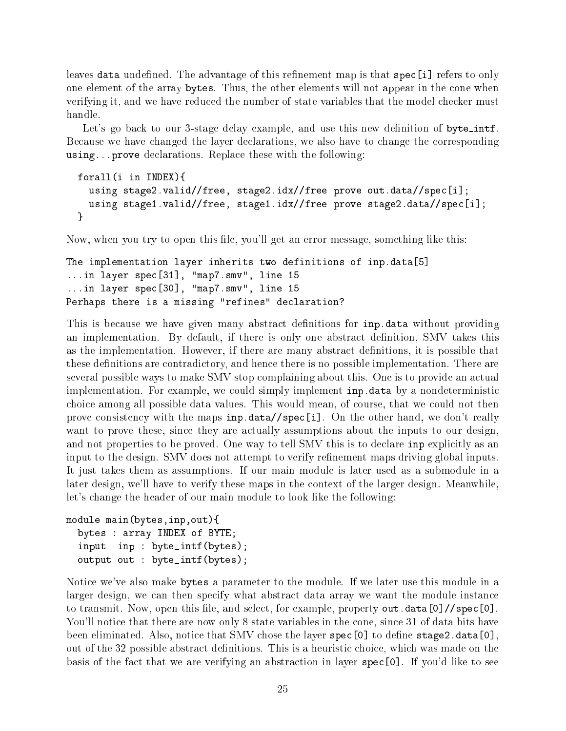leaves data undefined. The advantage of this refinement map is that spec[i] refers to only one element of the array bytes. Thus, the other elements will not appear in the cone when verifying it, and we have reduced the number of state variables that the model checker must

Let's go back to our 3-stage delay example, and use this new definition of byte\_intf. Because we have changed the layer declarations, we also have to change the corresponding using...prove declarations. Replace these with the following:

```
forall(i in INDEX){
  using stage2.valid//free, stage2.idx//free prove out.data//spec[i];
  using stage1.valid//free, stage1.idx//free prove stage2.data//spec[i];
}
```
Now, when you try to open this file, you'll get an error message, something like this:

```
The implementation layer inherits two definitions of inp.data[5]
...in layer spec[31], "map7.smv", line 15
...in layer spec[30], "map7.smv", line 15
Perhaps there is a missing "refines" declaration?
```
This is because we have given many abstract definitions for inp.data without providing an implementation. By default, if there is only one abstract definition, SMV takes this as the implementation. However, if there are many abstract denitions, it is possible that these definitions are contradictory, and hence there is no possible implementation. There are several possible ways to make SMV stop complaining about this. One is to provide an actual implementation. For example, we could simply implement inp.data by a nondeterministic choice among all possible data values. This would mean, of course, that we could not then prove consistency with the maps inp.data//spec[i]. On the other hand, we don't really want to prove these, since they are actually assumptions about the inputs to our design, and not properties to be proved. One way to tell SMV this is to declare inp explicitly as an input to the design. SMV does not attempt to verify refinement maps driving global inputs. It just takes them as assumptions. If our main module is later used as a submodule in a later design, we'll have to verify these maps in the context of the larger design. Meanwhile, let's change the header of our main module to look like the following:

```
module main(bytes,inp,out){
 bytes : array INDEX of BYTE;
 input inp : byte_intf(bytes);
 output out : byte_intf(bytes);
```
Notice we've also make bytes a parameter to the module. If we later use this module in a larger design, we can then specify what abstract data array we want the module instance to transmit. Now, open this file, and select, for example, property out.data[0]//spec[0]. You'll notice that there are now only 8 state variables in the cone, since 31 of data bits have been eliminated. Also, notice that SMV chose the layer spec [0] to define stage2.data[0], out of the 32 possible abstract definitions. This is a heuristic choice, which was made on the basis of the fact that we are verifying an abstraction in layer spec[0]. If you'd like to see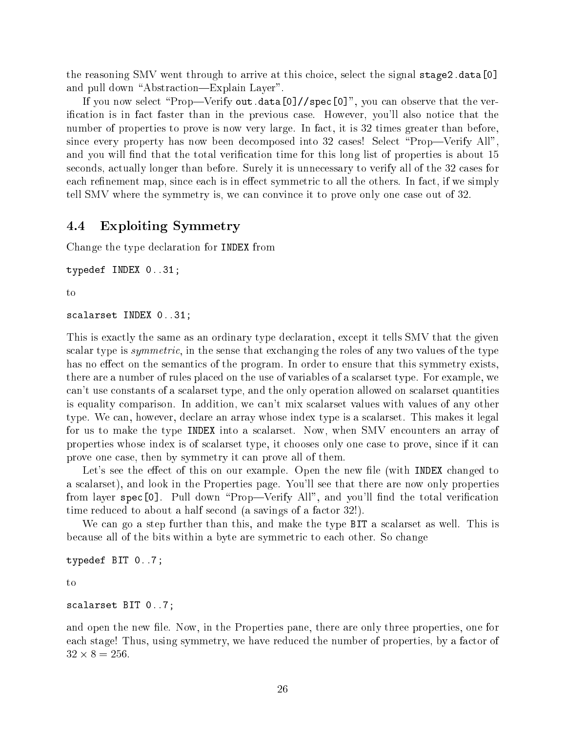the reasoning SMV went through to arrive at this choice, select the signal stage2.data[0] and pull down "Abstraction—Explain Layer".

If you now select "Prop-Verify out.data[0]//spec[0]", you can observe that the verication is in fact faster than in the previous case. However, you'll also notice that the number of properties to prove is now very large. In fact, it is 32 times greater than before, since every property has now been decomposed into 32 cases! Select "Prop—Verify All". and you will find that the total verification time for this long list of properties is about 15 seconds, actually longer than before. Surely it is unnecessary to verify all of the 32 cases for each refinement map, since each is in effect symmetric to all the others. In fact, if we simply tell SMV where the symmetry is, we can convince it to prove only one case out of 32.

## 4.4 Exploiting Symmetry

Change the type declaration for INDEX from

```
typedef INDEX 0..31;
```
 $to$ 

```
scalarset INDEX 0..31;
```
This is exactly the same as an ordinary type declaration, except it tells SMV that the given scalar type is *symmetric*, in the sense that exchanging the roles of any two values of the type has no effect on the semantics of the program. In order to ensure that this symmetry exists, there are a number of rules placed on the use of variables of a scalarset type. For example, we can't use constants of a scalarset type, and the only operation allowed on scalarset quantities is equality comparison. In addition, we can't mix scalarset values with values of any other type. We can, however, declare an array whose index type is a scalarset. This makes it legal for us to make the type INDEX into a scalarset. Now, when SMV encounters an array of properties whose index is of scalarset type, it chooses only one case to prove, since if it can prove one case, then by symmetry it can prove all of them.

Let's see the effect of this on our example. Open the new file (with INDEX changed to a scalarset), and look in the Properties page. You'll see that there are now only properties from layer spec<sup>[0]</sup>. Pull down "Prop—Verify All", and you'll find the total verification time reduced to about a half second (a savings of a factor 32!).

We can go a step further than this, and make the type BIT a scalarset as well. This is because all of the bits within a byte are symmetric to each other. So change

```
typedef BIT 0..7;
```
to

```
scalarset BIT 0..7;
```
and open the new file. Now, in the Properties pane, there are only three properties, one for each stage! Thus, using symmetry, we have reduced the number of properties, by a factor of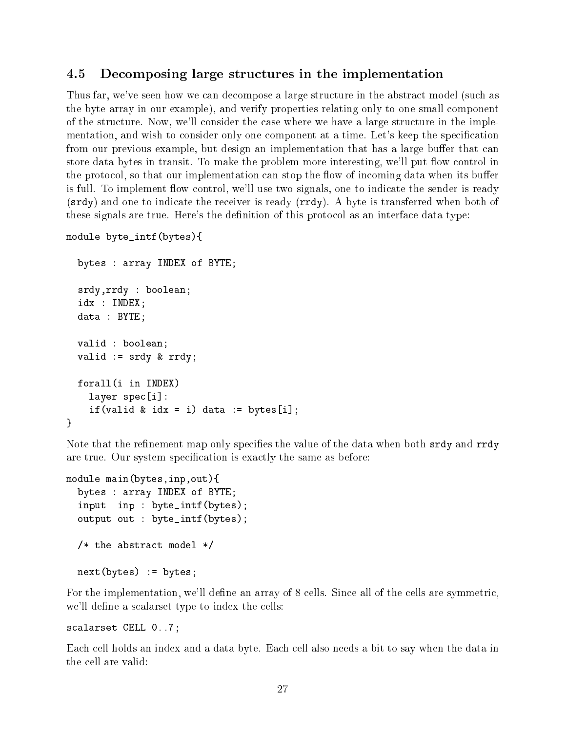#### 4.5 Decomposing large structures in the implementation

Thus far, we've seen how we can decompose a large structure in the abstract model (such as the byte array in our example), and verify properties relating only to one small component of the structure. Now, we'll consider the case where we have a large structure in the implementation, and wish to consider only one component at a time. Let's keep the specication from our previous example, but design an implementation that has a large buffer that can store data bytes in transit. To make the problem more interesting, we'll put flow control in the protocol, so that our implementation can stop the flow of incoming data when its buffer is full. To implement flow control, we'll use two signals, one to indicate the sender is ready (srdy) and one to indicate the receiver is ready (rrdy). A byte is transferred when both of these signals are true. Here's the definition of this protocol as an interface data type:

```
module byte_intf(bytes){
```

```
bytes : array INDEX of BYTE;
  srdy,rrdy : boolean;
  idx : INDEX;
  data : BYTE;
  valid : boolean;
  valid := srdy & rrdy;
  forall(i in INDEX)
    layer spec[i]:
    if(valid & idx = i) data := bytes[i];
\mathcal{F}}
```
Note that the refinement map only specifies the value of the data when both srdy and rrdy are true. Our system specification is exactly the same as before:

```
module main(bytes,inp,out){
 bytes : array INDEX of BYTE;
 input inp : byte_intf(bytes);
 output out : byte_intf(bytes);
 /* the abstract model */
 next(bytes) := bytes;
```
For the implementation, we'll define an array of 8 cells. Since all of the cells are symmetric, we'll define a scalarset type to index the cells:

```
scalarset CELL 0..7;
```
Each cell holds an index and a data byte. Each cell also needs a bit to say when the data in the cell are valid: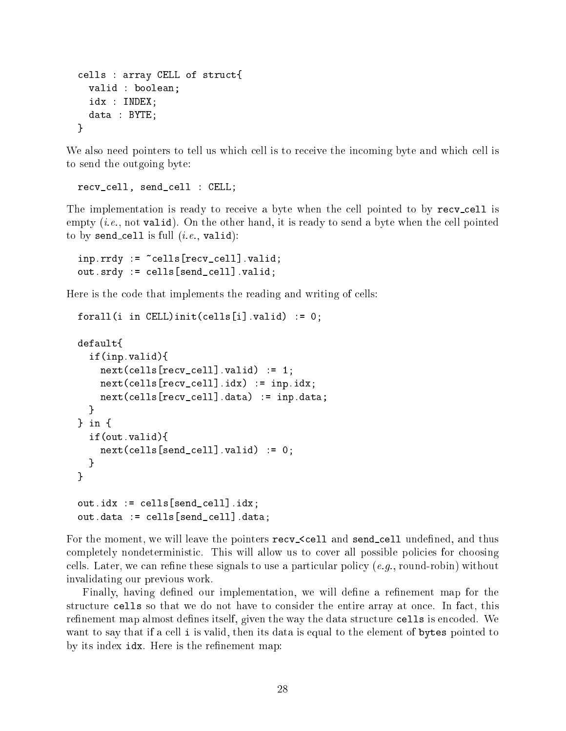```
cells : array CELL of struct{
  valid : boolean;
  idx : INDEX;
  data : BYTE;
\mathcal{L}}
```
We also need pointers to tell us which cell is to receive the incoming byte and which cell is to send the outgoing byte:

```
recv_cell, send_cell : CELL;
```
The implementation is ready to receive a byte when the cell pointed to by recv-cell is empty  $(i.e., not valid)$ . On the other hand, it is ready to send a byte when the cell pointed to by send cell is full  $(i.e., \text{valid})$ :

```
inp.rrdy := ~cells[recv_cell].valid;
out.srdy := cells[send_cell].valid;
```
Here is the code that implements the reading and writing of cells:

```
forall(i in CELL)init(cells[i].valid) := 0;
\sim \sim \sim \sim \simif(inp.valid){
    next(cells[recv_cell].valid) := 1;next(cells[recv_cell].idx) := inp.idx;
    next(cells[recv_cell].data) := inp.data;
  \mathcal{L}}
\frac{1}{2} in \frac{1}{2}} in {
  if(out.valid){
    next(cells[send_cell], valid) := 0;\mathcal{L}}
}
out.idx := cells[send_cell].idx;
out.data := cells[send_cell].data;
```
For the moment, we will leave the pointers recv- $\le$ cell and send-cell undefined, and thus completely nondeterministic. This will allow us to cover all possible policies for choosing cells. Later, we can refine these signals to use a particular policy (e.g., round-robin) without invalidating our previous work.

Finally, having defined our implementation, we will define a refinement map for the structure cells so that we do not have to consider the entire array at once. In fact, this refinement map almost defines itself, given the way the data structure cells is encoded. We want to say that if a cell i is valid, then its data is equal to the element of bytes pointed to by its index  $idx$ . Here is the refinement map: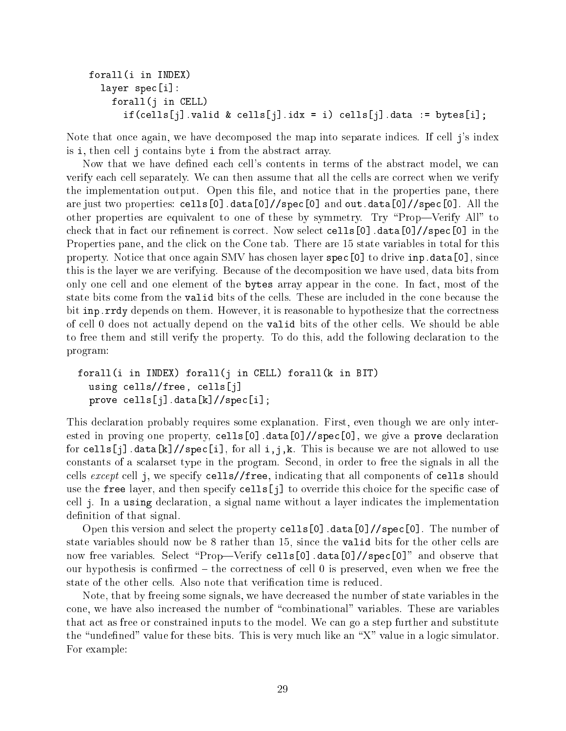```
forall(i in INDEX)
  layer spec[i]:
    forall(j in CELL)
      if(cells[j].valid & cells[j].idx = i) cells[j].data := bytes[i];
```
Note that once again, we have decomposed the map into separate indices. If cell j's index is i, then cell j contains byte i from the abstract array.

Now that we have defined each cell's contents in terms of the abstract model, we can verify each cell separately. We can then assume that all the cells are correct when we verify the implementation output. Open this file, and notice that in the properties pane, there are just two properties: cells[0].data[0]//spec[0] and out.data[0]//spec[0]. All the other properties are equivalent to one of these by symmetry. Try \Prop|Verify All" to check that in fact our refinement is correct. Now select cells [0]  $\ldots$  data[0]/ $\ell$ spec[0] in the Properties pane, and the click on the Cone tab. There are 15 state variables in total for this property. Notice that once again SMV has chosen layer spec[0] to drive inp.data[0], since this is the layer we are verifying. Because of the decomposition we have used, data bits from only one cell and one element of the bytes array appear in the cone. In fact, most of the state bits come from the valid bits of the cells. These are included in the cone because the bit inp.rrdy depends on them. However, it is reasonable to hypothesize that the correctness of cell 0 does not actually depend on the valid bits of the other cells. We should be able to free them and still verify the property. To do this, add the following declaration to the program:

```
forall(i in INDEX) forall(j in CELL) forall(k in BIT)
  using cells//free, cells[j]
  prove cells[j].data[k]//spec[i];
```
This declaration probably requires some explanation. First, even though we are only interested in proving one property, cells[0].data[0]//spec[0], we give a prove declaration for cells[j].data[k]//spec[i], for all i,j,k. This is because we are not allowed to use constants of a scalarset type in the program. Second, in order to free the signals in all the cells except cell j, we specify cells//free, indicating that all components of cells should use the free layer, and then specify  $\text{cells}[j]$  to override this choice for the specific case of cell j. In a using declaration, a signal name without a layer indicates the implementation definition of that signal.

Open this version and select the property cells  $[0]$ . data $[0]$ //spec $[0]$ . The number of state variables should now be 8 rather than 15, since the valid bits for the other cells are now free variables. Select "Prop—Verify cells[0].data[0]//spec[0]" and observe that our hypothesis is confirmed – the correctness of cell 0 is preserved, even when we free the state of the other cells. Also note that verification time is reduced.

Note, that by freeing some signals, we have decreased the number of state variables in the cone, we have also increased the number of \combinational" variables. These are variables that act as free or constrained inputs to the model. We can go a step further and substitute the "undefined" value for these bits. This is very much like an "X" value in a logic simulator. For example: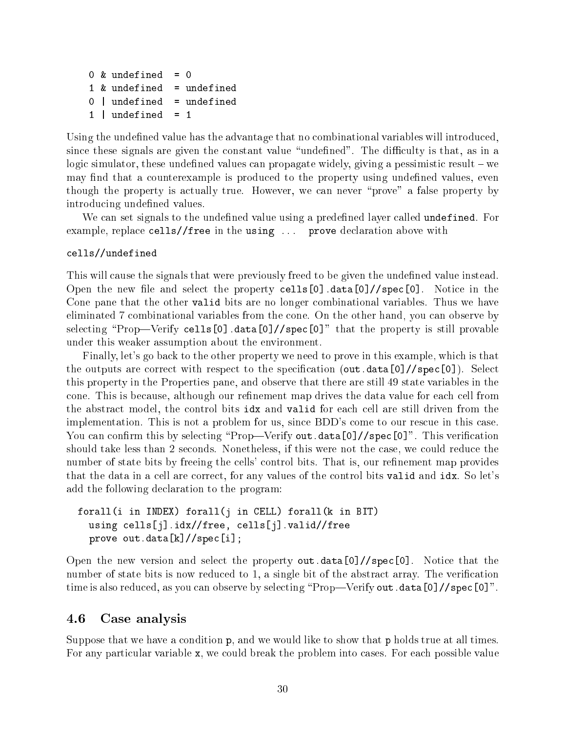```
= 00 & undefined
1 & undefined
               = undefined
0 | undefined = undefined
1 | undefined = 1
```
Using the undefined value has the advantage that no combinational variables will introduced. since these signals are given the constant value "undefined". The difficulty is that, as in a logic simulator, these undefined values can propagate widely, giving a pessimistic result  $-\infty$ may find that a counterexample is produced to the property using undefined values, even though the property is actually true. However, we can never \prove" a false property by introducing undefined values.

We can set signals to the undefined value using a predefined layer called undefined. For example, replace cells//free in the using ... prove declaration above with

#### cells//undefined

This will cause the signals that were previously freed to be given the undefined value instead. Open the new file and select the property  $\text{cells}[0]$ .data[0]//spec[0]. Notice in the Cone pane that the other valid bits are no longer combinational variables. Thus we have eliminated 7 combinational variables from the cone. On the other hand, you can observe by selecting "Prop—Verify cells[0].data[0]//spec[0]" that the property is still provable under this weaker assumption about the environment.

Finally, let's go back to the other property we need to prove in this example, which is that the outputs are correct with respect to the specification (out.data[0]//spec[0]). Select this property in the Properties pane, and observe that there are still 49 state variables in the cone. This is because, although our refinement map drives the data value for each cell from the abstract model, the control bits idx and valid for each cell are still driven from the implementation. This is not a problem for us, since BDD's come to our rescue in this case. You can confirm this by selecting "Prop—Verify out.data[0]//spec[0]". This verification should take less than 2 seconds. Nonetheless, if this were not the case, we could reduce the number of state bits by freeing the cells' control bits. That is, our refinement map provides that the data in a cell are correct, for any values of the control bits valid and idx. So let's add the following declaration to the program:

## forall(i in INDEX) forall(j in CELL) forall(k in BIT) using cells[j].idx//free, cells[j].valid//free prove out.data[k]//spec[i];

Open the new version and select the property out.data[0]//spec[0]. Notice that the number of state bits is now reduced to 1, a single bit of the abstract array. The verification time is also reduced, as you can observe by selecting "Prop—Verify out.data[0]//spec[0]".

## 4.6 Case analysis

Suppose that we have a condition p, and we would like to show that p holds true at all times. For any particular variable x, we could break the problem into cases. For each possible value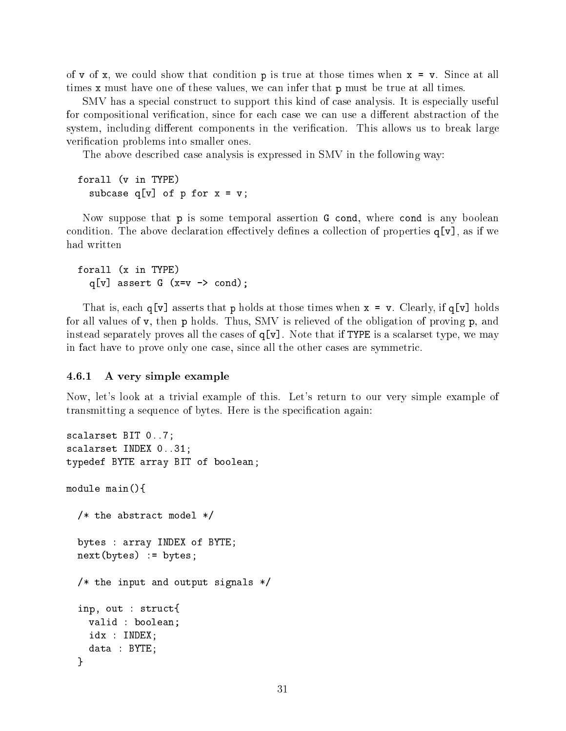of v of x, we could show that condition p is true at those times when  $x = v$ . Since at all times x must have one of these values, we can infer that p must be true at all times.

SMV has a special construct to support this kind of case analysis. It is especially useful for compositional verification, since for each case we can use a different abstraction of the system, including different components in the verification. This allows us to break large verification problems into smaller ones.

The above described case analysis is expressed in SMV in the following way:

forall (v in TYPE) subcase  $q[v]$  of p for  $x = v$ ;

Now suppose that p is some temporal assertion G cond, where cond is any boolean condition. The above declaration effectively defines a collection of properties  $q[v]$ , as if we had written

```
forall (x in TYPE)
  q[v] assert G (x=v -> cond);
```
That is, each  $q[v]$  asserts that p holds at those times when  $x = v$ . Clearly, if  $q[v]$  holds for all values of v, then p holds. Thus, SMV is relieved of the obligation of proving p, and instead separately proves all the cases of  $q[v]$ . Note that if TYPE is a scalarset type, we may in fact have to prove only one case, since all the other cases are symmetric.

#### 4.6.1 A very simple example

Now, let's look at a trivial example of this. Let's return to our very simple example of transmitting a sequence of bytes. Here is the specification again:

```
scalarset BIT 0..7;
scalarset INDEX 0..31;
typedef BYTE array BIT of boolean;
module main(){
  /* the abstract model */
  bytes : array INDEX of BYTE;
 next(bytes) := bytes;
  /* the input and output signals */
  inp, out : struct{
    valid : boolean;
    idx : INDEX;
    data : BYTE;
  \mathcal{L}}
```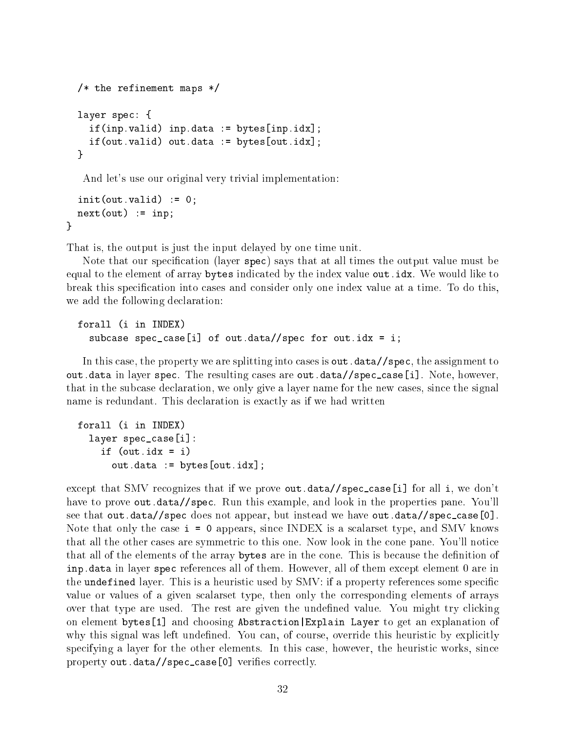```
/* the refinement maps */layer spec: {
  if(inp.valid) inp.data := bytes[inp.idx];
  if(out.valid) out.data := bytes[out.idx];
}
```
And let's use our original very trivial implementation:

```
init(out.valid) := 0;next(out) := inp;\mathcal{F}
```
}

That is, the output is just the input delayed by one time unit.

Note that our specification (layer spec) says that at all times the output value must be equal to the element of array bytes indicated by the index value out.idx. We would like to break this specification into cases and consider only one index value at a time. To do this, we add the following declaration:

```
forall (i in INDEX)
  subcase spec_case[i] of out.data//spec for out.idx = i;
```
In this case, the property we are splitting into cases is out.data//spec, the assignment to out.data in layer spec. The resulting cases are out.data//spec case[i]. Note, however, that in the subcase declaration, we only give a layer name for the new cases, since the signal name is redundant. This declaration is exactly as if we had written

```
forall (i in INDEX)
  layer spec_case[i]:
    if (out.idx = i)out.data := bytes[out.idx];
```
except that SMV recognizes that if we prove out.data//spec\_case[i] for all i, we don't have to prove out.data//spec. Run this example, and look in the properties pane. You'll see that out.data//spec does not appear, but instead we have out.data//spec case[0]. Note that only the case i = 0 appears, since INDEX is a scalarset type, and SMV knows that all the other cases are symmetric to this one. Now look in the cone pane. You'll notice that all of the elements of the array bytes are in the cone. This is because the definition of inp.data in layer spec references all of them. However, all of them except element 0 are in the undefined layer. This is a heuristic used by SMV: if a property references some specific value or values of a given scalarset type, then only the corresponding elements of arrays over that type are used. The rest are given the undefined value. You might try clicking on element bytes[1] and choosing Abstraction|Explain Layer to get an explanation of why this signal was left undefined. You can, of course, override this heuristic by explicitly specifying a layer for the other elements. In this case, however, the heuristic works, since property out.data//spec\_case[0] verifies correctly.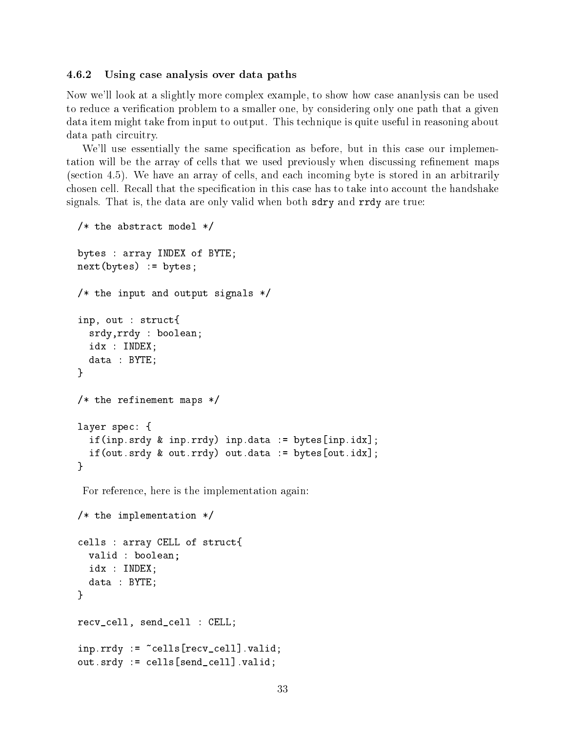#### 4.6.2 Using case analysis over data paths

Now we'll look at a slightly more complex example, to show how case ananlysis can be used to reduce a verification problem to a smaller one, by considering only one path that a given data item might take from input to output. This technique is quite useful in reasoning about data path circuitry.

We'll use essentially the same specification as before, but in this case our implementation will be the array of cells that we used previously when discussing refinement maps (section 4.5). We have an array of cells, and each incoming byte is stored in an arbitrarily chosen cell. Recall that the specication in this case has to take into account the handshake signals. That is, the data are only valid when both sdry and rrdy are true:

```
/* the abstract model */
bytes : array INDEX of BYTE;
next(bytes) := bytes;
/* the input and output signals */inp, out : struct{
  srdy,rrdy : boolean;
  idx : INDEX;
  data : BYTE;
}
/* the refinement maps */
layer spec: {
  if(inp.srdy & inp.rrdy) inp.data := bytes[inp.idx];
  if(out.srdy & out.rrdy) out.data := bytes[out.idx];
}
 For reference, here is the implementation again:
/* the implementation */
cells : array CELL of struct{
  valid : boolean;
  idx : INDEX;
  data : BYTE;
}
recv_cell, send_cell : CELL;
inp.rrdy := \text{cells}[recv_cell].valid;
```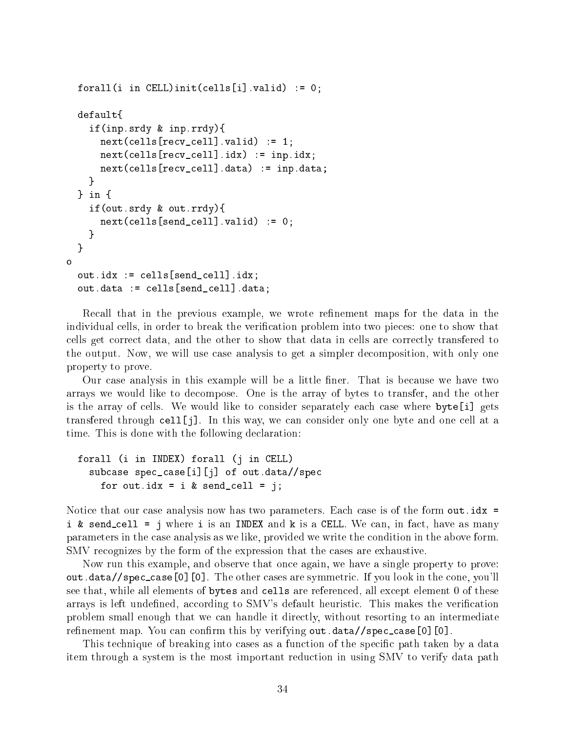```
forall(i in CELL)init(cells[i].valid) := 0;
  \sim \sim \sim \sim \simif(inp.srdy & inp.rrdy){
      next(cells[recv_cell].valid) := 1;next(cells[recv_cell].idx) := inp.idx;next(cells[recv_cell].data) := inp.data;
    ł
    }
  } in {
    if(out.srdy & out.rrdy){
      next(cells[send_cell].valid) := 0;\mathcal{L}}
  }
o
  out.idx := cells[send_cell].idx;
  out.data := cells[send_cell].data;
```
Recall that in the previous example, we wrote refinement maps for the data in the individual cells, in order to break the verication problem into two pieces: one to show that cells get correct data, and the other to show that data in cells are correctly transfered to the output. Now, we will use case analysis to get a simpler decomposition, with only one property to prove.

Our case analysis in this example will be a little ner. That is because we have two arrays we would like to decompose. One is the array of bytes to transfer, and the other is the array of cells. We would like to consider separately each case where byte[i] gets transfered through cell[j]. In this way, we can consider only one byte and one cell at a time. This is done with the following declaration:

```
forall (i in INDEX) forall (j in CELL)
  subcase spec_case[i][j] of out.data//spec
    for out.idx = i & send_cell = j;
```
Notice that our case analysis now has two parameters. Each case is of the form out. idx = i & send\_cell = j where i is an INDEX and  $k$  is a CELL. We can, in fact, have as many parameters in the case analysis as we like, provided we write the condition in the above form. SMV recognizes by the form of the expression that the cases are exhaustive.

Now run this example, and observe that once again, we have a single property to prove: out.data//spec case[0][0]. The other cases are symmetric. If you look in the cone, you'll see that, while all elements of bytes and cells are referenced, all except element 0 of these arrays is left undefined, according to  $\text{SMV's}$  default heuristic. This makes the verification problem small enough that we can handle it directly, without resorting to an intermediate refinement map. You can confirm this by verifying out.data//spec\_case[0][0].

This technique of breaking into cases as a function of the specic path taken by a data item through a system is the most important reduction in using SMV to verify data path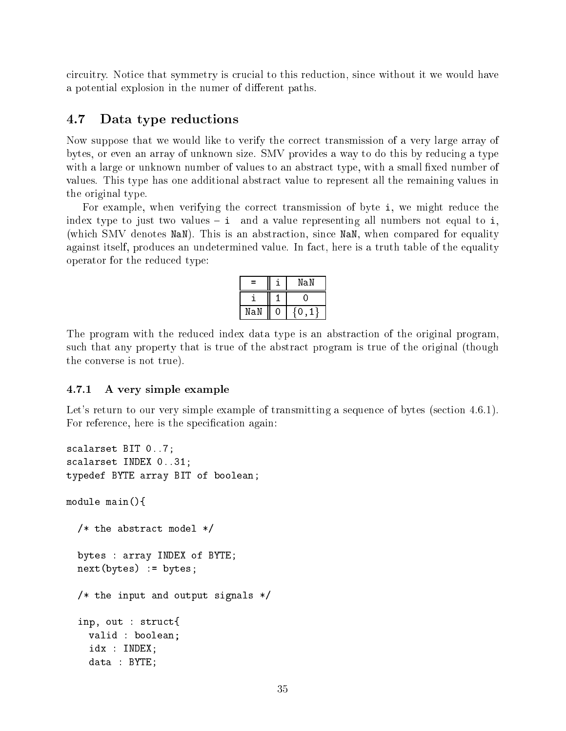circuitry. Notice that symmetry is crucial to this reduction, since without it we would have a potential explosion in the numer of different paths.

#### 4.7 Data type reductions

Now suppose that we would like to verify the correct transmission of a very large array of bytes, or even an array of unknown size. SMV provides a way to do this by reducing a type with a large or unknown number of values to an abstract type, with a small fixed number of values. This type has one additional abstract value to represent all the remaining values in the original type.

For example, when verifying the correct transmission of byte i, we might reduce the index type to just two values  ${\bf -i}$  and a value representing all numbers not equal to i, (which SMV denotes NaN). This is an abstraction, since NaN, when compared for equality against itself, produces an undetermined value. In fact, here is a truth table of the equality operator for the reduced type:

| ═   | NaN |
|-----|-----|
|     |     |
| NaN |     |

The program with the reduced index data type is an abstraction of the original program, such that any property that is true of the abstract program is true of the original (though the converse is not true).

#### 4.7.1 A very simple example

Let's return to our very simple example of transmitting a sequence of bytes (section 4.6.1). For reference, here is the specification again:

```
scalarset BIT 0..7;
scalarset INDEX 0..31;
typedef BYTE array BIT of boolean;
module main(){
  /* the abstract model */
  bytes : array INDEX of BYTE;
 next(bytes) := bytes;
  /* the input and output signals */
  inp, out : struct{
    valid : boolean;
    idx : INDEX;
    data : BYTE;
```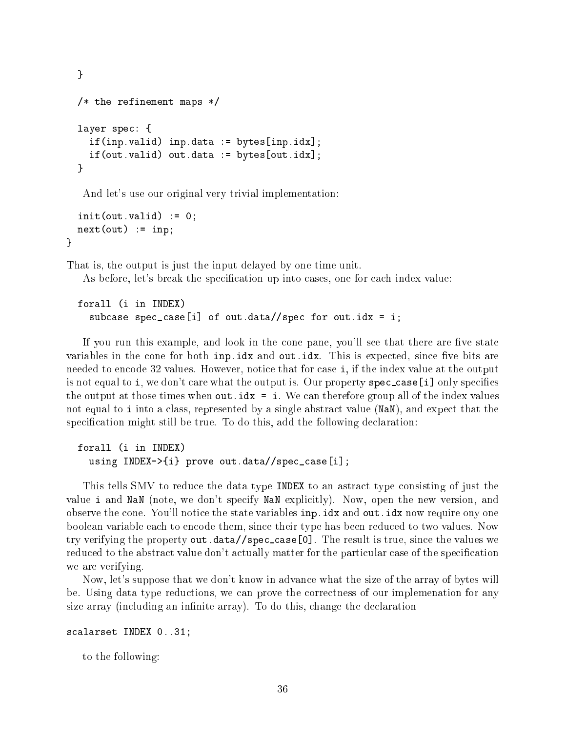```
}
/* the refinement maps */
layer spec: {
  if(inp.valid) inp.data := bytes[inp.idx];
  if(out.valid) out.data := bytes[out.idx];
}
```
And let's use our original very trivial implementation:

```
init(out.valid) := 0;next(out) := inp;}
```
That is, the output is just the input delayed by one time unit.

As before, let's break the specification up into cases, one for each index value:

```
forall (i in INDEX)
  subcase spec_case[i] of out.data//spec for out.idx = i;
```
If you run this example, and look in the cone pane, you'll see that there are five state variables in the cone for both  $inp.idx$  and  $out.idx$ . This is expected, since five bits are needed to encode 32 values. However, notice that for case i, if the index value at the output is not equal to i, we don't care what the output is. Our property spec-case [i] only specifies the output at those times when out.idx = i. We can therefore group all of the index values not equal to i into a class, represented by a single abstract value (NaN), and expect that the specification might still be true. To do this, add the following declaration:

```
forall (i in INDEX)
  using INDEX->{i} prove out.data//spec_case[i];
```
This tells SMV to reduce the data type INDEX to an astract type consisting of just the value i and NaN (note, we don't specify NaN explicitly). Now, open the new version, and observe the cone. You'll notice the state variables inp.idx and out.idx now require ony one boolean variable each to encode them, since their type has been reduced to two values. Now try verifying the property out.data//spec case[0]. The result is true, since the values we reduced to the abstract value don't actually matter for the particular case of the specication we are verifying.

Now, let's suppose that we don't know in advance what the size of the array of bytes will be. Using data type reductions, we can prove the correctness of our implemenation for any size array (including an infinite array). To do this, change the declaration

# scalarset INDEX 0..31;

to the following: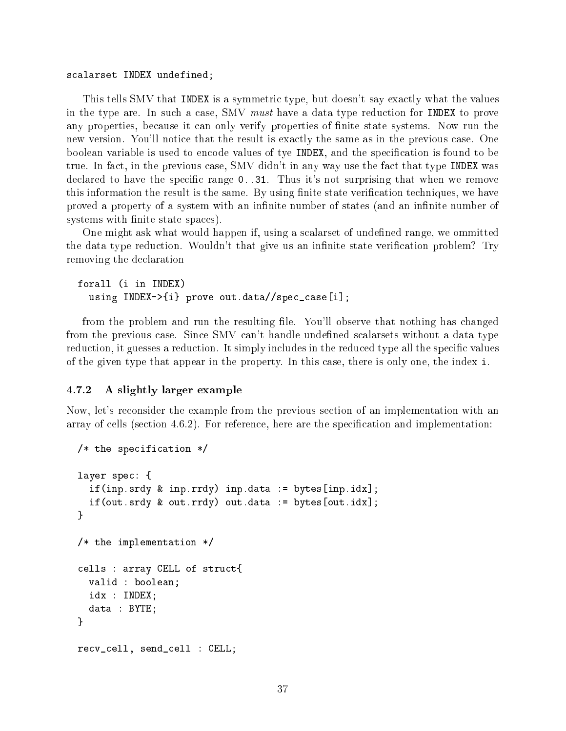## scalarset INDEX undefined;

This tells SMV that INDEX is a symmetric type, but doesn't say exactly what the values in the type are. In such a case, SMV *must* have a data type reduction for INDEX to prove any properties, because it can only verify properties of nite state systems. Now run the new version. You'll notice that the result is exactly the same as in the previous case. One boolean variable is used to encode values of tye INDEX, and the specication is found to be true. In fact, in the previous case, SMV didn't in any way use the fact that type INDEX was declared to have the specific range  $0.31$ . Thus it's not surprising that when we remove this information the result is the same. By using finite state verification techniques, we have proved a property of a system with an infinite number of states (and an infinite number of systems with finite state spaces).

One might ask what would happen if, using a scalarset of undefined range, we ommitted the data type reduction. Wouldn't that give us an infinite state verification problem? Try removing the declaration

```
forall (i in INDEX)
  using INDEX->{i} prove out.data//spec_case[i];
```
from the problem and run the resulting file. You'll observe that nothing has changed from the previous case. Since SMV can't handle undefined scalarsets without a data type reduction, it guesses a reduction. It simply includes in the reduced type all the specific values of the given type that appear in the property. In this case, there is only one, the index i.

## 4.7.2 A slightly larger example

Now, let's reconsider the example from the previous section of an implementation with an array of cells (section 4.6.2). For reference, here are the specification and implementation:

```
/* the specification */
layer spec: {
  if(inp.srdy & inp.rrdy) inp.data := bytes[inp.idx];
  if(out.srdy & out.rrdy) out.data := bytes[out.idx];
\mathbf{r}}
/* the implementation */
cells : array CELL of struct{
  valid : boolean;
  idx : INDEX;
  data : BYTE;
}
recv_cell, send_cell : CELL;
```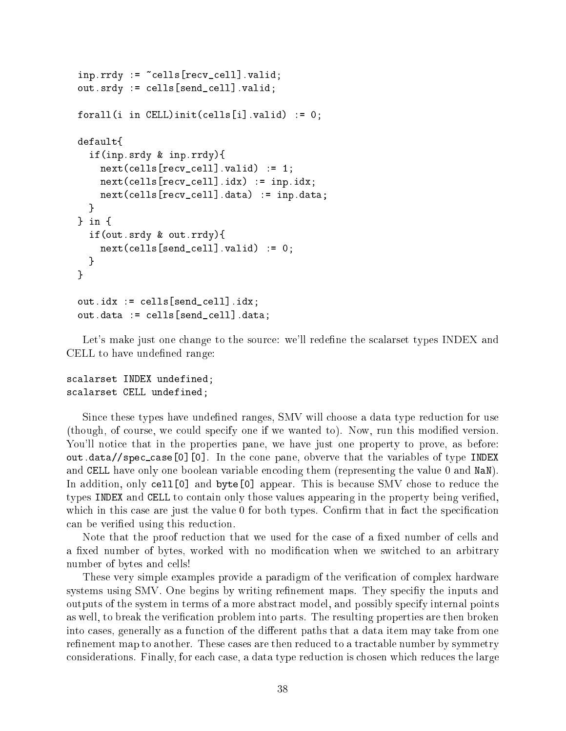```
inp.rrdy := \text{cells}[recv_cell]] .valid;out.srdy := cells[send_cell].valid;
forall(i in CELL)init(cells[i].valid) := 0;default{
\sim \sim \sim \sim \simif(inp.srdy & inp.rrdy){
    next(cells[recv_cell] . valid) := 1;next(cells[recv_cell].idx) := inp.idx;next(cells[recv_cell].data) := inp.data;
  ł
  }
} in {
  if(out.srdy & out.rrdy){
    next(cells[send_cell], valid) := 0;}
}
out.idx := cells[send_cell].idx;
out.data := cells[send_cell].data;
```
Let's make just one change to the source: we'll redefine the scalarset types INDEX and CELL to have undefined range:

# scalarset INDEX undefined; scalarset CELL undefined;

Since these types have undefined ranges, SMV will choose a data type reduction for use (though, of course, we could specify one if we wanted to). Now, run this modied version. You'll notice that in the properties pane, we have just one property to prove, as before: out.data//spec case[0][0]. In the cone pane, obverve that the variables of type INDEX and CELL have only one boolean variable encoding them (representing the value 0 and NaN). In addition, only cell[0] and byte[0] appear. This is because SMV chose to reduce the types INDEX and CELL to contain only those values appearing in the property being veried, which in this case are just the value  $0$  for both types. Confirm that in fact the specification can be veried using this reduction.

Note that the proof reduction that we used for the case of a fixed number of cells and a fixed number of bytes, worked with no modification when we switched to an arbitrary number of bytes and cells!

These very simple examples provide a paradigm of the verification of complex hardware systems using SMV. One begins by writing refinement maps. They specifiy the inputs and outputs of the system in terms of a more abstract model, and possibly specify internal points as well, to break the verification problem into parts. The resulting properties are then broken into cases, generally as a function of the different paths that a data item may take from one refinement map to another. These cases are then reduced to a tractable number by symmetry considerations. Finally, for each case, a data type reduction is chosen which reduces the large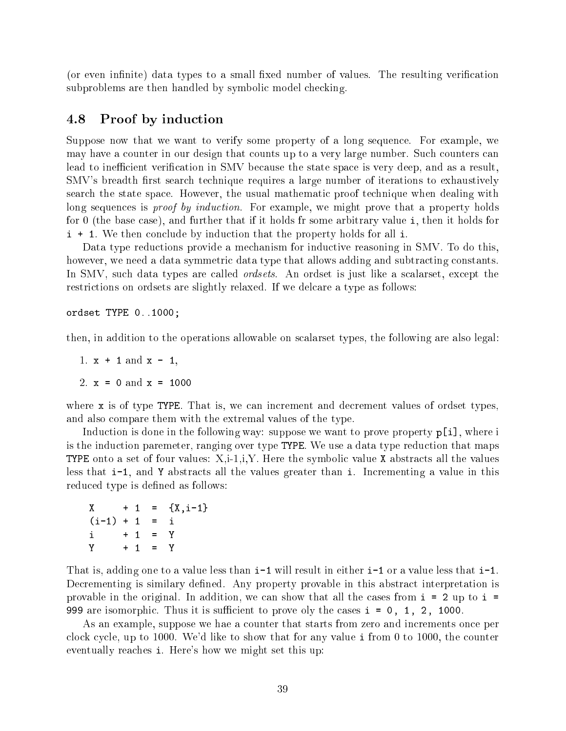(or even infinite) data types to a small fixed number of values. The resulting verification subproblems are then handled by symbolic model checking.

# 4.8 Proof by induction

Suppose now that we want to verify some property of a long sequence. For example, we may have a counter in our design that counts up to a very large number. Such counters can lead to inefficient verification in SMV because the state space is very deep, and as a result. SMV's breadth first search technique requires a large number of iterations to exhaustively search the state space. However, the usual mathematic proof technique when dealing with long sequences is *proof by induction*. For example, we might prove that a property holds for 0 (the base case), and further that if it holds fr some arbitrary value i, then it holds for i + 1. We then conclude by induction that the property holds for all i.

Data type reductions provide a mechanism for inductive reasoning in SMV. To do this, however, we need a data symmetric data type that allows adding and subtracting constants. In SMV, such data types are called *ordsets*. An ordset is just like a scalarset, except the restrictions on ordsets are slightly relaxed. If we delcare a type as follows:

ordset TYPE 0..1000;

then, in addition to the operations allowable on scalarset types, the following are also legal:

1.  $x + 1$  and  $x - 1$ ,

2.  $x = 0$  and  $x = 1000$ 

where x is of type TYPE. That is, we can increment and decrement values of ordset types, and also compare them with the extremal values of the type.

Induction is done in the following way: suppose we want to prove property  $p[i]$ , where i is the induction paremeter, ranging over type TYPE. We use a data type reduction that maps TYPE onto a set of four values:  $X,i-1,i,Y$ . Here the symbolic value X abstracts all the values less that i-1, and Y abstracts all the values greater than i. Incrementing a value in this reduced type is defined as follows:

|                 |  |           | $X + 1 = {X, i-1}$ |
|-----------------|--|-----------|--------------------|
| $(i-1) + 1 = i$ |  |           |                    |
| $i + 1 = Y$     |  |           |                    |
| Y               |  | $+ 1 = Y$ |                    |

That is, adding one to a value less than  $i-1$  will result in either  $i-1$  or a value less that  $i-1$ . Decrementing is similary defined. Any property provable in this abstract interpretation is provable in the original. In addition, we can show that all the cases from  $i = 2$  up to  $i =$ 999 are isomorphic. Thus it is sufficient to prove oly the cases  $i = 0, 1, 2, 1000$ .

As an example, suppose we hae a counter that starts from zero and increments once per clock cycle, up to 1000. We'd like to show that for any value i from 0 to 1000, the counter eventually reaches i. Here's how we might set this up: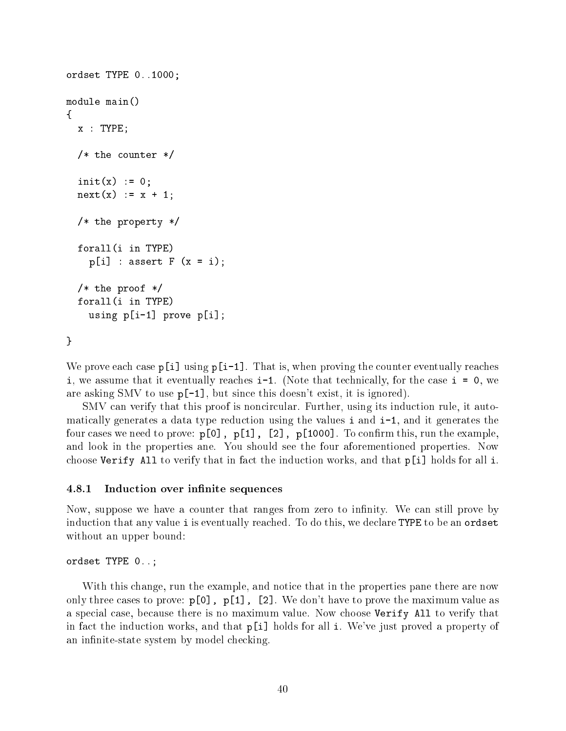```
ordset TYPE 0..1000;
module main()
\simx : TYPE;
  /* the counter */init(x) := 0;next(x) := x + 1;/* the property */
  forall(i in TYPE)
    p[i] : assert F (x = i);
  /* the proof */forall(i in TYPE)
    using p[i-1] prove p[i];
```
 $\mathcal{F}$ }

We prove each case  $p[i]$  using  $p[i-1]$ . That is, when proving the counter eventually reaches i, we assume that it eventually reaches i-1. (Note that technically, for the case i = 0, we are asking SMV to use p[-1], but since this doesn't exist, it is ignored).

SMV can verify that this proof is noncircular. Further, using its induction rule, it automatically generates a data type reduction using the values i and i-1, and it generates the four cases we need to prove:  $p[0]$ ,  $p[1]$ ,  $[2]$ ,  $p[1000]$ . To confirm this, run the example, and look in the properties ane. You should see the four aforementioned properties. Now choose Verify All to verify that in fact the induction works, and that p[i] holds for all i.

#### 4.8.1 Induction over infinite sequences

Now, suppose we have a counter that ranges from zero to infinity. We can still prove by induction that any value i is eventually reached. To do this, we declare TYPE to be an ordset without an upper bound:

```
ordset TYPE 0..;
```
With this change, run the example, and notice that in the properties pane there are now only three cases to prove:  $p[0]$ ,  $p[1]$ ,  $[2]$ . We don't have to prove the maximum value as a special case, because there is no maximum value. Now choose Verify All to verify that in fact the induction works, and that p[i] holds for all i. We've just proved a property of an infinite-state system by model checking.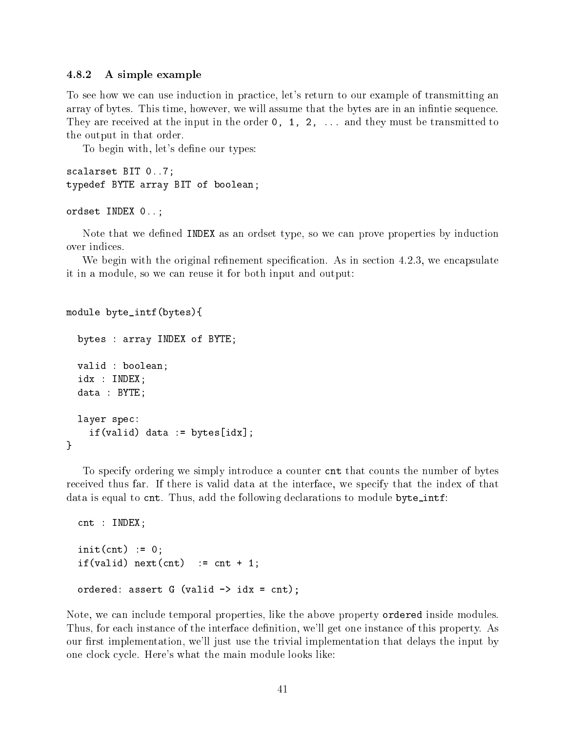## 4.8.2 A simple example

To see how we can use induction in practice, let's return to our example of transmitting an array of bytes. This time, however, we will assume that the bytes are in an infinite sequence. They are received at the input in the order  $0, 1, 2, \ldots$  and they must be transmitted to the output in that order.

To begin with, let's define our types:

```
scalarset BIT 0..7;
typedef BYTE array BIT of boolean;
```

```
ordset INDEX 0..;
```
Note that we defined INDEX as an ordset type, so we can prove properties by induction over indices.

We begin with the original refinement specification. As in section  $4.2.3$ , we encapsulate it in a module, so we can reuse it for both input and output:

```
module byte_intf(bytes){
  bytes : array INDEX of BYTE;
  valid : boolean;
  idx : INDEX;
  data : BYTE;
  layer spec:
    if(valid) data := bytes[idx];}
```
To specify ordering we simply introduce a counter cnt that counts the number of bytes received thus far. If there is valid data at the interface, we specify that the index of that data is equal to cnt. Thus, add the following declarations to module byte\_intf:

```
cnt : INDEX;
init(int) := 0;if(valid) next(cnt) := cnt + 1;
ordered: assert G (valid \rightarrow idx = cnt);
```
Note, we can include temporal properties, like the above property ordered inside modules. Thus, for each instance of the interface definition, we'll get one instance of this property. As our first implementation, we'll just use the trivial implementation that delays the input by one clock cycle. Here's what the main module looks like: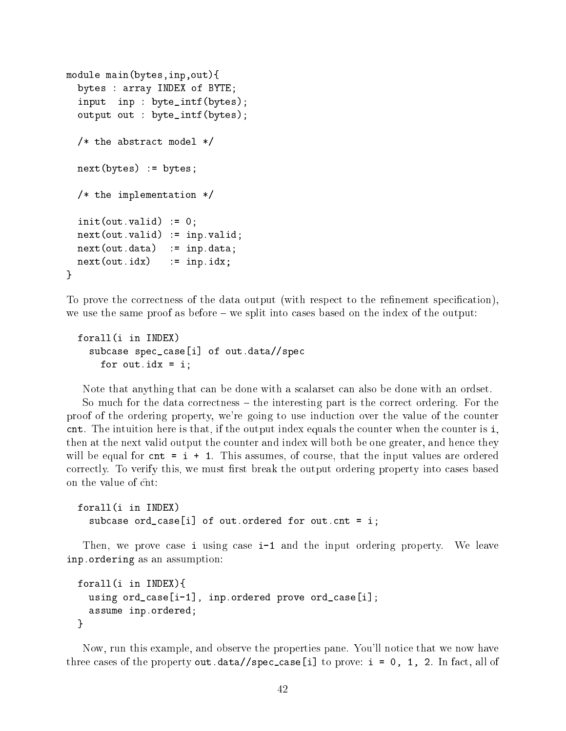```
module main(bytes,inp,out){
   bytes : array INDEX of BYTE;
   input inp : byte_intf(bytes);
   output out : byte_intf(bytes);
   /* the abstract model *//* the abstract model */
   next(bytes) := bytes;
   /* the implementation */
   \sim 0.000 \sim 0.000 \sim 0.000 \sim 0.000 \sim 0.000 \sim 0.000 \sim 0.000 \sim 0.000 \sim 0.000 \sim 0.000 \sim 0.000 \sim 0.000 \sim 0.000 \sim 0.000 \sim 0.000 \sim 0.000 \sim 0.000 \sim 0.000 \sim 0.000 \sim 0.000 next(out.valid) := inp.valid;next(out.data) := inp.data;
  next(out.idx) := inp.idx;
\mathcal{F}}
```
To prove the correctness of the data output (with respect to the refinement specification), we use the same proof as before  $-$  we split into cases based on the index of the output:

```
forall(i in INDEX)
 subcase spec_case[i] of out.data//spec
   for out.idx = i;
```
Note that anything that can be done with a scalarset can also be done with an ordset.

So much for the data correctness  $-$  the interesting part is the correct ordering. For the proof of the ordering property, we're going to use induction over the value of the counter cnt. The intuition here is that, if the output index equals the counter when the counter is i, then at the next valid output the counter and index will both be one greater, and hence they will be equal for  $cnt = i + 1$ . This assumes, of course, that the input values are ordered correctly. To verify this, we must first break the output ordering property into cases based on the value of cnt:

```
forall(i in INDEX)
  subcase ord_case[i] of out.ordered for out.cnt = i;
```
Then, we prove case i using case i-1 and the input ordering property. We leave inp.ordering as an assumption:

```
forall(i in INDEX){
  using ord_case[i-1], inp.ordered prove ord_case[i];
  assume inp.ordered;
\mathcal{L}
```
}

Now, run this example, and observe the properties pane. You'll notice that we now have three cases of the property out.data//spec\_case[i] to prove:  $i = 0, 1, 2$ . In fact, all of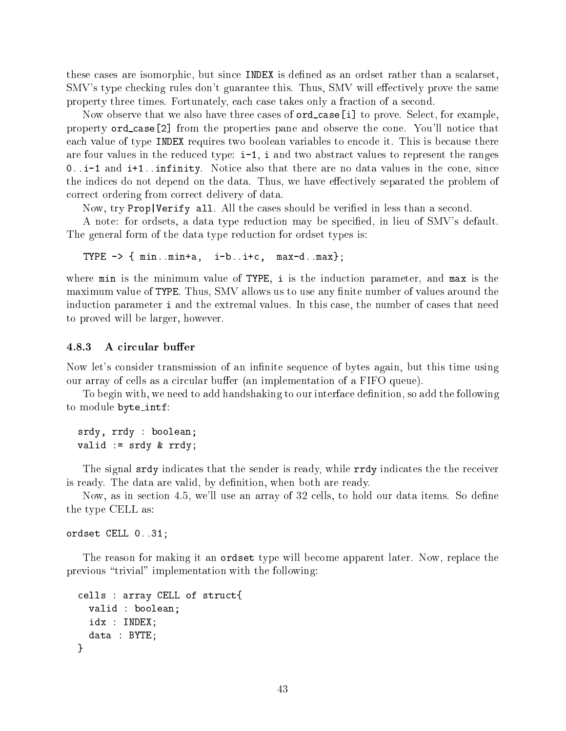these cases are isomorphic, but since INDEX is defined as an ordset rather than a scalarset. SMV's type checking rules don't guarantee this. Thus, SMV will effectively prove the same property three times. Fortunately, each case takes only a fraction of a second.

Now observe that we also have three cases of **ord\_case**[i] to prove. Select, for example, property ord case[2] from the properties pane and observe the cone. You'll notice that each value of type INDEX requires two boolean variables to encode it. This is because there are four values in the reduced type:  $i-1$ , i and two abstract values to represent the ranges 0..i-1 and i+1..infinity. Notice also that there are no data values in the cone, since the indices do not depend on the data. Thus, we have effectively separated the problem of correct ordering from correct delivery of data.

Now, try Prop|Verify all. All the cases should be veried in less than a second.

A note: for ordsets, a data type reduction may be specied, in lieu of SMV's default. The general form of the data type reduction for ordset types is:

TYPE  $\rightarrow$  { min..min+a, i-b..i+c, max-d..max};

where min is the minimum value of TYPE, i is the induction parameter, and max is the maximum value of TYPE. Thus, SMV allows us to use any finite number of values around the induction parameter i and the extremal values. In this case, the number of cases that need to proved will be larger, however.

#### 4.8.3 A circular buffer

Now let's consider transmission of an infinite sequence of bytes again, but this time using our array of cells as a circular buffer (an implementation of a FIFO queue).

To begin with, we need to add handshaking to our interface definition, so add the following to module byte intf:

srdy, rrdy : boolean; valid := srdy & rrdy;

The signal srdy indicates that the sender is ready, while rrdy indicates the the receiver is ready. The data are valid, by definition, when both are ready.

Now, as in section 4.5, we'll use an array of 32 cells, to hold our data items. So define the type CELL as:

ordset CELL 0..31;

The reason for making it an ordset type will become apparent later. Now, replace the previous \trivial" implementation with the following:

```
cells : array CELL of struct{
  valid : boolean;
  idx : INDEX;
  data : BYTE;
}
```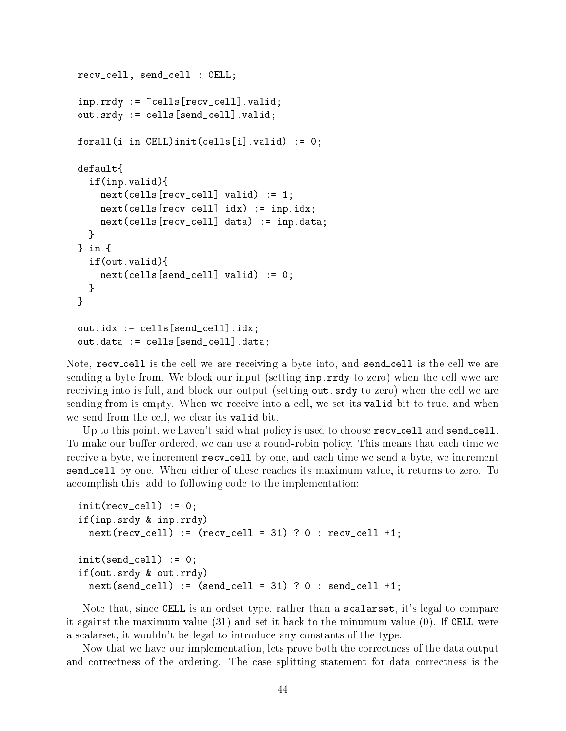```
recv_cell, send_cell : CELL;
inp.rrdy := \text{cells}[recv_cell]] . valid;out.srdy := cells[send_cell].valid;
forall(i in CELL)init(cells[i].valid) := 0;
default{
  if(inp.valid){
    next(cells[recv cell].valid) := 1;next(cells[recv_cell], idx) := inp.idx;next(cells[recv_cell].data) := inp.data;
  \mathcal{F}}
} in {
  if(out.valid){
    next(cells[send_cell], valid) := 0;ł
  }
\mathcal{L}}
out.idx := cells[send_cell].idx;
out.data := cells[send_cell].data;
```
Note, recv\_cell is the cell we are receiving a byte into, and send\_cell is the cell we are sending a byte from. We block our input (setting inp.rrdy to zero) when the cell wwe are receiving into is full, and block our output (setting out.srdy to zero) when the cell we are sending from is empty. When we receive into a cell, we set its valid bit to true, and when we send from the cell, we clear its valid bit.

Up to this point, we haven't said what policy is used to choose recv<sub>-cell</sub> and send-cell. To make our buffer ordered, we can use a round-robin policy. This means that each time we receive a byte, we increment recv-cell by one, and each time we send a byte, we increment send cell by one. When either of these reaches its maximum value, it returns to zero. To accomplish this, add to following code to the implementation:

```
init(recv_{cell}) := 0;
if(inp.srdy & inp.rrdy)
  next(recv\_cell) := (recv\_cell = 31) ? 0 : recv\_cell +1;
init(send cell) := 0;
if(out.srdy & out.rrdy)
  next(send_{cell}) := (send_cell = 31) ? 0 : send_cell +1;
```
Note that, since CELL is an ordset type, rather than a scalarset, it's legal to compare it against the maximum value (31) and set it back to the minumum value (0). If CELL were a scalarset, it wouldn't be legal to introduce any constants of the type.

Now that we have our implementation, lets prove both the correctness of the data output and correctness of the ordering. The case splitting statement for data correctness is the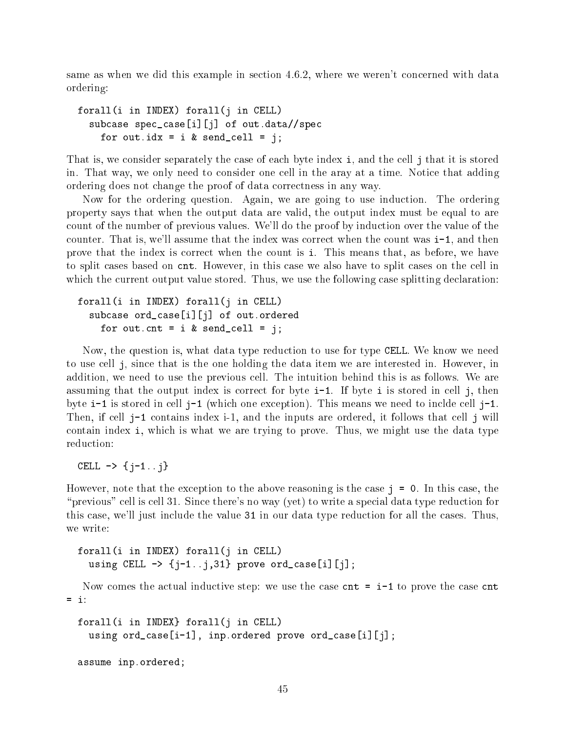same as when we did this example in section 4.6.2, where we weren't concerned with data ordering:

```
forall(i in INDEX) forall(j in CELL)
  subcase spec_case[i][j] of out.data//spec
    for out.idx = i & send_cell = j;
```
That is, we consider separately the case of each byte index i, and the cell j that it is stored in. That way, we only need to consider one cell in the aray at a time. Notice that adding ordering does not change the proof of data correctness in any way.

Now for the ordering question. Again, we are going to use induction. The ordering property says that when the output data are valid, the output index must be equal to are count of the number of previous values. We'll do the proof by induction over the value of the counter. That is, we'll assume that the index was correct when the count was i-1, and then prove that the index is correct when the count is i. This means that, as before, we have to split cases based on cnt. However, in this case we also have to split cases on the cell in which the current output value stored. Thus, we use the following case splitting declaration:

```
forall(i in INDEX) forall(j in CELL)
  subcase ord_case[i][j] of out.ordered
    for out.cnt = i & send_cell = j;
```
Now, the question is, what data type reduction to use for type CELL. We know we need to use cell j, since that is the one holding the data item we are interested in. However, in addition, we need to use the previous cell. The intuition behind this is as follows. We are assuming that the output index is correct for byte i-1. If byte i is stored in cell j, then byte  $i-1$  is stored in cell  $j-1$  (which one exception). This means we need to inclde cell  $j-1$ . Then, if cell j-1 contains index i-1, and the inputs are ordered, it follows that cell j will contain index i, which is what we are trying to prove. Thus, we might use the data type reduction:

CELL  $\rightarrow \{j-1..j\}$ 

However, note that the exception to the above reasoning is the case  $j = 0$ . In this case, the "previous" cell is cell 31. Since there's no way (yet) to write a special data type reduction for this case, we'll just include the value 31 in our data type reduction for all the cases. Thus, we write:

```
forall(i in INDEX) forall(j in CELL)
  using CELL \rightarrow {j-1..j,31} prove ord_case[i][j];
```
Now comes the actual inductive step: we use the case  $\text{cnt} = i-1$  to prove the case  $\text{cnt}$  $=$  i:

```
forall(i in INDEX} forall(j in CELL)
  using ord_case[i-1], inp.ordered prove ord_case[i][j];
assume inp.ordered;
```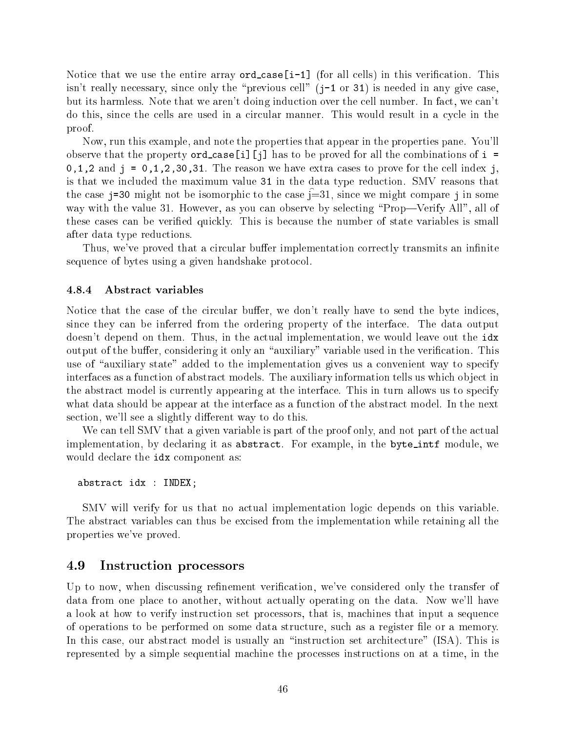Notice that we use the entire array  $ord\_case[i-1]$  (for all cells) in this verification. This isn't really necessary, since only the "previous cell" ( $j-1$  or 31) is needed in any give case. but its harmless. Note that we aren't doing induction over the cell number. In fact, we can't do this, since the cells are used in a circular manner. This would result in a cycle in the proof.

Now, run this example, and note the properties that appear in the properties pane. You'll observe that the property  $\text{ord-case[i][i]}$  has to be proved for all the combinations of  $i =$ 0,1,2 and j =  $0,1,2,30,31$ . The reason we have extra cases to prove for the cell index j. is that we included the maximum value 31 in the data type reduction. SMV reasons that the case j=30 might not be isomorphic to the case j=31, since we might compare j in some way with the value 31. However, as you can observe by selecting "Prop—Verify All", all of these cases can be veried quickly. This is because the number of state variables is small after data type reductions.

Thus, we've proved that a circular buffer implementation correctly transmits an infinite sequence of bytes using a given handshake protocol.

# 4.8.4 Abstract variables

Notice that the case of the circular buffer, we don't really have to send the byte indices. since they can be inferred from the ordering property of the interface. The data output doesn't depend on them. Thus, in the actual implementation, we would leave out the idx output of the buffer, considering it only an "auxiliary" variable used in the verification. This use of "auxiliary state" added to the implementation gives us a convenient way to specify interfaces as a function of abstract models. The auxiliary information tells us which object in the abstract model is currently appearing at the interface. This in turn allows us to specify what data should be appear at the interface as a function of the abstract model. In the next section, we'll see a slightly different way to do this.

We can tell SMV that a given variable is part of the proof only, and not part of the actual implementation, by declaring it as abstract. For example, in the byte\_intf module, we would declare the idx component as:

abstract idx : INDEX;

SMV will verify for us that no actual implementation logic depends on this variable. The abstract variables can thus be excised from the implementation while retaining all the properties we've proved.

# 4.9 Instruction processors

Up to now, when discussing refinement verification, we've considered only the transfer of data from one place to another, without actually operating on the data. Now we'll have a look at how to verify instruction set processors, that is, machines that input a sequence of operations to be performed on some data structure, such as a register le or a memory. In this case, our abstract model is usually an "instruction set architecture" (ISA). This is represented by a simple sequential machine the processes instructions on at a time, in the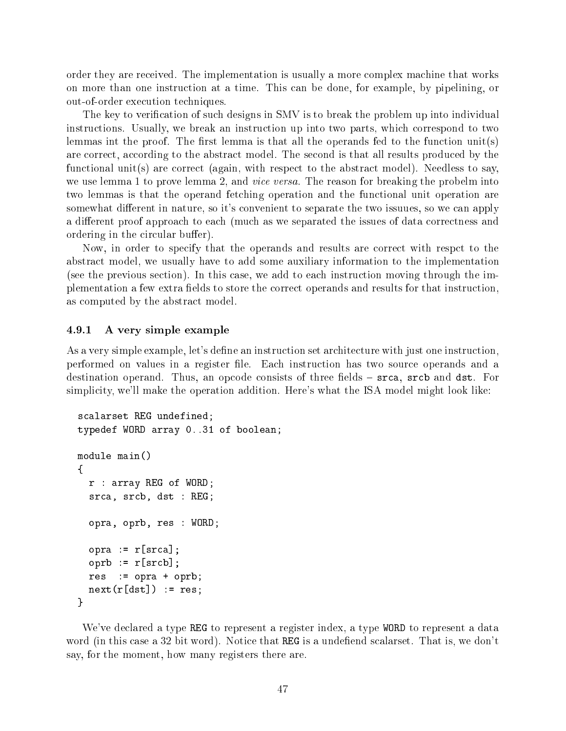order they are received. The implementation is usually a more complex machine that works on more than one instruction at a time. This can be done, for example, by pipelining, or out-of-order execution techniques.

The key to verification of such designs in SMV is to break the problem up into individual instructions. Usually, we break an instruction up into two parts, which correspond to two lemmas int the proof. The first lemma is that all the operands fed to the function unit(s) are correct, according to the abstract model. The second is that all results produced by the functional unit(s) are correct (again, with respect to the abstract model). Needless to say, we use lemma 1 to prove lemma 2, and *vice versa*. The reason for breaking the probelm into two lemmas is that the operand fetching operation and the functional unit operation are somewhat different in nature, so it's convenient to separate the two issuues, so we can apply a different proof approach to each (much as we separated the issues of data correctness and ordering in the circular buffer).

Now, in order to specify that the operands and results are correct with respct to the abstract model, we usually have to add some auxiliary information to the implementation (see the previous section). In this case, we add to each instruction moving through the implementation a few extra fields to store the correct operands and results for that instruction. as computed by the abstract model.

# 4.9.1 A very simple example

As a very simple example, let's define an instruction set architecture with just one instruction, performed on values in a register le. Each instruction has two source operands and a destination operand. Thus, an opcode consists of three fields  $-$  srca, srcb and dst. For simplicity, we'll make the operation addition. Here's what the ISA model might look like:

```
scalarset REG undefined;
typedef WORD array 0..31 of boolean;
module main()
{
  r : array REG of WORD;
  srca, srcb, dst : REG;
  opra, oprb, res : WORD;
  opra := r[srca];
  oprb := r[srcb];res := opra + oprb;
  next(r[dst]) := res;}
```
We've declared a type REG to represent a register index, a type WORD to represent a data word (in this case a 32 bit word). Notice that REG is a undefiend scalarset. That is, we don't say, for the moment, how many registers there are.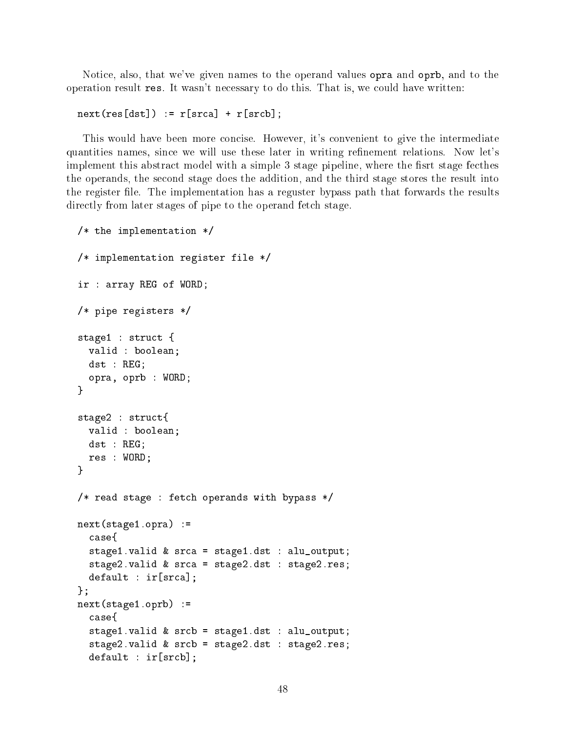Notice, also, that we've given names to the operand values opra and oprb, and to the operation result res. It wasn't necessary to do this. That is, we could have written:

```
next(res[dst]) := r[srca] + r[srcb];
```
This would have been more concise. However, it's convenient to give the intermediate quantities names, since we will use these later in writing refinement relations. Now let's implement this abstract model with a simple 3 stage pipeline, where the fisrt stage fecthes the operands, the second stage does the addition, and the third stage stores the result into the register file. The implementation has a reguster bypass path that forwards the results directly from later stages of pipe to the operand fetch stage.

```
/* the implementation */
/* implementation register file */
ir : array REG of WORD;
/* pipe registers */
stage1 : struct {
  valid : boolean;
  dst : REG;
  opra, oprb : WORD;
\mathbf{r}}
stage2 : struct{
  valid : boolean;
  dst : REG;
  res : WORD;
}
/* read stage : fetch operands with bypass */
next(stage1.opra) :=
  case{
  stage1.valid & srca = stage1.dst : alu_output;
  stage2.valid & srca = stage2.dst : stage2.res;
  default : ir[srca];
};
next(stage1.oprb) :=
  case{
  stage1.valid & srcb = stage1.dst : alu_output;
  stage2.valid & srcb = stage2.dst : stage2.res;
  default : ir[srcb];
```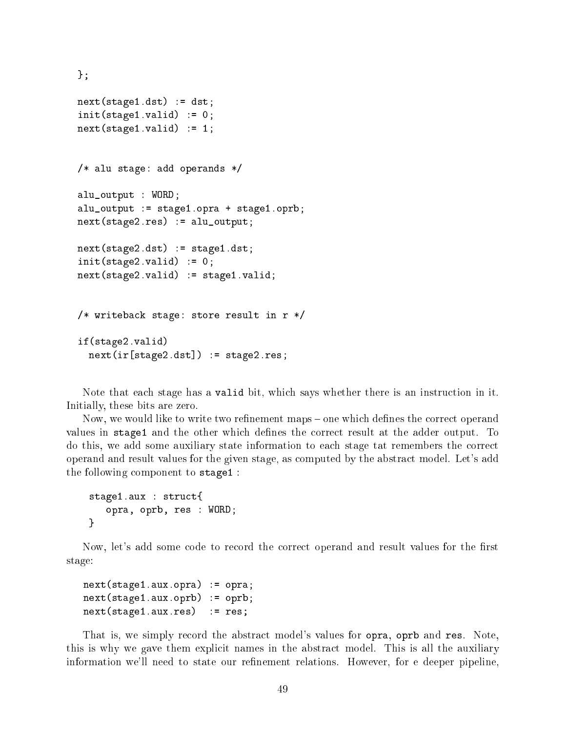```
};
next(stage1.dst) := dst;
init(\text{stage1.valid}) := 0;next(state1.valid) := 1;/* alu stage: add operands */
alu_output : WORD;
alu_output := stage1.opra + stage1.oprb;
next(stage2.res) := alu_output;
next(stage2.dst) := stage1.dst;
init(\text{stage2.valid}) := 0;next(state2.valid) := stage1.valid;/* writeback stage: store result in r */
if(stage2.valid)
  next(ir[stage2.dst]) := stage2.res;
```
Note that each stage has a valid bit, which says whether there is an instruction in it. Initially, these bits are zero.

Now, we would like to write two refinement maps – one which defines the correct operand values in stage1 and the other which defines the correct result at the adder output. To do this, we add some auxiliary state information to each stage tat remembers the correct operand and result values for the given stage, as computed by the abstract model. Let's add the following component to stage1 :

```
stage1.aux : struct{
   opra, oprb, res : WORD;
\mathcal{L}}
```
Now, let's add some code to record the correct operand and result values for the first stage:

```
next(stage1.aux.opra) := opra;
next(stage1.aux.oprb) := oprb;
next(stage1.aux.res) := res;
```
That is, we simply record the abstract model's values for opra, oprb and res. Note, this is why we gave them explicit names in the abstract model. This is all the auxiliary information we'll need to state our refinement relations. However, for e deeper pipeline,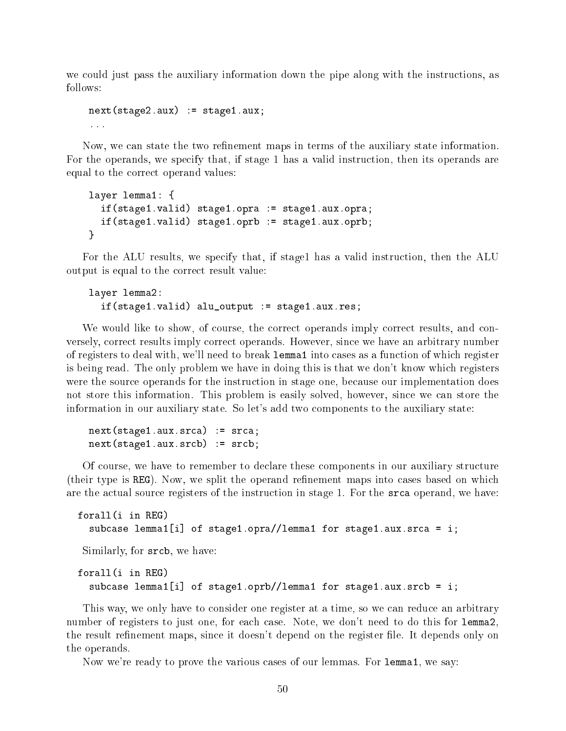we could just pass the auxiliary information down the pipe along with the instructions, as follows:

```
next(state2.aux) := stage1.aux;
```
Now, we can state the two refinement maps in terms of the auxiliary state information. For the operands, we specify that, if stage 1 has a valid instruction, then its operands are equal to the correct operand values:

```
layer lemma1: {
  if(stage1.valid) stage1.opra := stage1.aux.opra;
  if(stage1.valid) stage1.oprb := stage1.aux.oprb;
\mathbf{r}}
```
For the ALU results, we specify that, if stage1 has a valid instruction, then the ALU output is equal to the correct result value:

```
layer lemma2:
  if(stage1.valid) alu_output := stage1.aux.res;
```
We would like to show, of course, the correct operands imply correct results, and conversely, correct results imply correct operands. However, since we have an arbitrary number of registers to deal with, we'll need to break lemma1 into cases as a function of which register is being read. The only problem we have in doing this is that we don't know which registers were the source operands for the instruction in stage one, because our implementation does not store this information. This problem is easily solved, however, since we can store the information in our auxiliary state. So let's add two components to the auxiliary state:

next(stage1.aux.srca) := srca; next(stage1.aux.srcb) := srcb;

Of course, we have to remember to declare these components in our auxiliary structure (their type is REG). Now, we split the operand refinement maps into cases based on which are the actual source registers of the instruction in stage 1. For the srca operand, we have:

```
forall(i in REG)
for all \mathcal{L} in Region \mathcal{L}subcase lemma1[i] of stage1.opra//lemma1 for stage1.aux.srca = i;
 Similarly, for srcb, we have:
forall(i in REG)
  subcase lemma1[i] of stage1.oprb//lemma1 for stage1.aux.srcb = i;
```
This way, we only have to consider one register at a time, so we can reduce an arbitrary number of registers to just one, for each case. Note, we don't need to do this for lemma2, the result refinement maps, since it doesn't depend on the register file. It depends only on the operands.

Now we're ready to prove the various cases of our lemmas. For lemma1, we say: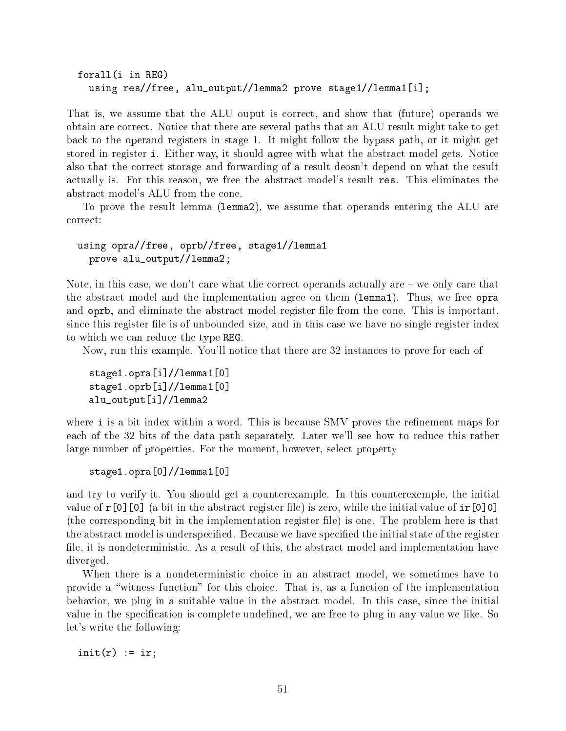```
forall(i in REG)
  using res//free, alu_output//lemma2 prove stage1//lemma1[i];
```
That is, we assume that the ALU ouput is correct, and show that (future) operands we obtain are correct. Notice that there are several paths that an ALU result might take to get back to the operand registers in stage 1. It might follow the bypass path, or it might get stored in register i. Either way, it should agree with what the abstract model gets. Notice also that the correct storage and forwarding of a result deosn't depend on what the result actually is. For this reason, we free the abstract model's result res. This eliminates the abstract model's ALU from the cone.

To prove the result lemma (lemma2), we assume that operands entering the ALU are correct:

using opra//free, oprb//free, stage1//lemma1 prove alu\_output//lemma2;

Note, in this case, we don't care what the correct operands actually are  $-\omega$  we only care that the abstract model and the implementation agree on them (lemma1). Thus, we free opra and oprb, and eliminate the abstract model register file from the cone. This is important, since this register file is of unbounded size, and in this case we have no single register index to which we can reduce the type REG.

Now, run this example. You'll notice that there are 32 instances to prove for each of

stage1.opra[i]//lemma1[0] stage1.oprb[i]//lemma1[0] alu\_output[i]//lemma2

where i is a bit index within a word. This is because SMV proves the refinement maps for each of the 32 bits of the data path separately. Later we'll see how to reduce this rather large number of properties. For the moment, however, select property

stage1.opra[0]//lemma1[0]

and try to verify it. You should get a counterexample. In this counterexemple, the initial value of  $r[0]$  [0] (a bit in the abstract register file) is zero, while the initial value of  $ir[0]0$ ] (the corresponding bit in the implementation register le) is one. The problem here is that the abstract model is underspecified. Because we have specified the initial state of the register file, it is nondeterministic. As a result of this, the abstract model and implementation have diverged.

When there is a nondeterministic choice in an abstract model, we sometimes have to provide a \witness function" for this choice. That is, as a function of the implementation behavior, we plug in a suitable value in the abstract model. In this case, since the initial value in the specification is complete undefined, we are free to plug in any value we like. So let's write the following:

 $init(r) := ir;$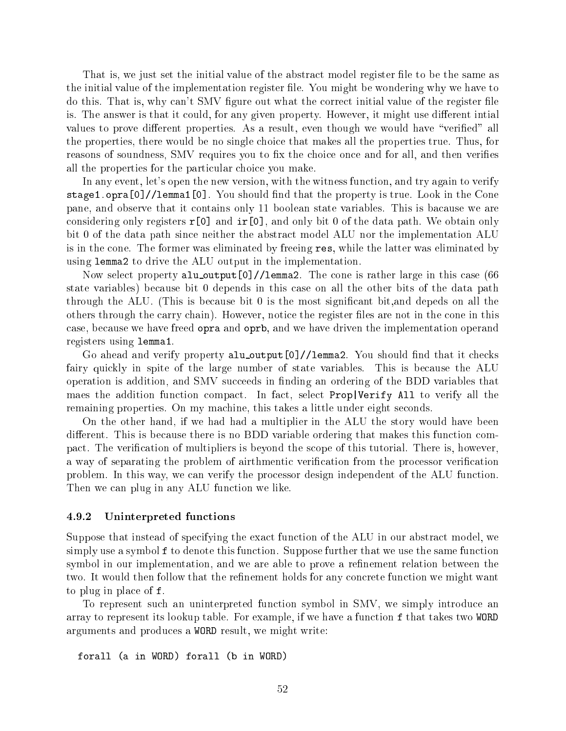That is, we just set the initial value of the abstract model register file to be the same as the initial value of the implementation register file. You might be wondering why we have to do this. That is, why can't SMV figure out what the correct initial value of the register file is. The answer is that it could, for any given property. However, it might use different intial values to prove different properties. As a result, even though we would have "verified" all the properties, there would be no single choice that makes all the properties true. Thus, for reasons of soundness, SMV requires you to fix the choice once and for all, and then verifies all the properties for the particular choice you make.

In any event, let's open the new version, with the witness function, and try again to verify stage1.opra[0]//lemma1[0]. You should find that the property is true. Look in the Cone pane, and observe that it contains only 11 boolean state variables. This is bacause we are considering only registers  $r[0]$  and  $ir[0]$ , and only bit 0 of the data path. We obtain only bit 0 of the data path since neither the abstract model ALU nor the implementation ALU is in the cone. The former was eliminated by freeing res, while the latter was eliminated by using lemma2 to drive the ALU output in the implementation.

Now select property alu\_output[0]//lemma2. The cone is rather large in this case (66 state variables) because bit 0 depends in this case on all the other bits of the data path through the ALU. (This is because bit 0 is the most signicant bit,and depeds on all the others through the carry chain). However, notice the register files are not in the cone in this case, because we have freed opra and oprb, and we have driven the implementation operand registers using lemma1.

Go ahead and verify property alu\_output[0]//lemma2. You should find that it checks fairy quickly in spite of the large number of state variables. This is because the ALU operation is addition, and SMV succeeds in nding an ordering of the BDD variables that maes the addition function compact. In fact, select Prop|Verify All to verify all the remaining properties. On my machine, this takes a little under eight seconds.

On the other hand, if we had had a multiplier in the ALU the story would have been different. This is because there is no BDD variable ordering that makes this function compact. The verification of multipliers is beyond the scope of this tutorial. There is, however, a way of separating the problem of airthmentic verification from the processor verification problem. In this way, we can verify the processor design independent of the ALU function. Then we can plug in any ALU function we like.

# 4.9.2 Uninterpreted functions

Suppose that instead of specifying the exact function of the ALU in our abstract model, we simply use a symbol f to denote this function. Suppose further that we use the same function symbol in our implementation, and we are able to prove a refinement relation between the two. It would then follow that the refinement holds for any concrete function we might want to plug in place of f.

To represent such an uninterpreted function symbol in SMV, we simply introduce an array to represent its lookup table. For example, if we have a function f that takes two WORD arguments and produces a WORD result, we might write:

```
forall (a in WORD) forall (b in WORD)
```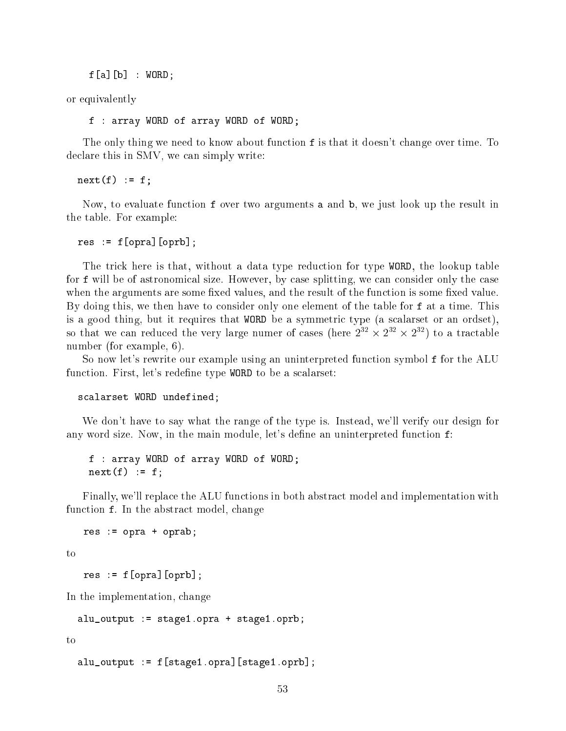$f[a][b]$  : WORD;

or equivalently

f : array WORD of array WORD of WORD;

The only thing we need to know about function **f** is that it doesn't change over time. To declare this in SMV, we can simply write:

 $next(f) := f;$ 

Now, to evaluate function f over two arguments a and b, we just look up the result in the table. For example:

 $res := f[opra][oprb];$ 

The trick here is that, without a data type reduction for type WORD, the lookup table for f will be of astronomical size. However, by case splitting, we can consider only the case when the arguments are some fixed values, and the result of the function is some fixed value. By doing this, we then have to consider only one element of the table for f at a time. This is a good thing, but it requires that WORD be a symmetric type (a scalarset or an ordset), so that we can reduced the very large numer of cases (here  $Z^+ \times Z^- \times Z^-$ ) to a tractable number (for example, 6).

So now let's rewrite our example using an uninterpreted function symbol f for the ALU function. First, let's redefine type WORD to be a scalarset:

scalarset WORD undefined;

We don't have to say what the range of the type is. Instead, we'll verify our design for any word size. Now, in the main module, let's define an uninterpreted function  $f$ :

f : array WORD of array WORD of WORD;  $next(f) := f;$ 

Finally, we'll replace the ALU functions in both abstract model and implementation with function f. In the abstract model, change

res := opra + oprab;

to

 $res := f[opra][oprb];$ 

In the implementation, change

alu\_output := stage1.opra + stage1.oprb;

to

alu\_output := f[stage1.opra][stage1.oprb];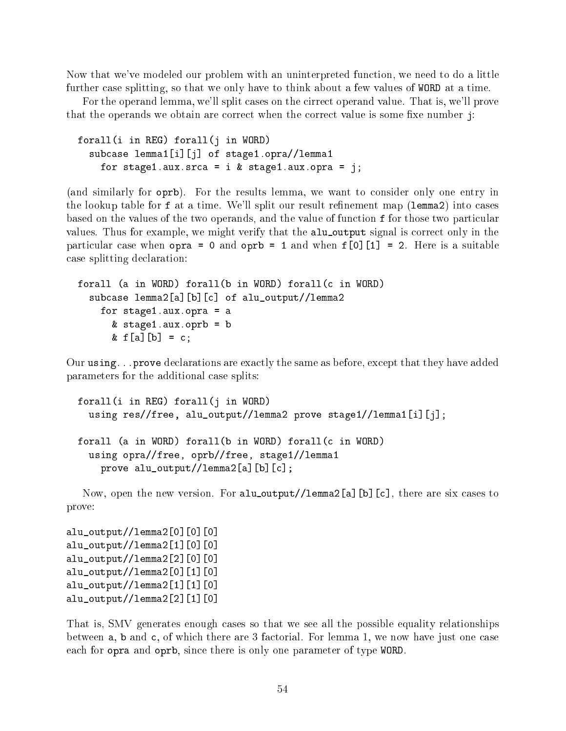Now that we've modeled our problem with an uninterpreted function, we need to do a little further case splitting, so that we only have to think about a few values of WORD at a time.

For the operand lemma, we'll split cases on the cirrect operand value. That is, we'll prove that the operands we obtain are correct when the correct value is some fixe number  $\mathbf{j}$ :

```
forall(i in REG) forall(j in WORD)
  subcase lemma1[i][j] of stage1.opra//lemma1
    for stage1.aux.srca = i & stage1.aux.opra = j;
```
(and similarly for oprb). For the results lemma, we want to consider only one entry in the lookup table for f at a time. We'll split our result refinement map (lemma2) into cases based on the values of the two operands, and the value of function f for those two particular values. Thus for example, we might verify that the alu output signal is correct only in the particular case when  $open = 0$  and  $open = 1$  and when  $f[0][1] = 2$ . Here is a suitable case splitting declaration:

```
forall (a in WORD) forall(b in WORD) forall(c in WORD)
  subcase lemma2[a][b][c] of alu_output//lemma2
    for stage1.aux.opra = a
      & stage1.aux.oprb = b
      & f[a][b] = c;
```
Our using...prove declarations are exactly the same as before, except that they have added parameters for the additional case splits:

```
forall(i in REG) forall(j in WORD)
  using res//free, alu_output//lemma2 prove stage1//lemma1[i][j];
forall (a in WORD) forall(b in WORD) forall(c in WORD)
  using opra//free, oprb//free, stage1//lemma1
    prove alu_output//lemma2[a][b][c];
```
Now, open the new version. For alu\_output//lemma2[a][b][c], there are six cases to prove:

alu\_output//lemma2[0][0][0] alu\_output//lemma2[1][0][0] alu\_output//lemma2[2][0][0] alu\_output//lemma2[0][1][0] alu\_output//lemma2[1][1][0] alu\_output//lemma2[2][1][0]

That is, SMV generates enough cases so that we see all the possible equality relationships between a, b and c, of which there are 3 factorial. For lemma 1, we now have just one case each for opra and oprb, since there is only one parameter of type WORD.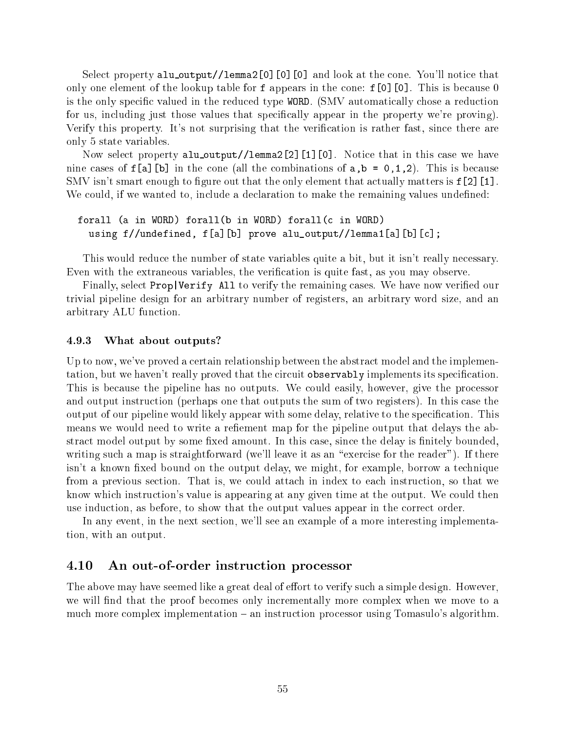Select property alu\_output//lemma2[0][0][0] and look at the cone. You'll notice that only one element of the lookup table for f appears in the cone:  $f[0][0]$ . This is because 0 is the only specic valued in the reduced type WORD. (SMV automatically chose a reduction for us, including just those values that specically appear in the property we're proving). Verify this property. It's not surprising that the verification is rather fast, since there are only 5 state variables.

Now select property alu output//lemma2[2][1][0]. Notice that in this case we have nine cases of  $f[a]$ [b] in the cone (all the combinations of  $a,b = 0,1,2$ ). This is because SMV isn't smart enough to figure out that the only element that actually matters is  $f[2]$ [1]. We could, if we wanted to, include a declaration to make the remaining values undefined:

forall (a in WORD) forall(b in WORD) forall(c in WORD) using f//undefined, f[a][b] prove alu\_output//lemma1[a][b][c];

This would reduce the number of state variables quite a bit, but it isn't really necessary. Even with the extraneous variables, the verification is quite fast, as you may observe.

Finally, select **Prop** | Verify All to verify the remaining cases. We have now verified our trivial pipeline design for an arbitrary number of registers, an arbitrary word size, and an arbitrary ALU function.

## 4.9.3 What about outputs?

Up to now, we've proved a certain relationship between the abstract model and the implementation, but we haven't really proved that the circuit observably implements its specification. This is because the pipeline has no outputs. We could easily, however, give the processor and output instruction (perhaps one that outputs the sum of two registers). In this case the output of our pipeline would likely appear with some delay, relative to the specication. This means we would need to write a refiement map for the pipeline output that delays the abstract model output by some fixed amount. In this case, since the delay is finitely bounded, writing such a map is straightforward (we'll leave it as an "exercise for the reader"). If there isn't a known fixed bound on the output delay, we might, for example, borrow a technique from a previous section. That is, we could attach in index to each instruction, so that we know which instruction's value is appearing at any given time at the output. We could then use induction, as before, to show that the output values appear in the correct order.

In any event, in the next section, we'll see an example of a more interesting implementation, with an output.

# 4.10 An out-of-order instruction processor

The above may have seemed like a great deal of effort to verify such a simple design. However, we will find that the proof becomes only incrementally more complex when we move to a much more complex implementation  $-$  an instruction processor using Tomasulo's algorithm.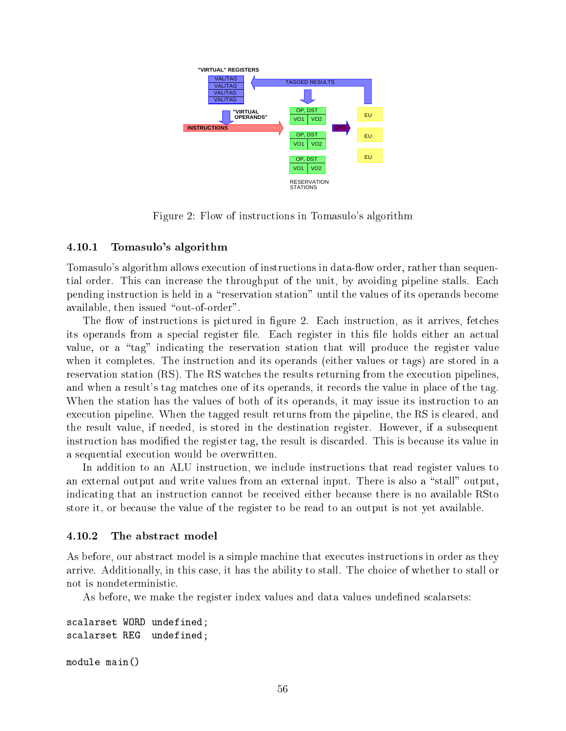

Figure 2: Flow of instructions in Tomasulo's algorithm

# 4.10.1 Tomasulo's algorithm

Tomasulo's algorithm allows execution of instructions in data-flow order, rather than sequential order. This can increase the throughput of the unit, by avoiding pipeline stalls. Each pending instruction is held in a "reservation station" until the values of its operands become available, then issued "out-of-order".

The flow of instructions is pictured in figure 2. Each instruction, as it arrives, fetches its operands from a special register file. Each register in this file holds either an actual value, or a "tag" indicating the reservation station that will produce the register value when it completes. The instruction and its operands (either values or tags) are stored in a reservation station (RS). The RS watches the results returning from the execution pipelines, and when a result's tag matches one of its operands, it records the value in place of the tag. When the station has the values of both of its operands, it may issue its instruction to an execution pipeline. When the tagged result returns from the pipeline, the RS is cleared, and the result value, if needed, is stored in the destination register. However, if a subsequent instruction has modied the register tag, the result is discarded. This is because its value in a sequential execution would be overwritten.

In addition to an ALU instruction, we include instructions that read register values to an external output and write values from an external input. There is also a "stall" output, indicating that an instruction cannot be received either because there is no available RSto store it, or because the value of the register to be read to an output is not yet available.

# 4.10.2 The abstract model

As before, our abstract model is a simple machine that executes instructions in order as they arrive. Additionally, in this case, it has the ability to stall. The choice of whether to stall or not is nondeterministic.

As before, we make the register index values and data values undefined scalarsets:

```
scalarset WORD undefined;
scalarset REG undefined;
module main()
```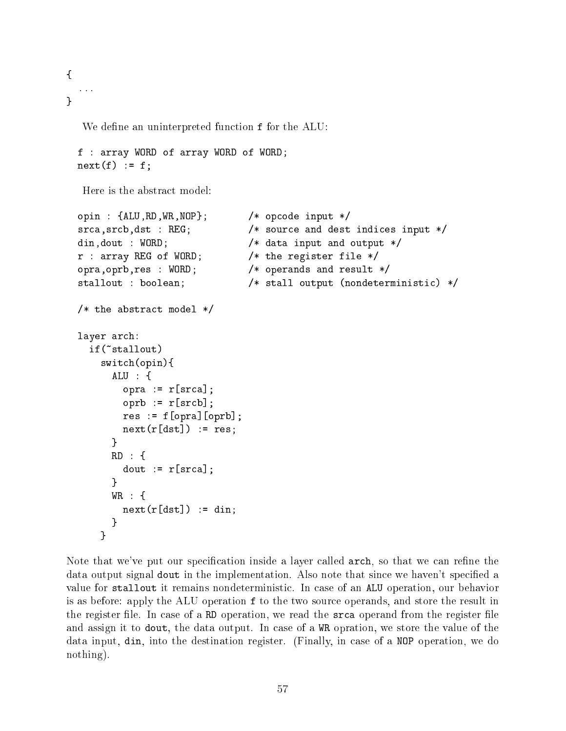{ ... }

We define an uninterpreted function f for the ALU:

```
f : array WORD of array WORD of WORD;
next(f) := f;
```
Here is the abstract model:

```
opin : {ALU,RD,WR,NOP}; /* opcode input */
srca, srcb, dst : REG; \overline{\phantom{a}} /* source and dest indices input */
din, dout : WORD; \sqrt{*} data input and output */r : array REG of WORD; /* the register file */
opra,oprb,res : WORD; /* operands and result */
stallout : boolean; /* stall output (nondeterministic) */
/* the abstract model */
layer arch:
  if(~stallout)
    switch(opin){
      ALU : {
        opra := r[srca];
        oprb := r[srcb];
        res := f[opra][oprb];
        next(r[dst]) := res;}
      }
      RD : {
        dout := r[srca];
      ኑ
      }
      WR : {
      WR : {
        next(r[dst]) := din;}
    \mathcal{L}}
```
Note that we've put our specification inside a layer called  $\arch$ , so that we can refine the data output signal dout in the implementation. Also note that since we haven't specified a value for stallout it remains nondeterministic. In case of an ALU operation, our behavior is as before: apply the ALU operation f to the two source operands, and store the result in the register file. In case of a RD operation, we read the srca operand from the register file and assign it to dout, the data output. In case of a WR opration, we store the value of the data input, din, into the destination register. (Finally, in case of a NOP operation, we do nothing).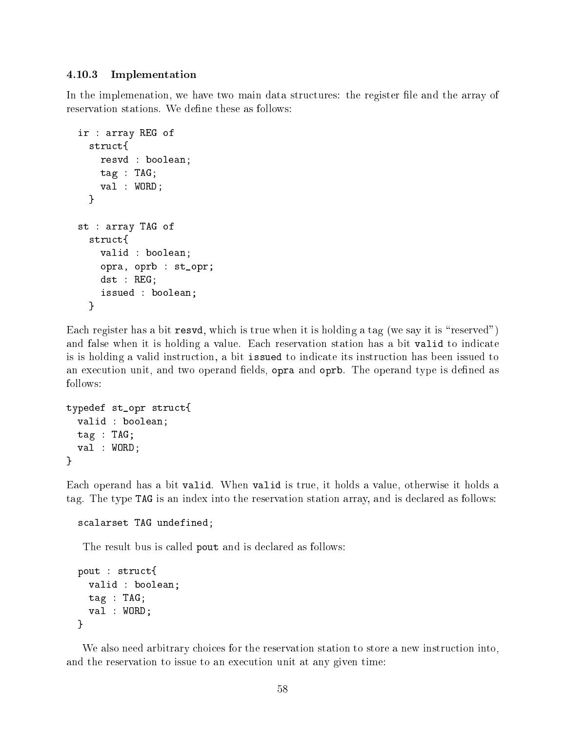# 4.10.3 Implementation

In the implemenation, we have two main data structures: the register file and the array of reservation stations. We define these as follows:

```
ir : array REG of
  struct{
    resvd : boolean;
    tag : TAG;
    val : WORD;
  \mathcal{L}}
st : array TAG of
  struct{
    valid : boolean;
    opra, oprb : st_opr;
    dst : REG;
    issued : boolean;
  \mathcal{F}}
```
Each register has a bit resvd, which is true when it is holding a tag (we say it is "reserved") and false when it is holding a value. Each reservation station has a bit valid to indicate is is holding a valid instruction, a bit issued to indicate its instruction has been issued to an execution unit, and two operand fields, opra and oprb. The operand type is defined as follows:

```
typedef st_opr struct{
  valid : boolean;
  tag : TAG;
  val : WORD;
\mathcal{F}}
```
Each operand has a bit valid. When valid is true, it holds a value, otherwise it holds a tag. The type TAG is an index into the reservation station array, and is declared as follows:

```
scalarset TAG undefined;
```
The result bus is called pout and is declared as follows:

```
pout : struct{
  valid : boolean;
  tag : TAG;
  val : WORD;
}
```
We also need arbitrary choices for the reservation station to store a new instruction into, and the reservation to issue to an execution unit at any given time: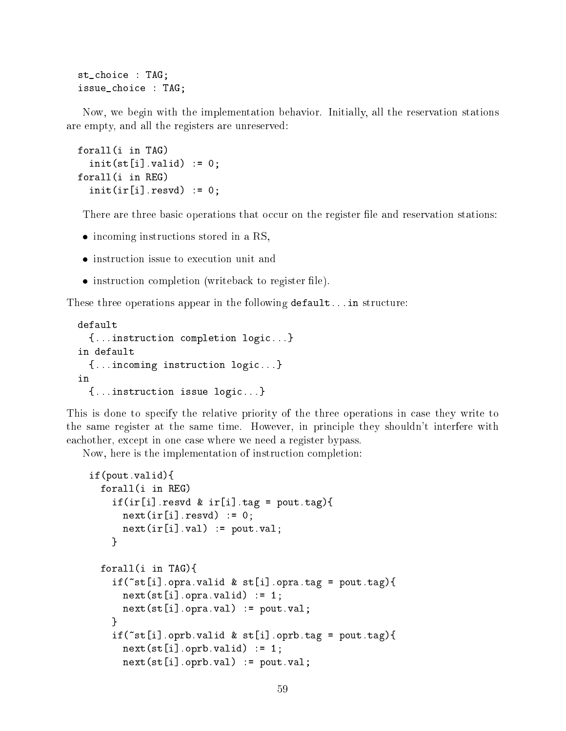st\_choice : TAG; issue choice : TAG;

Now, we begin with the implementation behavior. Initially, all the reservation stations are empty, and all the registers are unreserved:

```
forall(i in TAG)
  init(st[i].valid) := 0;forall(i in REG)
  init(ir[i].result) := 0;
```
There are three basic operations that occur on the register file and reservation stations:

- incoming instructions stored in a RS, we are found in a RS, we are found in a RS, we are found in a RS, we are found in a RS, we are found in a RS, we are found in a RS, we are found in a RS, we are found in a RS, we are
- 
- instruction completion (writeback to register le).

These three operations appear in the following default...in structure:

```
default
  {...instruction completion logic...}
in default
  {...incoming instruction logic...}
in
  {...instruction issue logic...}
```
This is done to specify the relative priority of the three operations in case they write to the same register at the same time. However, in principle they shouldn't interfere with eachother, except in one case where we need a register bypass.

Now, here is the implementation of instruction completion:

```
if(pout.valid){
 forall(i in REG)
    if (ir[i].result) k ir[i].tag = pout.tag){
      next(ir[i].result) := 0;next(ir[i].val) := \text{pout.val};}
  forall(i in TAG){
    if("st[i].opra.valid & st[i].opra.tag = pout.tag){
      next(st[i].opra.valid) := 1;next(st[i].opra.val) := pour.val;J.
    }
    if("st[i].oprb.valid & st[i].oprb.tag = pout.tag){
      next(st[i].oprb.valid) := 1;next(st[i].oprb.val) := pour.val;
```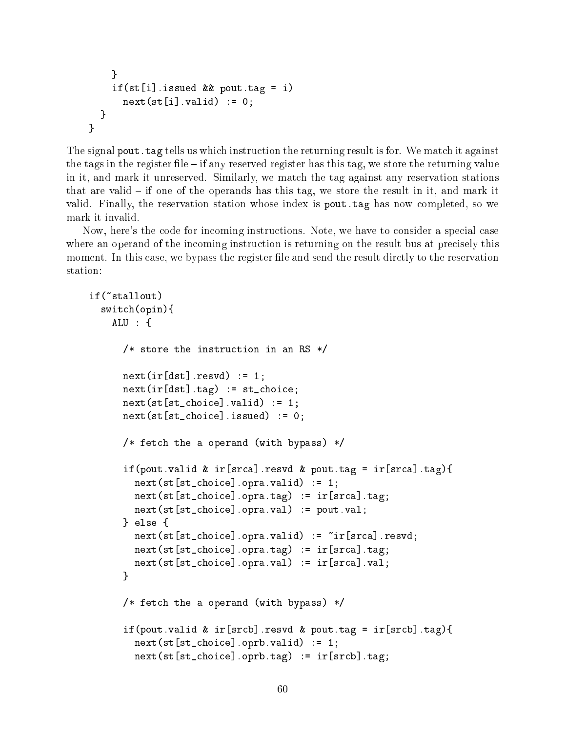```
\mathcal{F}}
     if(st[i]. issued && pout.tag = i)
        next(st[i].valid) := 0;}
\mathbf{r}}
```
The signal pout. tag tells us which instruction the returning result is for. We match it against the tags in the register file  $-$  if any reserved register has this tag, we store the returning value in it, and mark it unreserved. Similarly, we match the tag against any reservation stations that are valid  $-$  if one of the operands has this tag, we store the result in it, and mark it valid. Finally, the reservation station whose index is pout.tag has now completed, so we mark it invalid.

Now, here's the code for incoming instructions. Note, we have to consider a special case where an operand of the incoming instruction is returning on the result bus at precisely this moment. In this case, we bypass the register file and send the result dirctly to the reservation station:

```
if("stallout)
if(~stallout)
  switch(opin){
    ALU : fALU : {
      /* store the instruction in an RS */
      next(ir[dst].result) := 1;
      next(ir[dst].tag) := st_choice;
      next(st[st{\_}choice].valid) := 1;next(st[st{\_}choice].issued) := 0;/* fetch the a operand (with bypass) */if(pout.valid & ir[srca].resvd & pout.tag = ir[srca].tag){
        next(st[st{\_}choice] .opra.valid) := 1;next(st[st{\_}choice] .opra.tag) := ir[srca].tag;next(st[st_choice].opra.val) := pout.val;
      } else {
        next(st[st_choice].opra.valid) := ~ir[srca].resvd;
        next(st[st{\_}choice] .opra.tag) := ir[srca].tag;next(st[st_choice].opra.val) := ir[srca].val;
      \mathcal{L}}
      /* fetch the a operand (with bypass) */
      if(pout.valid & ir[srcb].resvd & pout.tag = ir[srcb].tag){
        next(st[st{\_}choice] . oprb . valid) := 1;next(st[st{\_}choice] .oprb.tag) := ir[srcb].tag;
```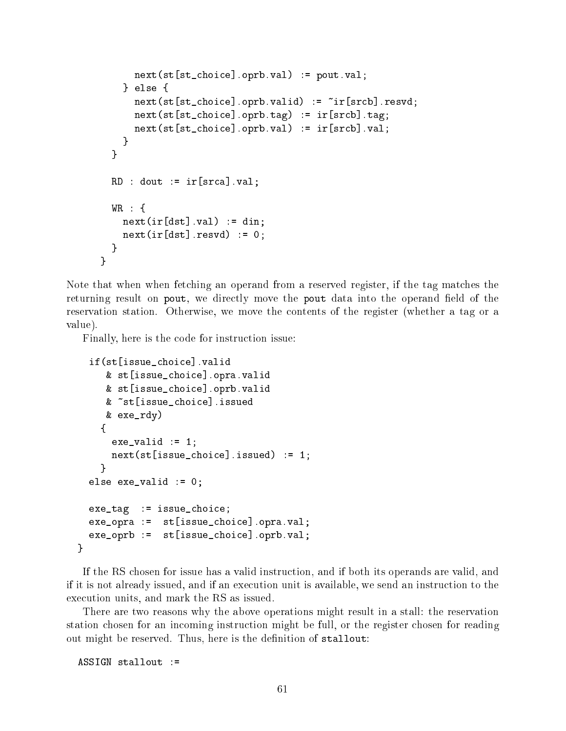```
next(st[st_choice].oprb.val) := pout.val;
    \} else \{} else {
      next(st[st{\_}choice] .oprb.valid) := "ir[srcb] .resvd;next(st[st_choice].oprb.tag) := ir[srcb].tag;
      next(st[st{\_}choice] .oprb .val) := ir[srcb] .val;ŀ
    }
  }
  RD : dout := ir[srca] . val;WR : {
    next(ir[dst].val) := din;next(ir[dst].result) := 0;}
}
```
Note that when when fetching an operand from a reserved register, if the tag matches the returning result on pout, we directly move the pout data into the operand field of the reservation station. Otherwise, we move the contents of the register (whether a tag or a value).

Finally, here is the code for instruction issue:

```
if(st[issue_choice].valid
  & st[issue_choice].opra.valid
  & st[issue_choice].oprb.valid
  & ~st[issue choice].issued
  & exe_rdy)
  {
   exe_value := 1;next(st[issue_choice].issued) := 1;}
else exe_valid := 0;
exe_tag := issue_choice;
exe_opra := st[issue_choice].opra.val;
exe_oprb := st[issue_choice].oprb.val;
```
If the RS chosen for issue has a valid instruction, and if both its operands are valid, and if it is not already issued, and if an execution unit is available, we send an instruction to the execution units, and mark the RS as issued.

There are two reasons why the above operations might result in a stall: the reservation station chosen for an incoming instruction might be full, or the register chosen for reading out might be reserved. Thus, here is the definition of stallout:

 $ASSIGN$  stallout :=

}

 $\mathcal{L}$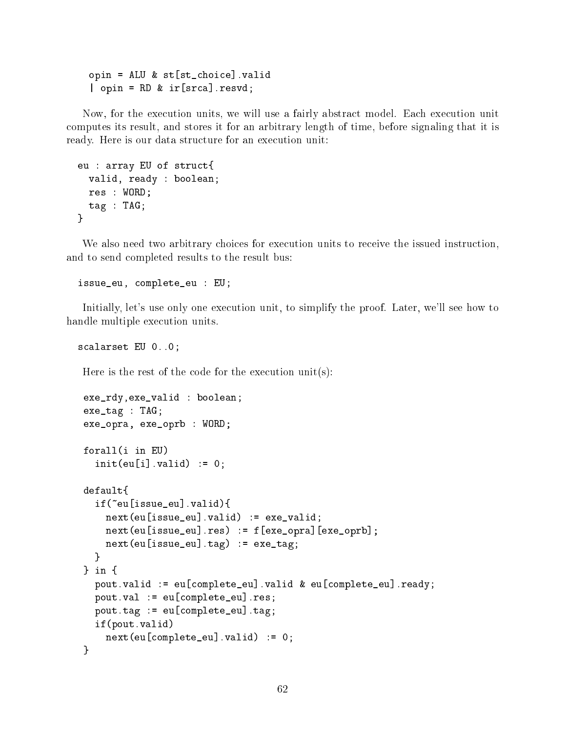```
opin = ALU & st[st_choice].valid
| opin = RD & ir[srca].resvd;
```
Now, for the execution units, we will use a fairly abstract model. Each execution unit computes its result, and stores it for an arbitrary length of time, before signaling that it is ready. Here is our data structure for an execution unit:

```
eu : array EU of struct{
  valid, ready : boolean;
  res : WORD;
 tag : TAG;
}
```
We also need two arbitrary choices for execution units to receive the issued instruction, and to send completed results to the result bus:

issue\_eu, complete\_eu : EU;

Initially, let's use only one execution unit, to simplify the proof. Later, we'll see how to handle multiple execution units.

scalarset EU 0..0;

Here is the rest of the code for the execution unit(s):

```
exe_rdy,exe_valid : boolean;
exe_tag : TAG;
exe_opra, exe_oprb : WORD;
forall(i in EU)
  init(eu[i].valid) := 0;default.\ddot{\phantom{a}}if(~eu[issue_eu].valid){
    next(eu[issue_eu].valid) := exe_valid;
    next(eu[issue_eu].res) := f[exe_opra][exe_oprb];
    next(eu[issue_eu].tag) := exec\_tag;\mathcal{L}}
\frac{1}{2} in \frac{1}{2}} in {
  pout.valid := eu[complete_eu].valid & eu[complete_eu].ready;
  pout.val := eu[complete_eu].res;
  pout.tag := eu[complete_eu].tag;
  if(pout.valid)
    next(eu[complete_eu].valid) := 0;
}
```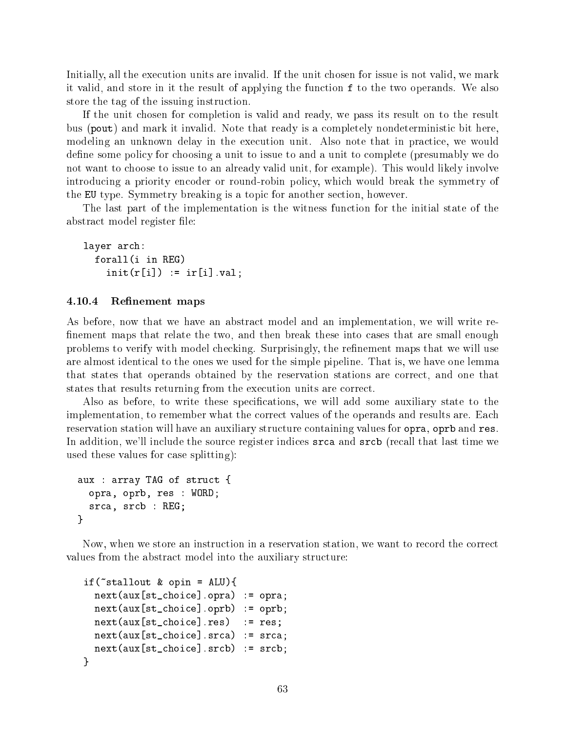Initially, all the execution units are invalid. If the unit chosen for issue is not valid, we mark it valid, and store in it the result of applying the function f to the two operands. We also store the tag of the issuing instruction.

If the unit chosen for completion is valid and ready, we pass its result on to the result bus (pout) and mark it invalid. Note that ready is a completely nondeterministic bit here, modeling an unknown delay in the execution unit. Also note that in practice, we would define some policy for choosing a unit to issue to and a unit to complete (presumably we do not want to choose to issue to an already valid unit, for example). This would likely involve introducing a priority encoder or round-robin policy, which would break the symmetry of the EU type. Symmetry breaking is a topic for another section, however.

The last part of the implementation is the witness function for the initial state of the abstract model register file:

layer arch: forall(i in REG)  $init(r[i]) := ir[i].val;$ 

#### 4.10.4 Refinement maps

As before, now that we have an abstract model and an implementation, we will write re finement maps that relate the two, and then break these into cases that are small enough problems to verify with model checking. Surprisingly, the refinement maps that we will use are almost identical to the ones we used for the simple pipeline. That is, we have one lemma that states that operands obtained by the reservation stations are correct, and one that states that results returning from the execution units are correct.

Also as before, to write these specications, we will add some auxiliary state to the implementation, to remember what the correct values of the operands and results are. Each reservation station will have an auxiliary structure containing values for opra, oprb and res. In addition, we'll include the source register indices srca and srcb (recall that last time we used these values for case splitting):

```
aux : array TAG of struct {
  opra, oprb, res : WORD;
  srca, srcb : REG;
}
```
}

Now, when we store an instruction in a reservation station, we want to record the correct values from the abstract model into the auxiliary structure:

```
if(\text{stat} stallout & opin = ALU){
  next(aux[st\_choice] .opra) := opra;next(aux[st_choice].oprb) := oprb;
  next(aux[st{\_}choice].res) := res;
  next(aux[st\_choice].srca) := srca;next(aux[st_choice].srcb) := srcb;
\mathcal{L}
```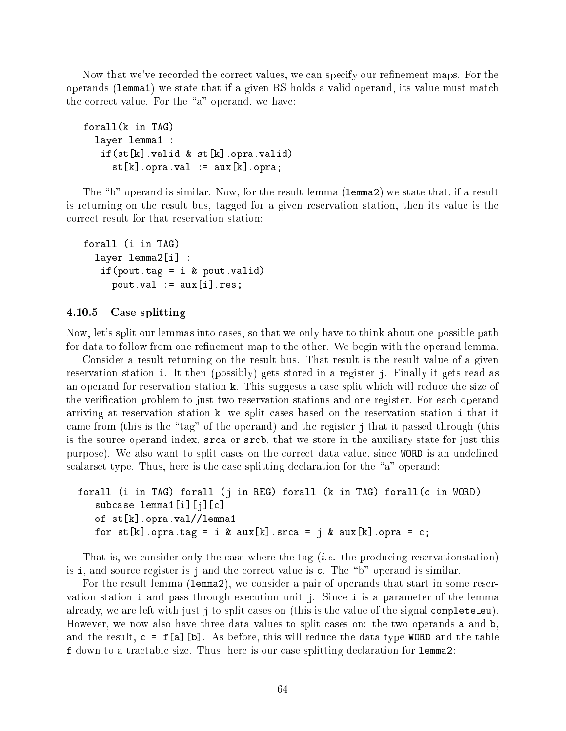Now that we've recorded the correct values, we can specify our refinement maps. For the operands (lemma1) we state that if a given RS holds a valid operand, its value must match the correct value. For the " $a$ " operand, we have:

```
forall(k in TAG)
  layer lemma1 :
   if(st[k].valid & st[k].opra.valid)
     st[k] .opra.val := aux[k] .opra;
```
The "b" operand is similar. Now, for the result lemma (1emma2) we state that, if a result is returning on the result bus, tagged for a given reservation station, then its value is the correct result for that reservation station:

```
forall (i in TAG)
  layer lemma2[i] :
   if(pout.tag = i & pout.valid)
     pout.val := aux[i].res;
```
# 4.10.5 Case splitting

Now, let's split our lemmas into cases, so that we only have to think about one possible path for data to follow from one refinement map to the other. We begin with the operand lemma.

Consider a result returning on the result bus. That result is the result value of a given reservation station i. It then (possibly) gets stored in a register j. Finally it gets read as an operand for reservation station k. This suggests a case split which will reduce the size of the verification problem to just two reservation stations and one register. For each operand arriving at reservation station k, we split cases based on the reservation station i that it came from (this is the "tag" of the operand) and the register j that it passed through (this is the source operand index, srca or srcb, that we store in the auxiliary state for just this purpose). We also want to split cases on the correct data value, since WORD is an undefined scalarset type. Thus, here is the case splitting declaration for the "a" operand:

```
forall (i in TAG) forall (j in REG) forall (k in TAG) forall(c in WORD)
   subcase lemma1[i][j][c]
   of st[k].opra.val//lemma1
   for st[k].opra.tag = i & aux[k].srca = j & aux[k].opra = c;
```
That is, we consider only the case where the tag (*i.e.* the producing reservationstation) is i, and source register is j and the correct value is  $c$ . The "b" operand is similar.

For the result lemma (lemma2), we consider a pair of operands that start in some reservation station i and pass through execution unit j. Since i is a parameter of the lemma already, we are left with just j to split cases on (this is the value of the signal complete  $eu$ ). However, we now also have three data values to split cases on: the two operands a and b, and the result,  $c = f[a][b]$ . As before, this will reduce the data type WORD and the table f down to a tractable size. Thus, here is our case splitting declaration for lemma2: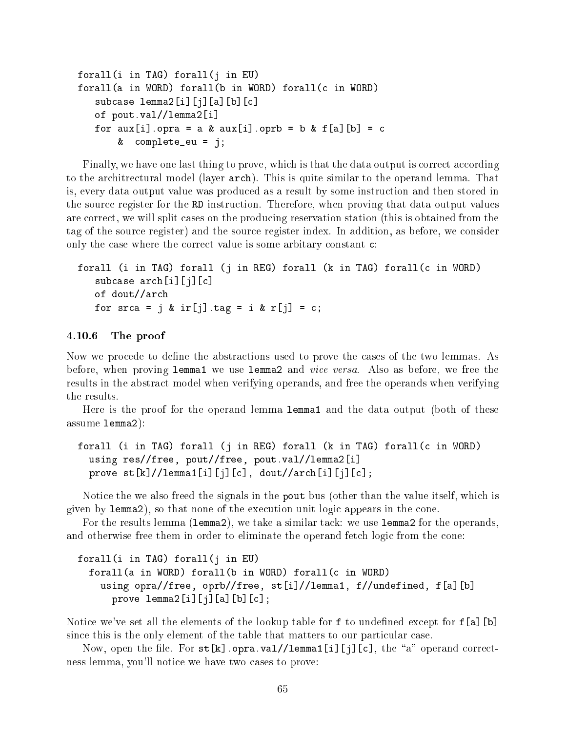```
forall(i in TAG) forall(j in EU)
forall(a in WORD) forall(b in WORD) forall(c in WORD)
   subcase lemma2[i][j][a][b][c]
   of pout.val//lemma2[i]
   for aux[i].opra = a & aux[i].oprb = b & f[a][b] = c
       & complete_eu = j;
```
Finally, we have one last thing to prove, which is that the data output is correct according to the architrectural model (layer arch). This is quite similar to the operand lemma. That is, every data output value was produced as a result by some instruction and then stored in the source register for the RD instruction. Therefore, when proving that data output values are correct, we will split cases on the producing reservation station (this is obtained from the tag of the source register) and the source register index. In addition, as before, we consider only the case where the correct value is some arbitary constant c:

```
forall (i in TAG) forall (j in REG) forall (k in TAG) forall(c in WORD)
   subcase arch[i][j][c]
   of dout//arch
   for srca = j & ir[j].tag = i & r[j] = c;
```
# 4.10.6 The proof

Now we procede to define the abstractions used to prove the cases of the two lemmas. As before, when proving lemma1 we use lemma2 and vice versa. Also as before, we free the results in the abstract model when verifying operands, and free the operands when verifying the results.

Here is the proof for the operand lemma lemma1 and the data output (both of these assume lemma2):

```
forall (i in TAG) forall (j in REG) forall (k in TAG) forall(c in WORD)
  using res//free, pout//free, pout.val//lemma2[i]
  prove st[k]//lemma[1][j][c], dout//arch[i][j][c];
```
Notice the we also freed the signals in the pout bus (other than the value itself, which is given by lemma2), so that none of the execution unit logic appears in the cone.

For the results lemma (lemma2), we take a similar tack: we use lemma2 for the operands, and otherwise free them in order to eliminate the operand fetch logic from the cone:

```
forall(i in TAG) forall(j in EU)
  forall(a in WORD) forall(b in WORD) forall(c in WORD)
    using opra//free, oprb//free, st[i]//lemma1, f//undefined, f[a][b]
      prove lemma2[i][j][a][b][c];
```
Notice we've set all the elements of the lookup table for  $f$  to undefined except for  $f$ [a][b] since this is the only element of the table that matters to our particular case.

Now, open the file. For  $st[k]$ .opra.val//lemma1[i][j][c], the "a" operand correctness lemma, you'll notice we have two cases to prove: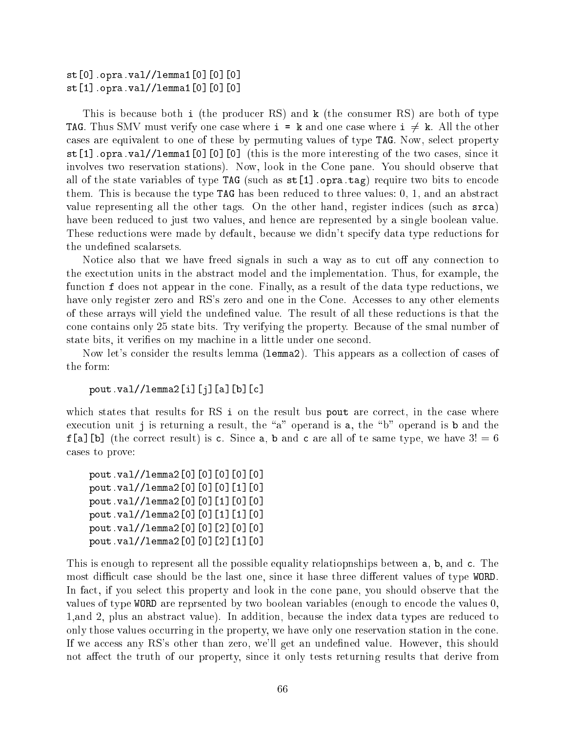st[0].opra.val//lemma1[0][0][0] st[1].opra.val//lemma1[0][0][0]

This is because both i (the producer RS) and k (the consumer RS) are both of type **TAG.** Thus SMV must verify one case where  $i = k$  and one case where  $i \neq k$ . All the other cases are equivalent to one of these by permuting values of type TAG. Now, select property st[1].opra.val//lemma1[0][0][0] (this is the more interesting of the two cases, since it involves two reservation stations). Now, look in the Cone pane. You should observe that all of the state variables of type TAG (such as  $st[1]$  opra.tag) require two bits to encode them. This is because the type TAG has been reduced to three values: 0, 1, and an abstract value representing all the other tags. On the other hand, register indices (such as srca) have been reduced to just two values, and hence are represented by a single boolean value. These reductions were made by default, because we didn't specify data type reductions for the undefined scalarsets.

Notice also that we have freed signals in such a way as to cut off any connection to the exectution units in the abstract model and the implementation. Thus, for example, the function f does not appear in the cone. Finally, as a result of the data type reductions, we have only register zero and RS's zero and one in the Cone. Accesses to any other elements of these arrays will yield the undefined value. The result of all these reductions is that the cone contains only 25 state bits. Try verifying the property. Because of the smal number of state bits, it veries on my machine in a little under one second.

Now let's consider the results lemma (lemma2). This appears as a collection of cases of the form:

pout.val//lemma2[i][j][a][b][c]

which states that results for RS i on the result bus pout are correct, in the case where execution unit j is returning a result, the "a" operand is a, the "b" operand is b and the  $f[a][b]$  (the correct result) is c. Since a, b and c are all of te same type, we have  $3! = 6$ cases to prove:

pout.val//lemma2[0][0][0][0][0] pout.val//lemma2[0][0][0][1][0] pout.val//lemma2[0][0][1][0][0] pout.val//lemma2[0][0][1][1][0] pout.val//lemma2[0][0][2][0][0] pout.val//lemma2[0][0][2][1][0]

This is enough to represent all the possible equality relatiopnships between a, b, and c. The most difficult case should be the last one, since it hase three different values of type WORD. In fact, if you select this property and look in the cone pane, you should observe that the values of type WORD are reprsented by two boolean variables (enough to encode the values 0, 1,and 2, plus an abstract value). In addition, because the index data types are reduced to only those values occurring in the property, we have only one reservation station in the cone. If we access any RS's other than zero, we'll get an undefined value. However, this should not affect the truth of our property, since it only tests returning results that derive from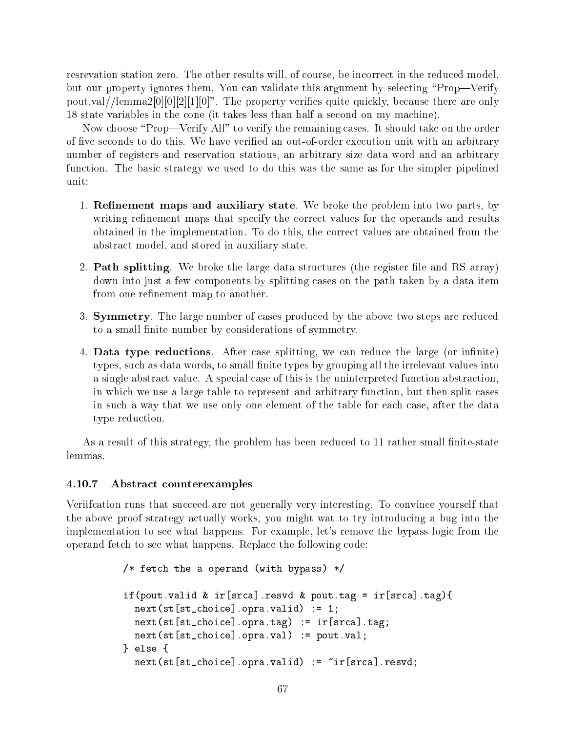resrevation station zero. The other results will, of course, be incorrect in the reduced model, but our property ignores them. You can validate this argument by selecting \Prop|Verify pout.val//lemma2[0][0][2][1][0]". The property verifies quite quickly, because there are only 18 state variables in the cone (it takes less than half a second on my machine).

Now choose "Prop—Verify All" to verify the remaining cases. It should take on the order of five seconds to do this. We have verified an out-of-order execution unit with an arbitrary number of registers and reservation stations, an arbitrary size data word and an arbitrary function. The basic strategy we used to do this was the same as for the simpler pipelined unit:

- 1. **Refinement maps and auxiliary state**. We broke the problem into two parts, by writing refinement maps that specify the correct values for the operands and results obtained in the implementation. To do this, the correct values are obtained from the abstract model, and stored in auxiliary state.
- 2. **Path splitting**. We broke the large data structures (the register file and RS array) down into just a few components by splitting cases on the path taken by a data item from one refinement map to another.
- 3. Symmetry. The large number of cases produced by the above two steps are reduced to a small finite number by considerations of symmetry.
- 4. Data type reductions. After case splitting, we can reduce the large (or infinite) types, such as data words, to small finite types by grouping all the irrelevant values into a single abstract value. A special case of this is the uninterpreted function abstraction, in which we use a large table to represent and arbitrary function, but then split cases in such a way that we use only one element of the table for each case, after the data type reduction.

As a result of this strategy, the problem has been reduced to 11 rather small finite-state lemmas.

#### 4.10.7 Abstract counterexamples

Veriifcation runs that succeed are not generally very interesting. To convince yourself that the above proof strategy actually works, you might wat to try introducing a bug into the implementation to see what happens. For example, let's remove the bypass logic from the operand fetch to see what happens. Replace the following code:

```
/* fetch the a operand (with bypass) */if(pout.valid & ir[srca].resvd & pout.tag = ir[srca].tag){
  next(st[st{\_}choice] .opra.valid) := 1;next(st[st{\_}choice] .opra.tag) := ir[srca] .tag;next(st[st{\_}choice] .opra.val) := pour.val;} else {
  next(st[st\_choice] .opra.valaid) := "ir[srca].resvd;
```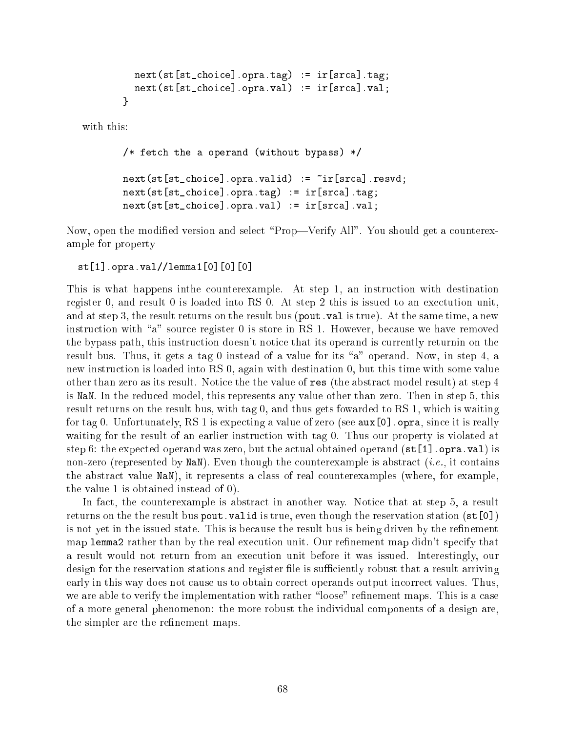```
next(st[st{\_}choice] .opra.tag) := ir[srca].tag;next(st[st_choice].opra.val) := ir[srca].val;
}
```
with this:

```
/* fetch the a operand (without bypass) */
next(st[st_choice].opra.valid) := ~ir[srca].resvd;
next(st[st_choice].opra.tag) := ir[srca].tag;
next(st[st_choice].opra.val) := ir[srca].val;
```
Now, open the modified version and select "Prop—Verify All". You should get a counterexample for property

```
st[1].opra.val//lemma1[0][0][0]
```
This is what happens inthe counterexample. At step 1, an instruction with destination register 0, and result 0 is loaded into RS 0. At step 2 this is issued to an exectution unit, and at step 3, the result returns on the result bus (pout. val is true). At the same time, a new instruction with "a" source register  $0$  is store in RS 1. However, because we have removed the bypass path, this instruction doesn't notice that its operand is currently returnin on the result bus. Thus, it gets a tag 0 instead of a value for its "a" operand. Now, in step 4, a new instruction is loaded into RS 0, again with destination 0, but this time with some value other than zero as its result. Notice the the value of res (the abstract model result) at step 4 is NaN. In the reduced model, this represents any value other than zero. Then in step 5, this result returns on the result bus, with tag 0, and thus gets fowarded to RS 1, which is waiting for tag 0. Unfortunately, RS 1 is expecting a value of zero (see  $aux[0]$ . opra, since it is really waiting for the result of an earlier instruction with tag 0. Thus our property is violated at step 6: the expected operand was zero, but the actual obtained operand  $(\text{st}[1]$  opra.val) is non-zero (represented by NaN). Even though the counterexample is abstract (*i.e.*, it contains the abstract value NaN), it represents a class of real counterexamples (where, for example, the value 1 is obtained instead of 0).

In fact, the counterexample is abstract in another way. Notice that at step 5, a result returns on the the result bus pout. valid is true, even though the reservation station  $(\text{st}[0])$ is not yet in the issued state. This is because the result bus is being driven by the refinement map lemma2 rather than by the real execution unit. Our refinement map didn't specify that a result would not return from an execution unit before it was issued. Interestingly, our design for the reservation stations and register file is sufficiently robust that a result arriving early in this way does not cause us to obtain correct operands output incorrect values. Thus, we are able to verify the implementation with rather "loose" refinement maps. This is a case of a more general phenomenon: the more robust the individual components of a design are, the simpler are the refinement maps.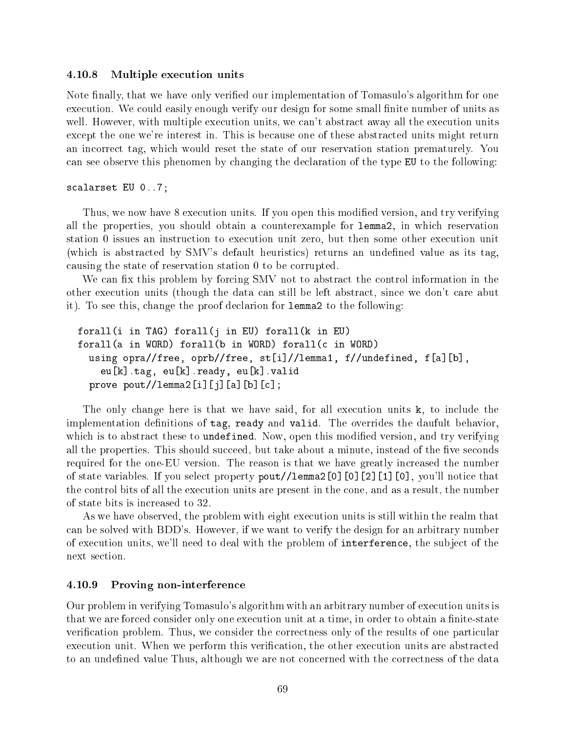# 4.10.8 Multiple execution units

Note finally, that we have only verified our implementation of Tomasulo's algorithm for one execution. We could easily enough verify our design for some small finite number of units as well. However, with multiple execution units, we can't abstract away all the execution units except the one we're interest in. This is because one of these abstracted units might return an incorrect tag, which would reset the state of our reservation station prematurely. You can see observe this phenomen by changing the declaration of the type EU to the following:

# scalarset EU 0..7;

Thus, we now have 8 execution units. If you open this modified version, and try verifying all the properties, you should obtain a counterexample for lemma2, in which reservation station 0 issues an instruction to execution unit zero, but then some other execution unit (which is abstracted by SMV's default heuristics) returns an undefined value as its tag. causing the state of reservation station 0 to be corrupted.

We can fix this problem by forcing SMV not to abstract the control information in the other execution units (though the data can still be left abstract, since we don't care abut it). To see this, change the proof declarion for lemma2 to the following:

```
forall(i in TAG) forall(j in EU) forall(k in EU)
forall(a in WORD) forall(b in WORD) forall(c in WORD)
  using opra//free, oprb//free, st[i]//lemma1, f//undefined, f[a][b],
    eu[k].tag, eu[k].ready, eu[k].valid
  prove \text{pout//lemma2[i][j][a][b][c];}
```
The only change here is that we have said, for all execution units k, to include the implementation definitions of tag, ready and valid. The overrides the daufult behavior, which is to abstract these to undefined. Now, open this modified version, and try verifying all the properties. This should succeed, but take about a minute, instead of the five seconds required for the one-EU version. The reason is that we have greatly increased the number of state variables. If you select property pout//lemma2[0][0][2][1][0], you'll notice that the control bits of all the execution units are present in the cone, and as a result, the number of state bits is increased to 32.

As we have observed, the problem with eight execution units is still within the realm that can be solved with BDD's. However, if we want to verify the design for an arbitrary number of execution units, we'll need to deal with the problem of interference, the subject of the next section.

#### 4.10.9 Proving non-interference

Our problem in verifying Tomasulo's algorithm with an arbitrary number of execution units is that we are forced consider only one execution unit at a time, in order to obtain a finite-state verification problem. Thus, we consider the correctness only of the results of one particular execution unit. When we perform this verification, the other execution units are abstracted to an undefined value Thus, although we are not concerned with the correctness of the data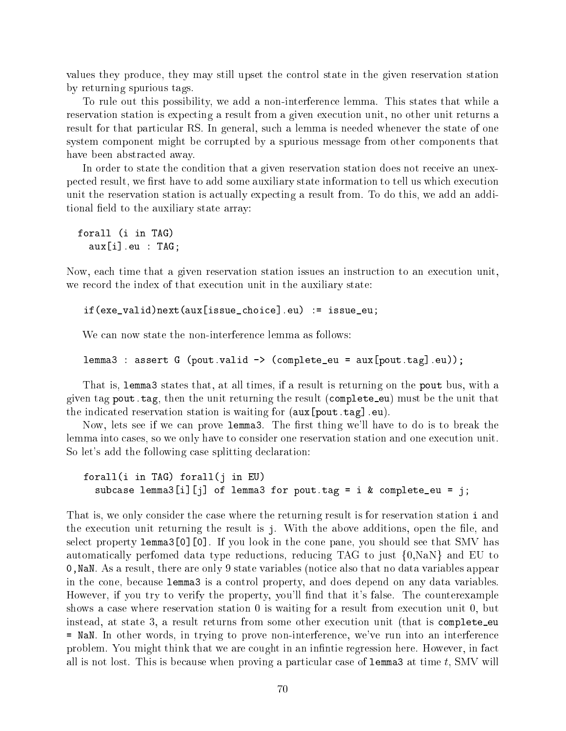values they produce, they may still upset the control state in the given reservation station by returning spurious tags.

To rule out this possibility, we add a non-interference lemma. This states that while a reservation station is expecting a result from a given execution unit, no other unit returns a result for that particular RS. In general, such a lemma is needed whenever the state of one system component might be corrupted by a spurious message from other components that have been abstracted away.

In order to state the condition that a given reservation station does not receive an unexpected result, we first have to add some auxiliary state information to tell us which execution unit the reservation station is actually expecting a result from. To do this, we add an additional field to the auxiliary state array:

forall (i in TAG) aux[i].eu : TAG;

Now, each time that a given reservation station issues an instruction to an execution unit, we record the index of that execution unit in the auxiliary state:

if(exe\_valid)next(aux[issue\_choice].eu) := issue\_eu;

We can now state the non-interference lemma as follows:

```
lemma3 : assert G (pout.valid -> (complete_eu = aux[pout.tag].eu));
```
That is, lemma3 states that, at all times, if a result is returning on the pout bus, with a given tag pout.tag, then the unit returning the result (complete eu) must be the unit that the indicated reservation station is waiting for (aux[pout.tag].eu).

Now, lets see if we can prove lemma3. The first thing we'll have to do is to break the lemma into cases, so we only have to consider one reservation station and one execution unit. So let's add the following case splitting declaration:

forall(i in TAG) forall(j in EU) subcase lemma3 $[i] [j]$  of lemma3 for pout.tag = i & complete\_eu = j;

That is, we only consider the case where the returning result is for reservation station i and the execution unit returning the result is j. With the above additions, open the file, and select property lemma3[0][0]. If you look in the cone pane, you should see that SMV has automatically perfomed data type reductions, reducing TAG to just  $\{0, \text{NaN}\}\$  and EU to 0,NaN. As a result, there are only 9 state variables (notice also that no data variables appear in the cone, because lemma3 is a control property, and does depend on any data variables. However, if you try to verify the property, you'll find that it's false. The counterexample shows a case where reservation station 0 is waiting for a result from execution unit 0, but instead, at state 3, <sup>a</sup> result returns from some other execution unit (that is complete eu = NaN. In other words, in trying to prove non-interference, we've run into an interference problem. You might think that we are cought in an infinite regression here. However, in fact all is not lost. This is because when proving a particular case of 1 emma3 at time t, SMV will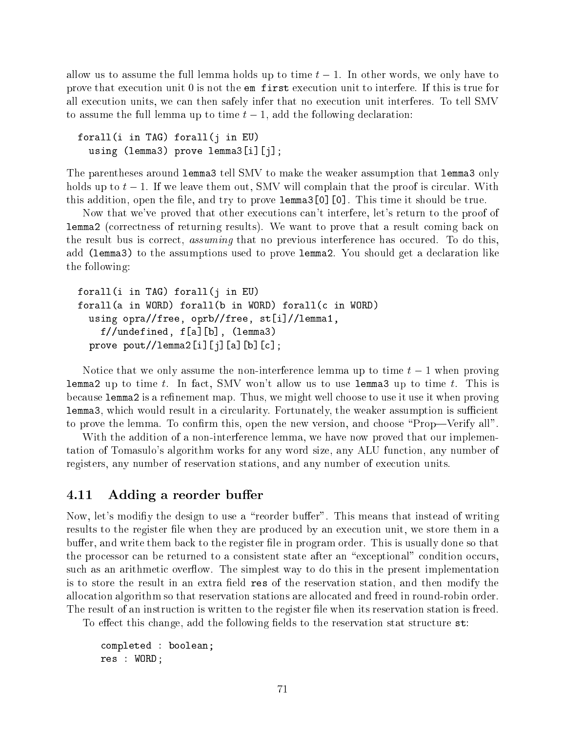allow us to assume the full lemma holds up to time  $t - 1$ . In other words, we only have to prove that execution unit 0 is not the em first execution unit to interfere. If this is true for all execution units, we can then safely infer that no execution unit interferes. To tell SMV to assume the full lemma up to time  $t-1$ , add the following declaration:

```
forall(i in TAG) forall(j in EU)
  using (lemma3) prove lemma3[i][j];
```
The parentheses around lemma3 tell SMV to make the weaker assumption that lemma3 only holds up to  $t - 1$ . If we leave them out, SMV will complain that the proof is circular. With this addition, open the file, and try to prove lemma3[0][0]. This time it should be true.

Now that we've proved that other executions can't interfere, let's return to the proof of lemma2 (correctness of returning results). We want to prove that a result coming back on the result bus is correct, assuming that no previous interference has occured. To do this, add (lemma3) to the assumptions used to prove lemma2. You should get a declaration like the following:

```
forall(i in TAG) forall(j in EU)
forall(a in WORD) forall(b in WORD) forall(c in WORD)
  using opra//free, oprb//free, st[i]//lemma1,
    f//undefined, f[a][b], (lemma3)
  prove \text{pout//lemma2[i][j][a][b][c];}
```
Notice that we only assume the non-interference lemma up to time  $t-1$  when proving **lemma2** up to time t. In fact, SMV won't allow us to use **lemma3** up to time t. This is because lemma2 is a refinement map. Thus, we might well choose to use it use it when proving lemma3, which would result in a circularity. Fortunately, the weaker assumption is sufficient to prove the lemma. To confirm this, open the new version, and choose "Prop—Verify all".

With the addition of a non-interference lemma, we have now proved that our implementation of Tomasulo's algorithm works for any word size, any ALU function, any number of registers, any number of reservation stations, and any number of execution units.

### 4.11 Adding a reorder buffer

Now, let's modifiy the design to use a "reorder buffer". This means that instead of writing results to the register file when they are produced by an execution unit, we store them in a buffer, and write them back to the register file in program order. This is usually done so that the processor can be returned to a consistent state after an "exceptional" condition occurs. such as an arithmetic overflow. The simplest way to do this in the present implementation is to store the result in an extra field res of the reservation station, and then modify the allocation algorithm so that reservation stations are allocated and freed in round-robin order. The result of an instruction is written to the register file when its reservation station is freed.

To effect this change, add the following fields to the reservation stat structure  $st$ :

completed : boolean; res : WORD;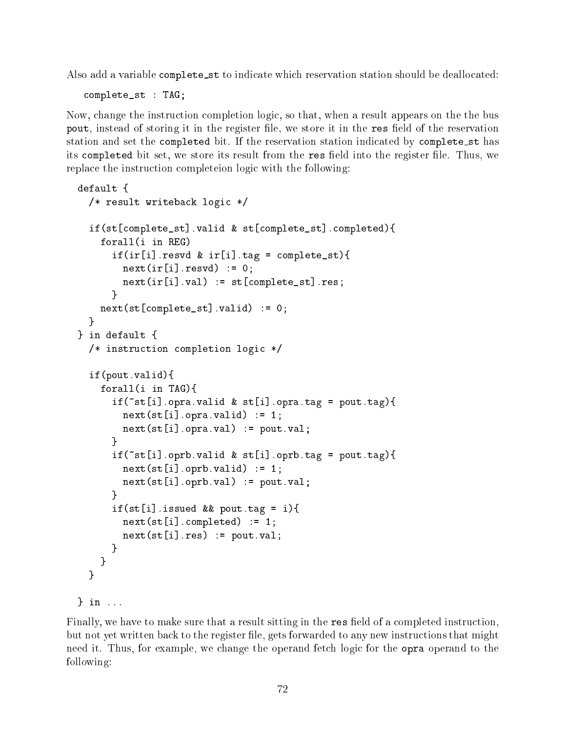Also add a variable complete st to indicate which reservation station should be deallocated:

complete\_st : TAG;

} in ...

Now, change the instruction completion logic, so that, when a result appears on the the bus pout, instead of storing it in the register file, we store it in the res field of the reservation station and set the completed bit. If the reservation station indicated by complete st has its completed bit set, we store its result from the res field into the register file. Thus, we replace the instruction completeion logic with the following:

```
default {
\ddot{\phantom{a}} and \ddot{\phantom{a}} and \ddot{\phantom{a}}/* result writeback logic */
  if(st[complete_st].valid & st[complete_st].completed){
    forall(i in REG)
       if (ir[i].result \& if [i].tag = complete_st){
         next(ir[i].resvd) := 0;next(ir[i].val) := st[complete_st].res;J.
       }
    next(st[complete_st].valid) := 0;
  \mathbf{r}}
} in default {
  /* instruction completion logic */
  if(pout.valid){
    forall(i in TAG){
       if("st[i].opra.valid & st[i].opra.tag = pout.tag){
         next(st[i].opra.valid) := 1;next(st[i].opra.val) := pour.val;λ
       }
       if("st[i].oprb.valid & st[i].oprb.tag = pout.tag){
         next(st[i].oprb.valid) := 1;next(st[i].oprb.val) := pour.val;J.
       }
       if(st[i].is sued \& pour.tag = i){
         next(st[i].completed) := 1;next(st[i].res) := \text{pout.val};<sup>}</sup>
       }
    }
  }
\} in ...
```
Finally, we have to make sure that a result sitting in the res field of a completed instruction, but not yet written back to the register file, gets forwarded to any new instructions that might need it. Thus, for example, we change the operand fetch logic for the opra operand to the following: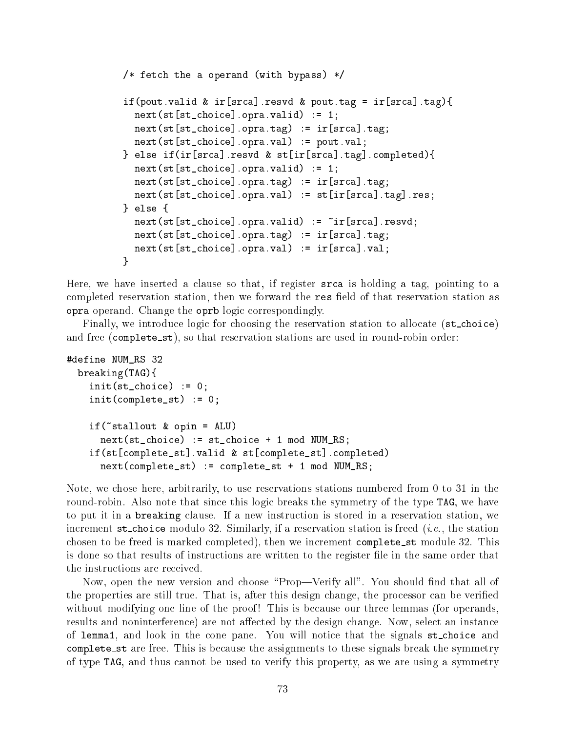```
/* fetch the a operand (with bypass) */if(pout.valid & ir[srca].resvd & pout.tag = ir[srca].tag){
  next(st[st{\_}choice] .opra.valid) := 1;next(st[st{\_}choice] .opra.tag) := ir[srca] .tag;next(st[st_choice].opra.val) := pout.val;
} else if(ir[srca].resvd & st[ir[srca].tag].completed){
  next(st[st{\_}choice] .opra.valid) := 1;next(st[st{\_}choice] .opra.tag) := ir[srca].tag;next(st[st_choice].opra.val) := st[ir[srca].tag].res;
} else {
  next(st[st\_choice] .opra.valaid) := \tilde{r}[srca].resvd;next(st[st{\_}choice] .opra.tag) := ir[srca] .tag;next(st[st_choice].opra.val) := ir[srca].val;
ł
}
```
Here, we have inserted a clause so that, if register srca is holding a tag, pointing to a completed reservation station, then we forward the res field of that reservation station as opra operand. Change the oprb logic correspondingly.

Finally, we introduce logic for choosing the reservation station to allocate (st\_choice) and free (complete\_st), so that reservation stations are used in round-robin order:

```
#define NUM_RS 32
  breaking(TAG){
    init(st{\_}choice) := 0;init(complete_st) := 0;
    if('stallout & opin = ALU)next(st{\_}choice) := st{\_}choice + 1 mod NUM\_RS;if(st[complete_st].valid & st[complete_st].completed)
      next(complete_st) := complete_st + 1 mod NUM\_RS;
```
Note, we chose here, arbitrarily, to use reservations stations numbered from 0 to 31 in the round-robin. Also note that since this logic breaks the symmetry of the type TAG, we have to put it in a breaking clause. If a new instruction is stored in a reservation station, we increment  $st\_choice$  modulo 32. Similarly, if a reservation station is freed (*i.e.*, the station chosen to be freed is marked completed), then we increment complete\_st module 32. This is done so that results of instructions are written to the register le in the same order that the instructions are received.

Now, open the new version and choose "Prop—Verify all". You should find that all of the properties are still true. That is, after this design change, the processor can be veried without modifying one line of the proof! This is because our three lemmas (for operands, results and noninterference) are not affected by the design change. Now, select an instance of lemma1, and look in the cone pane. You will notice that the signals st choice and complete\_st are free. This is because the assignments to these signals break the symmetry of type TAG, and thus cannot be used to verify this property, as we are using a symmetry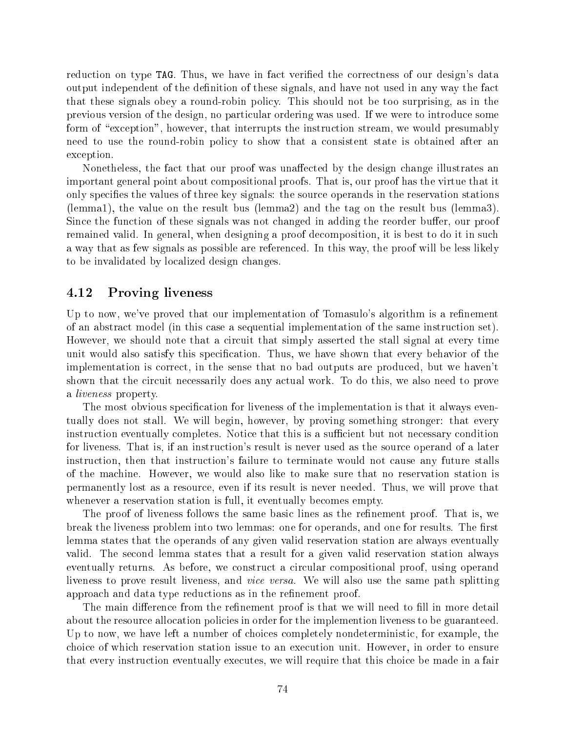reduction on type TAG. Thus, we have in fact verified the correctness of our design's data output independent of the definition of these signals, and have not used in any way the fact that these signals obey a round-robin policy. This should not be too surprising, as in the previous version of the design, no particular ordering was used. If we were to introduce some form of "exception", however, that interrupts the instruction stream, we would presumably need to use the round-robin policy to show that a consistent state is obtained after an exception.

Nonetheless, the fact that our proof was unaffected by the design change illustrates an important general point about compositional proofs. That is, our proof has the virtue that it only species the values of three key signals: the source operands in the reservation stations (lemma1), the value on the result bus (lemma2) and the tag on the result bus (lemma3). Since the function of these signals was not changed in adding the reorder buffer, our proof remained valid. In general, when designing a proof decomposition, it is best to do it in such a way that as few signals as possible are referenced. In this way, the proof will be less likely to be invalidated by localized design changes.

### 4.12 Proving liveness

Up to now, we've proved that our implementation of Tomasulo's algorithm is a refinement of an abstract model (in this case a sequential implementation of the same instruction set). However, we should note that a circuit that simply asserted the stall signal at every time unit would also satisfy this specication. Thus, we have shown that every behavior of the implementation is correct, in the sense that no bad outputs are produced, but we haven't shown that the circuit necessarily does any actual work. To do this, we also need to prove a liveness property.

The most obvious specification for liveness of the implementation is that it always eventually does not stall. We will begin, however, by proving something stronger: that every instruction eventually completes. Notice that this is a sufficient but not necessary condition for liveness. That is, if an instruction's result is never used as the source operand of a later instruction, then that instruction's failure to terminate would not cause any future stalls of the machine. However, we would also like to make sure that no reservation station is permanently lost as a resource, even if its result is never needed. Thus, we will prove that whenever a reservation station is full, it eventually becomes empty.

The proof of liveness follows the same basic lines as the refinement proof. That is, we break the liveness problem into two lemmas: one for operands, and one for results. The first lemma states that the operands of any given valid reservation station are always eventually valid. The second lemma states that a result for a given valid reservation station always eventually returns. As before, we construct a circular compositional proof, using operand liveness to prove result liveness, and vice versa. We will also use the same path splitting approach and data type reductions as in the refinement proof.

The main difference from the refinement proof is that we will need to fill in more detail about the resource allocation policies in order for the implemention liveness to be guaranteed. Up to now, we have left a number of choices completely nondeterministic, for example, the choice of which reservation station issue to an execution unit. However, in order to ensure that every instruction eventually executes, we will require that this choice be made in a fair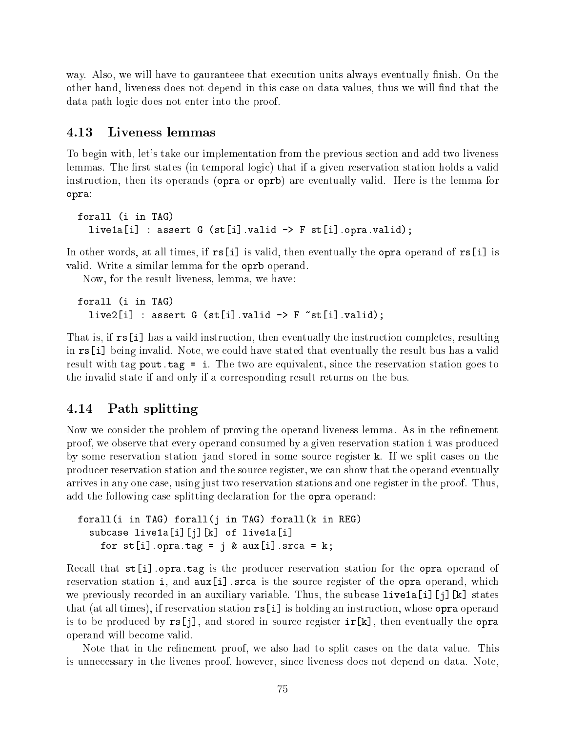way. Also, we will have to gauranteee that execution units always eventually finish. On the other hand, liveness does not depend in this case on data values, thus we will find that the data path logic does not enter into the proof.

#### 4.13 Liveness lemmas

To begin with, let's take our implementation from the previous section and add two liveness lemmas. The first states (in temporal logic) that if a given reservation station holds a valid instruction, then its operands (opra or oprb) are eventually valid. Here is the lemma for opra:

```
forall (i in TAG)
  live1a[i] : assert G (st[i].valid \rightarrow F st[i].opra.valid);
```
In other words, at all times, if  $rs[i]$  is valid, then eventually the opra operand of  $rs[i]$  is valid. Write a similar lemma for the oprb operand.

Now, for the result liveness, lemma, we have:

```
forall (i in TAG)
  live2[i] : assert G (st[i].valid \rightarrow F \tilde{ }st[i].valid);
```
That is, if rs[i] has a vaild instruction, then eventually the instruction completes, resulting in rs[i] being invalid. Note, we could have stated that eventually the result bus has a valid result with tag pout. tag = i. The two are equivalent, since the reservation station goes to the invalid state if and only if a corresponding result returns on the bus.

#### 4.14 Path splitting

Now we consider the problem of proving the operand liveness lemma. As in the refinement proof, we observe that every operand consumed by a given reservation station i was produced by some reservation station jand stored in some source register k. If we split cases on the producer reservation station and the source register, we can show that the operand eventually arrives in any one case, using just two reservation stations and one register in the proof. Thus, add the following case splitting declaration for the opra operand:

```
forall(i in TAG) forall(j in TAG) forall(k in REG)
  subcase live1a[i][j][k] of live1a[i]
    for st[i].opra.tag = j & aux[i].srca = k;
```
Recall that  $st[i]$ . opra. tag is the producer reservation station for the opra operand of reservation station i, and  $aux[i]$ . srca is the source register of the opra operand, which we previously recorded in an auxiliary variable. Thus, the subcase  $livela[i][i][k]$  states that (at all times), if reservation station rs[i] is holding an instruction, whose opra operand is to be produced by  $\text{rs}[j]$ , and stored in source register  $\text{ir}[k]$ , then eventually the opra operand will become valid.

Note that in the refinement proof, we also had to split cases on the data value. This is unnecessary in the livenes proof, however, since liveness does not depend on data. Note,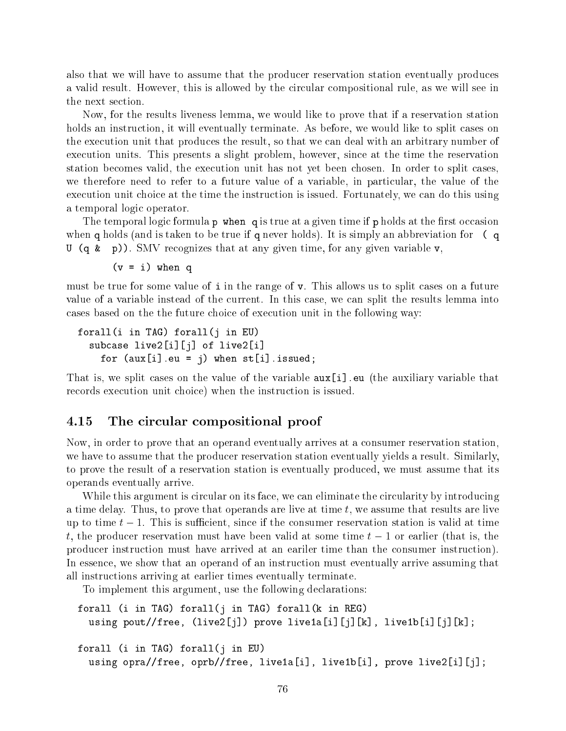also that we will have to assume that the producer reservation station eventually produces a valid result. However, this is allowed by the circular compositional rule, as we will see in the next section.

Now, for the results liveness lemma, we would like to prove that if a reservation station holds an instruction, it will eventually terminate. As before, we would like to split cases on the execution unit that produces the result, so that we can deal with an arbitrary number of execution units. This presents a slight problem, however, since at the time the reservation station becomes valid, the execution unit has not yet been chosen. In order to split cases, we therefore need to refer to a future value of a variable, in particular, the value of the execution unit choice at the time the instruction is issued. Fortunately, we can do this using a temporal logic operator.

The temporal logic formula  $p \text{ when } q$  is true at a given time if p holds at the first occasion when q holds (and is taken to be true if q never holds). It is simply an abbreviation for (q U (q  $\&$  p)). SMV recognizes that at any given time, for any given variable v,

 $(v = i)$  when q

must be true for some value of i in the range of v. This allows us to split cases on a future value of a variable instead of the current. In this case, we can split the results lemma into cases based on the the future choice of execution unit in the following way:

```
forall(i in TAG) forall(j in EU)
  subcase live2[i][j] of live2[i]
    for (aux[i].eu = j) when st[i].is sued;
```
That is, we split cases on the value of the variable aux[i].eu (the auxiliary variable that records execution unit choice) when the instruction is issued.

#### 4.15 The circular compositional proof

Now, in order to prove that an operand eventually arrives at a consumer reservation station, we have to assume that the producer reservation station eventually yields a result. Similarly, to prove the result of a reservation station is eventually produced, we must assume that its operands eventually arrive.

While this argument is circular on its face, we can eliminate the circularity by introducing a time delay. Thus, to prove that operands are live at time  $t$ , we assume that results are live up to time  $t - 1$ . This is sufficient, since if the consumer reservation station is valid at time t, the producer reservation must have been valid at some time  $t-1$  or earlier (that is, the producer instruction must have arrived at an eariler time than the consumer instruction). In essence, we show that an operand of an instruction must eventually arrive assuming that all instructions arriving at earlier times eventually terminate.

To implement this argument, use the following declarations:

```
forall (i in TAG) forall(j in TAG) forall(k in REG)
  using pout//free, (live2[j]) prove live1a[i][j][k], live1b[i][j][k];
forall (i in TAG) forall(j in EU)
  using opra//free, oprb//free, live1a[i], live1b[i], prove live2[i][j];
```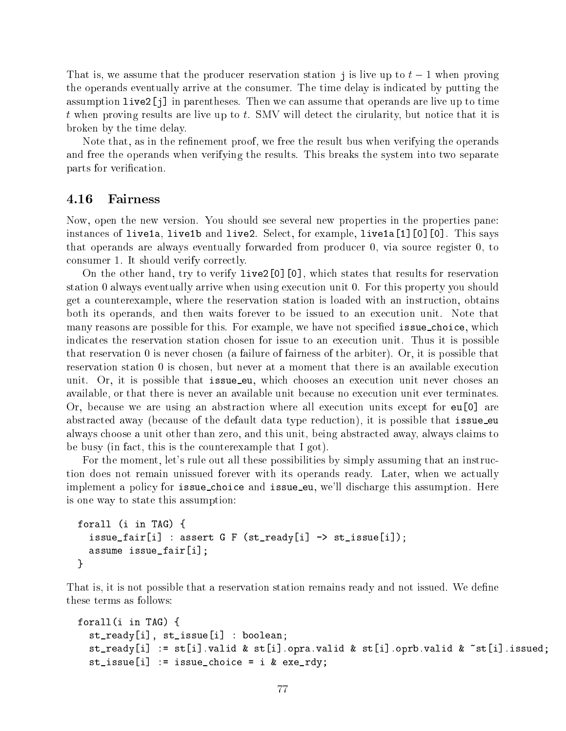That is, we assume that the producer reservation station j is live up to  $t-1$  when proving the operands eventually arrive at the consumer. The time delay is indicated by putting the assumption live2[j] in parentheses. Then we can assume that operands are live up to time t when proving results are live up to t. SMV will detect the cirularity, but notice that it is broken by the time delay.

Note that, as in the refinement proof, we free the result bus when verifying the operands and free the operands when verifying the results. This breaks the system into two separate parts for verification.

#### 4.16 Fairness

Now, open the new version. You should see several new properties in the properties pane: instances of live1a, live1b and live2. Select, for example, live1a[1][0][0]. This says that operands are always eventually forwarded from producer 0, via source register 0, to consumer 1. It should verify correctly.

On the other hand, try to verify live2[0][0], which states that results for reservation station 0 always eventually arrive when using execution unit 0. For this property you should get a counterexample, where the reservation station is loaded with an instruction, obtains both its operands, and then waits forever to be issued to an execution unit. Note that many reasons are possible for this. For example, we have not specified issue-choice, which indicates the reservation station chosen for issue to an execution unit. Thus it is possible that reservation 0 is never chosen (a failure of fairness of the arbiter). Or, it is possible that reservation station 0 is chosen, but never at a moment that there is an available execution unit. Or, it is possible that issue eu, which chooses an execution unit never choses an available, or that there is never an available unit because no execution unit ever terminates. Or, because we are using an abstraction where all execution units except for eu[0] are abstracted away (because of the default data type reduction), it is possible that issue eu always choose a unit other than zero, and this unit, being abstracted away, always claims to be busy (in fact, this is the counterexample that I got).

For the moment, let's rule out all these possibilities by simply assuming that an instruction does not remain unissued forever with its operands ready. Later, when we actually implement a policy for issue\_choice and issue\_eu, we'll discharge this assumption. Here is one way to state this assumption:

```
forall (i in TAG) {
  issue_fair[i] : assert G F (st_ready[i] -> st_issue[i]);
  assume issue_fair[i];
}
```
That is, it is not possible that a reservation station remains ready and not issued. We define these terms as follows:

```
forall(i in TAG) {
  st_ready[i], st_issue[i] : boolean;
  st_ready[i] := st[i].valid & st[i].opra.valid & st[i].oprb.valid & ~st[i].issued;
  st_issue[i] := issue_choice = i & exe_rdy;
```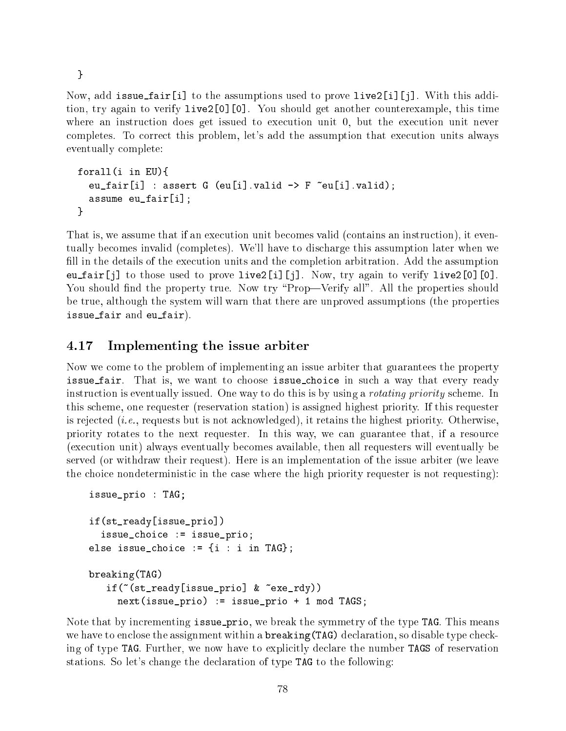}

Now, add issue fair[i] to the assumptions used to prove live2[i][j]. With this addition, try again to verify live2[0][0]. You should get another counterexample, this time where an instruction does get issued to execution unit 0, but the execution unit never completes. To correct this problem, let's add the assumption that execution units always eventually complete:

```
forall(i in EU){
  eu_fair[i] : assert G (eu[i].valid \rightarrow F \tilde{G} eu[i].valid);
  assume eu_fair[i];
}
```
That is, we assume that if an execution unit becomes valid (contains an instruction), it eventually becomes invalid (completes). We'll have to discharge this assumption later when we fill in the details of the execution units and the completion arbitration. Add the assumption eu fair[j] to those used to prove live2[i][j]. Now, try again to verify live2[0][0]. You should find the property true. Now try "Prop—Verify all". All the properties should be true, although the system will warn that there are unproved assumptions (the properties issue fair and eu fair).

# 4.17 Implementing the issue arbiter

Now we come to the problem of implementing an issue arbiter that guarantees the property issue fair. That is, we want to choose issue choice in such a way that every ready instruction is eventually issued. One way to do this is by using a *rotating priority* scheme. In this scheme, one requester (reservation station) is assigned highest priority. If this requester is rejected (*i.e.*, requests but is not acknowledged), it retains the highest priority. Otherwise, priority rotates to the next requester. In this way, we can guarantee that, if a resource (execution unit) always eventually becomes available, then all requesters will eventually be served (or withdraw their request). Here is an implementation of the issue arbiter (we leave the choice nondeterministic in the case where the high priority requester is not requesting):

```
issue_prio : TAG;
if(st_ready[issue_prio])
  issue_choice := issue_prio;
else issue_choice := \{i : i \in \texttt{Ind}\};
breaking(TAG)
   if(~(st_ready[issue_prio] & ~exe_rdy))
     next(issue_prio) := issue_prio + 1 mod TAGS;
```
Note that by incrementing issue prio, we break the symmetry of the type TAG. This means we have to enclose the assignment within a **breaking(TAG)** declaration, so disable type checking of type TAG. Further, we now have to explicitly declare the number TAGS of reservation stations. So let's change the declaration of type TAG to the following: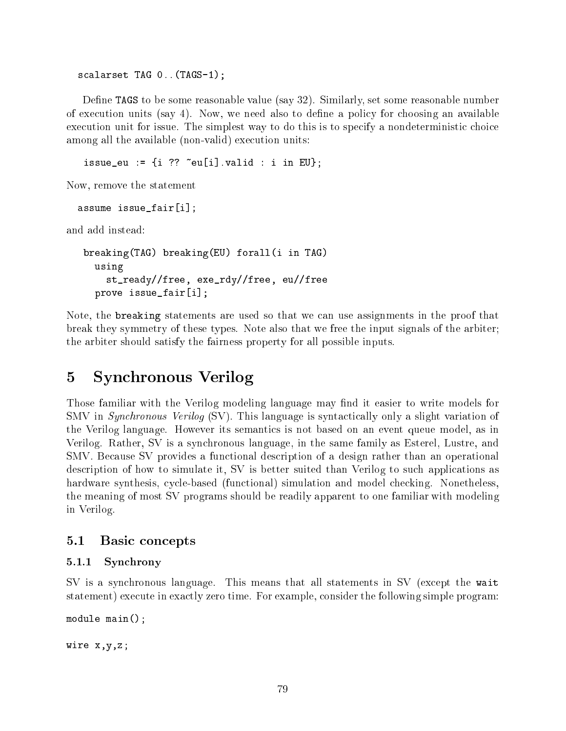scalarset TAG 0.. (TAGS-1);

Define TAGS to be some reasonable value (say 32). Similarly, set some reasonable number of execution units (say 4). Now, we need also to define a policy for choosing an available execution unit for issue. The simplest way to do this is to specify a nondeterministic choice among all the available (non-valid) execution units:

issue\_eu :=  $\{i$  ??  $\tilde{e}$  =  $[i]$ . valid : i in EU};

Now, remove the statement

assume issue\_fair[i];

and add instead:

```
breaking(TAG) breaking(EU) forall(i in TAG)
  using
    st_ready//free, exe_rdy//free, eu//free
  prove issue_fair[i];
```
Note, the breaking statements are used so that we can use assignments in the proof that break they symmetry of these types. Note also that we free the input signals of the arbiter; the arbiter should satisfy the fairness property for all possible inputs.

# Synchronous Verilog

Those familiar with the Verilog modeling language may find it easier to write models for SMV in Synchronous Verilog (SV). This language is syntactically only a slight variation of the Verilog language. However its semantics is not based on an event queue model, as in Verilog. Rather, SV is a synchronous language, in the same family as Esterel, Lustre, and SMV. Because SV provides a functional description of a design rather than an operational description of how to simulate it, SV is better suited than Verilog to such applications as hardware synthesis, cycle-based (functional) simulation and model checking. Nonetheless, the meaning of most SV programs should be readily apparent to one familiar with modeling in Verilog.

## 5.1 Basic concepts

#### 5.1.1 Synchrony

SV is a synchronous language. This means that all statements in SV (except the wait statement) execute in exactly zero time. For example, consider the following simple program:

module main();

wire x,y,z;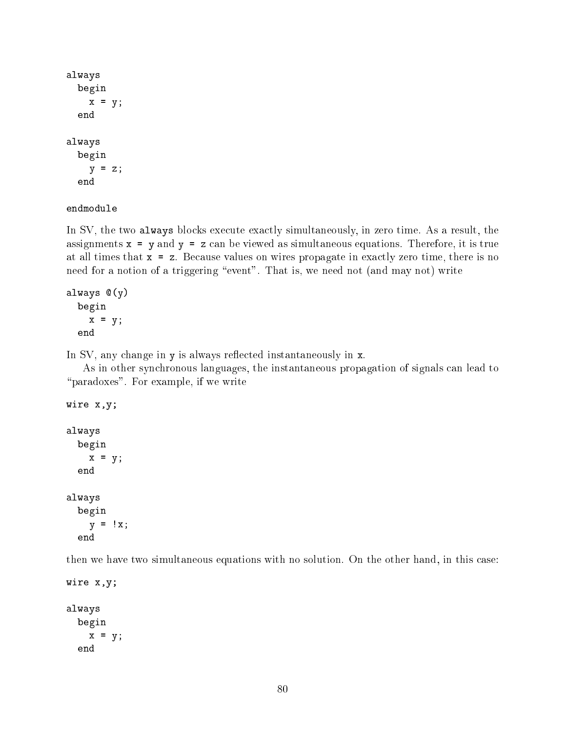```
always
  begin
    x = y;end
always
  begin
    y = z;end
```
endmodule

In SV, the two always blocks execute exactly simultaneously, in zero time. As a result, the assignments  $x = y$  and  $y = z$  can be viewed as simultaneous equations. Therefore, it is true at all times that  $x = z$ . Because values on wires propagate in exactly zero time, there is no need for a notion of a triggering "event". That is, we need not (and may not) write

```
always @(y)
  begin
    x = y;end
```
In SV, any change in y is always reflected instantaneously in x.

As in other synchronous languages, the instantaneous propagation of signals can lead to "paradoxes". For example, if we write

```
wire x,y;
always
  begin
    x = y;end
always
  begin
    y = \pm x;end
```
then we have two simultaneous equations with no solution. On the other hand, in this case:

```
wire x,y;
always
  begin
    x = y;end
```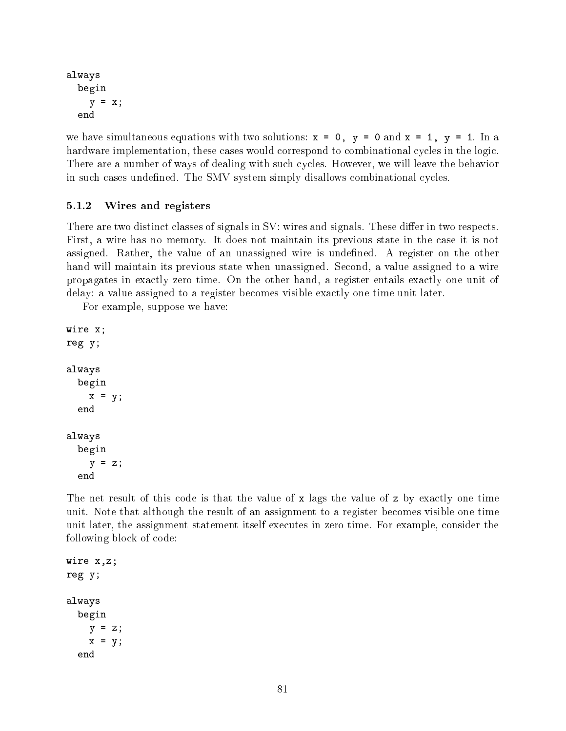```
always
  begin
    y = x;
```
we have simultaneous equations with two solutions:  $x = 0$ ,  $y = 0$  and  $x = 1$ ,  $y = 1$ . In a hardware implementation, these cases would correspond to combinational cycles in the logic. There are a number of ways of dealing with such cycles. However, we will leave the behavior in such cases undefined. The SMV system simply disallows combinational cycles.

## 5.1.2 Wires and registers

There are two distinct classes of signals in SV: wires and signals. These differ in two respects. First, a wire has no memory. It does not maintain its previous state in the case it is not assigned. Rather, the value of an unassigned wire is undefined. A register on the other hand will maintain its previous state when unassigned. Second, a value assigned to a wire propagates in exactly zero time. On the other hand, a register entails exactly one unit of delay: a value assigned to a register becomes visible exactly one time unit later.

For example, suppose we have:

```
wire x;
reg y;
always
  begin
    x = y;end
always
  begin
    y = z;end
```
The net result of this code is that the value of x lags the value of z by exactly one time unit. Note that although the result of an assignment to a register becomes visible one time unit later, the assignment statement itself executes in zero time. For example, consider the following block of code:

```
wire x,z;
reg y;
always
  begin
    y = z;x = y;end
```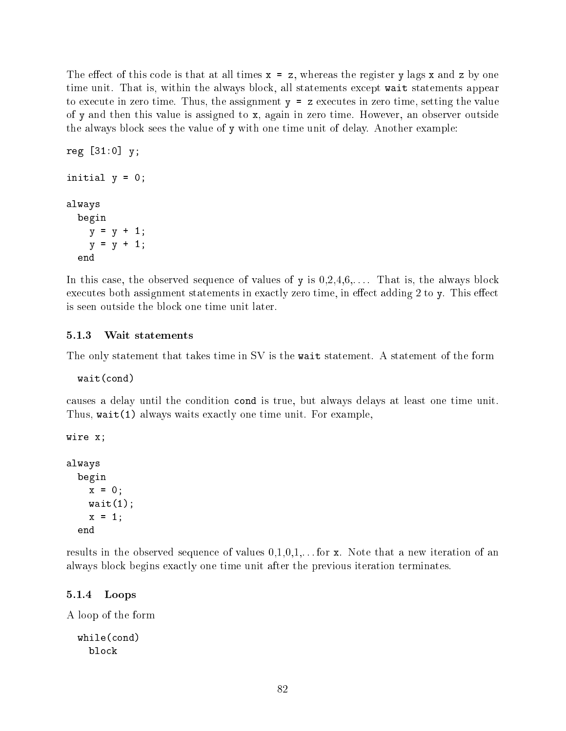The effect of this code is that at all times  $x = z$ , whereas the register y lags x and z by one time unit. That is, within the always block, all statements except wait statements appear to execute in zero time. Thus, the assignment  $y = z$  executes in zero time, setting the value of y and then this value is assigned to x, again in zero time. However, an observer outside the always block sees the value of y with one time unit of delay. Another example:

```
reg [31:0] y;
initial y = 0;
always
  begin
    y = y + 1;y = y + 1;
  end
```
In this case, the observed sequence of values of y is  $0,2,4,6,\ldots$ . That is, the always block executes both assignment statements in exactly zero time, in effect adding 2 to y. This effect is seen outside the block one time unit later.

#### 5.1.3 Wait statements

The only statement that takes time in SV is the wait statement. A statement of the form

wait(cond)

causes a delay until the condition cond is true, but always delays at least one time unit. Thus, wait(1) always waits exactly one time unit. For example,

```
wire x;
always
  begin
    x = 0;
    wait(1);
    x = 1;end
```
results in the observed sequence of values  $0,1,0,1,\ldots$  for x. Note that a new iteration of an always block begins exactly one time unit after the previous iteration terminates.

#### 5.1.4 Loops

A loop of the form

```
while(cond)
  block
```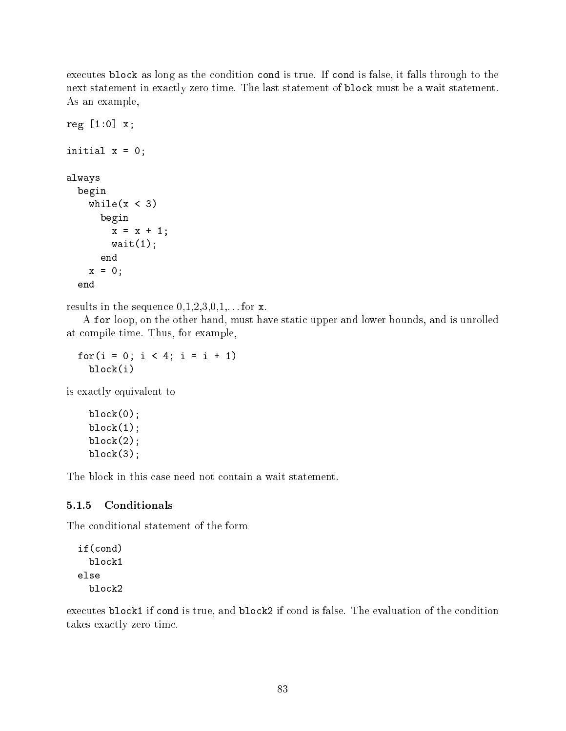executes block as long as the condition cond is true. If cond is false, it falls through to the next statement in exactly zero time. The last statement of block must be a wait statement. As an example,

```
reg [1:0] x;
initial x = 0;
always
  begin
    while(x < 3)
      begin
        x = x + 1;wait(1);end
    x = 0;end
```
results in the sequence  $0,1,2,3,0,1,...$  for x.

A for loop, on the other hand, must have static upper and lower bounds, and is unrolled at compile time. Thus, for example,

for( $i = 0$ ;  $i < 4$ ;  $i = i + 1$ ) block(i)

is exactly equivalent to

 $block(0);$  $block(1);$  $block(2);$  $block(3);$ 

The block in this case need not contain a wait statement.

#### 5.1.5 Conditionals

The conditional statement of the form

```
if(cond)
  block1
else
  block2
```
executes block1 if cond is true, and block2 if cond is false. The evaluation of the condition takes exactly zero time.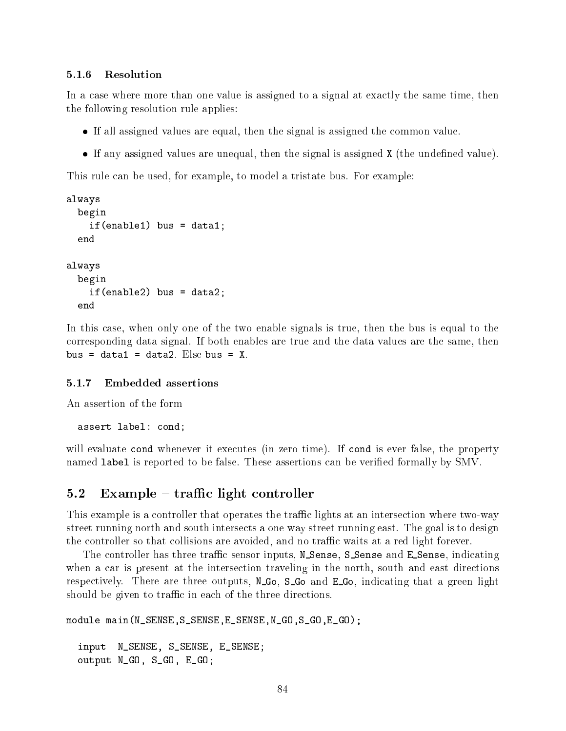#### 5.1.6 Resolution

In a case where more than one value is assigned to a signal at exactly the same time, then the following resolution rule applies:

- If all assigned values are equal, then the signal is assigned the common value.
- If any assigned values are unequal, then the signal is assigned X (the undened value).

This rule can be used, for example, to model a tristate bus. For example:

```
always
  begin
    if(enable1) bus = data1;
always
  begin
    if(enable2) bus = data2;
  end
```
In this case, when only one of the two enable signals is true, then the bus is equal to the corresponding data signal. If both enables are true and the data values are the same, then bus = data1 = data2. Else bus =  $X$ .

An assertion of the form

assert label: cond;

will evaluate cond whenever it executes (in zero time). If cond is ever false, the property named label is reported to be false. These assertions can be veried formally by SMV.

#### $5.2$  Example – traffic light controller

This example is a controller that operates the traffic lights at an intersection where two-way street running north and south intersects a one-way street running east. The goal is to design the controller so that collisions are avoided, and no traffic waits at a red light forever.

The controller has three traffic sensor inputs, N\_Sense, S\_Sense and E\_Sense, indicating when a car is present at the intersection traveling in the north, south and east directions respectively. There are three outputs, N<sub>-Go</sub>, S<sub>-Go</sub> and E<sub>-Go</sub>, indicating that a green light should be given to traffic in each of the three directions.

```
module main(N_SENSE,S_SENSE,E_SENSE,N_GO,S_GO,E_GO);
 input N_SENSE, S_SENSE, E_SENSE;
  output N_GO, S_GO, E_GO;
```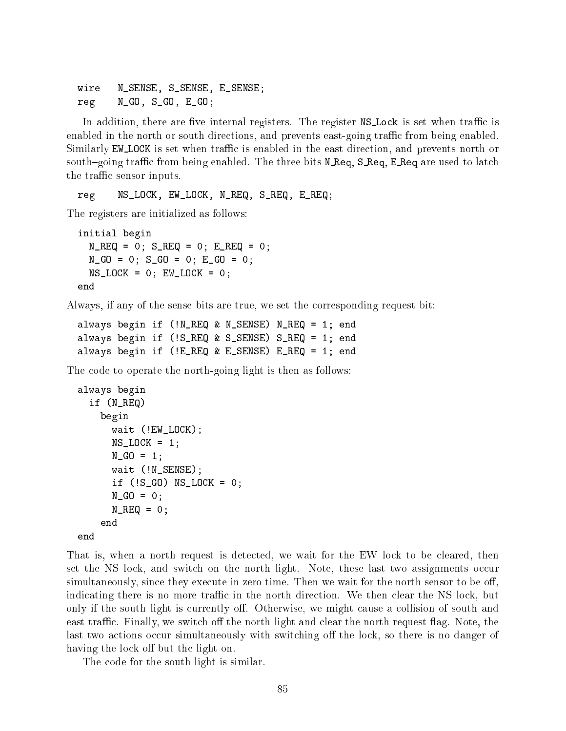wire N\_SENSE, S\_SENSE, E\_SENSE; reg N\_GO, S\_GO, E\_GO;

In addition, there are five internal registers. The register  $NSLock$  is set when traffic is enabled in the north or south directions, and prevents east-going traffic from being enabled. Similarly EW\_LOCK is set when traffic is enabled in the east direction, and prevents north or south-going traffic from being enabled. The three bits N Req, S Req, E Req are used to latch the traffic sensor inputs.

reg NS\_LOCK, EW\_LOCK, N\_REQ, S\_REQ, E\_REQ;

The registers are initialized as follows:

```
initial begin
  N_{R}ERQ = 0; S_{R}ERQ = 0; E_{R}ERQ = 0;
  N_GO = 0; S_GO = 0; E_GO = 0;
  NS\_LOCK = 0; EW\_LOCK = 0;
end
```
Always, if any of the sense bits are true, we set the corresponding request bit:

```
always begin if (!N_REQ & N_SENSE) N_REQ = 1; end
always begin if (!S_REQ & S_SENSE) S_REQ = 1; end
always begin if (!E_REQ & E_SENSE) E_REQ = 1; end
```
The code to operate the north-going light is then as follows:

```
always begin
  if (N_REQ)
    begin
      wait (!EW_LOCK);
      NS\_LOCK = 1;
      N_GO = 1;wait (!N_SENSE);
      if (!S_GO) NS_LOCK = 0;
      N_GO = 0;N_REQ = 0;
    end
end
```
That is, when a north request is detected, we wait for the EW lock to be cleared, then set the NS lock, and switch on the north light. Note, these last two assignments occur simultaneously, since they execute in zero time. Then we wait for the north sensor to be off. indicating there is no more traffic in the north direction. We then clear the NS lock, but only if the south light is currently off. Otherwise, we might cause a collision of south and east traffic. Finally, we switch off the north light and clear the north request flag. Note, the last two actions occur simultaneously with switching off the lock, so there is no danger of having the lock off but the light on.

The code for the south light is similar.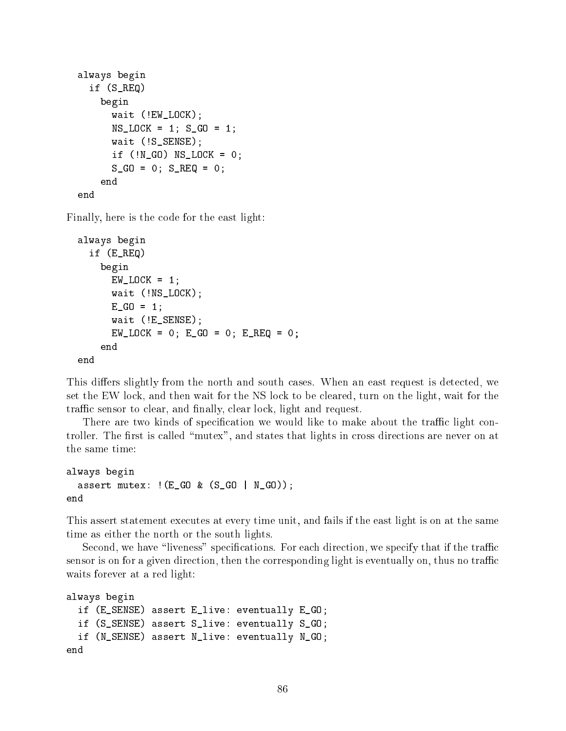```
always begin
  if (S_REQ)
    begin
      wait (!EW_LOCK);
      NS\_LOCK = 1; S_GO = 1;
      wait (!S_SENSE);
      if (\text{N_GO}) NS_LOCK = 0;
      S_GO = 0; S_REQ = 0;
    end
end
```
Finally, here is the code for the east light:

```
always begin
  if (E_REQ)
    begin
      EW\_LOCK = 1;
      wait (!NS_LOCK);
      E_GO = 1;wait (!E_SENSE);
      EW\_LOCK = 0; E_GO = 0; E_REQ = 0;
    end
end
```
This differs slightly from the north and south cases. When an east request is detected, we set the EW lock, and then wait for the NS lock to be cleared, turn on the light, wait for the traffic sensor to clear, and finally, clear lock, light and request.

There are two kinds of specification we would like to make about the traffic light controller. The first is called "mutex", and states that lights in cross directions are never on at the same time:

```
always begin
  assert mutex: !(E_G0 \& (S_G0 \mid N_G0));end
```
This assert statement executes at every time unit, and fails if the east light is on at the same time as either the north or the south lights.

Second, we have "liveness" specifications. For each direction, we specify that if the traffic sensor is on for a given direction, then the corresponding light is eventually on, thus no traffic waits forever at a red light:

```
always begin
  if (E_SENSE) assert E_live: eventually E_GO;
  if (S_SENSE) assert S_live: eventually S_GO;
  if (N_SENSE) assert N_live: eventually N_GO;
end
```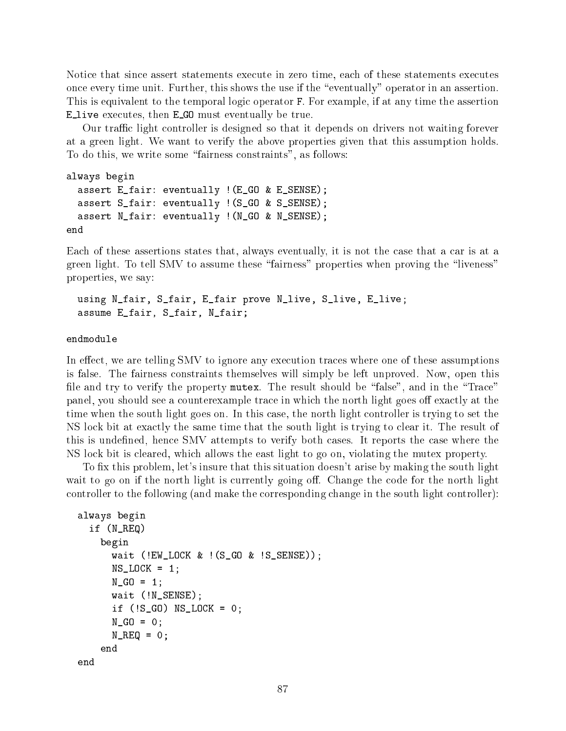Notice that since assert statements execute in zero time, each of these statements executes once every time unit. Further, this shows the use if the "eventually" operator in an assertion. This is equivalent to the temporal logic operator F. For example, if at any time the assertion E live executes, then <sup>E</sup> GO must eventually be true.

Our traffic light controller is designed so that it depends on drivers not waiting forever at a green light. We want to verify the above properties given that this assumption holds. To do this, we write some "fairness constraints", as follows:

```
always begin
  assert E_fair: eventually !(E_GO & E_SENSE);
  assert S_fair: eventually !(S_GO & S_SENSE);
  assert N_fair: eventually !(N_GO & N_SENSE);
end
```
Each of these assertions states that, always eventually, it is not the case that a car is at a green light. To tell SMV to assume these "fairness" properties when proving the "liveness" properties, we say:

```
using N_fair, S_fair, E_fair prove N_live, S_live, E_live;
assume E_fair, S_fair, N_fair;
```
#### endmodule

In effect, we are telling SMV to ignore any execution traces where one of these assumptions is false. The fairness constraints themselves will simply be left unproved. Now, open this file and try to verify the property mutex. The result should be "false", and in the "Trace" panel, you should see a counterexample trace in which the north light goes off exactly at the time when the south light goes on. In this case, the north light controller is trying to set the NS lock bit at exactly the same time that the south light is trying to clear it. The result of this is undefined, hence SMV attempts to verify both cases. It reports the case where the NS lock bit is cleared, which allows the east light to go on, violating the mutex property.

To fix this problem, let's insure that this situation doesn't arise by making the south light wait to go on if the north light is currently going off. Change the code for the north light controller to the following (and make the corresponding change in the south light controller):

```
always begin
  if (N_REQ)
    begin
      wait (!EW_LOCK & !(S_GO & !S_SENSE));
      NS\_LOCK = 1;
      N_GO = 1;wait (!N_SENSE);
      if (1S_G0) NS_LDCK = 0;
      N_GO = 0;N_REG = 0;
    end
end
```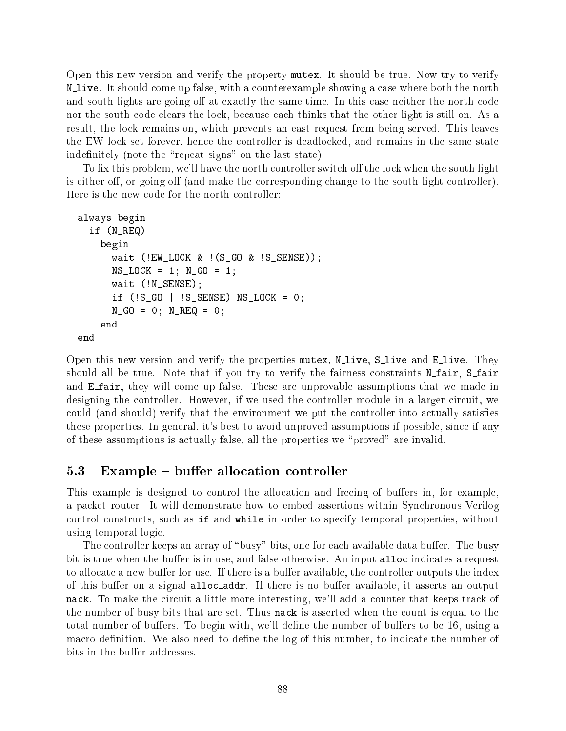Open this new version and verify the property mutex. It should be true. Now try to verify N live. It should come up false, with <sup>a</sup> counterexample showing <sup>a</sup> case where both the north and south lights are going off at exactly the same time. In this case neither the north code nor the south code clears the lock, because each thinks that the other light is still on. As a result, the lock remains on, which prevents an east request from being served. This leaves the EW lock set forever, hence the controller is deadlocked, and remains in the same state indefinitely (note the "repeat signs" on the last state).

To fix this problem, we'll have the north controller switch off the lock when the south light is either off, or going off (and make the corresponding change to the south light controller). Here is the new code for the north controller:

```
always begin
  if (N_REQ)
    begin
      wait (!EW_LOCK \& ! (S_GO \& !S_SENSE));
      NS\_LOCK = 1; N_GO = 1;
      wait (!N_SENSE);
      if (!S_GO | !S_SENSE) NS_LOCK = 0;
      N_GO = 0; N_REQ = 0;
    end
end
```
Open this new version and verify the properties mutex, N<sub>live</sub>, S<sub>live</sub> and E<sub>live</sub>. They should all be true. Note that if you try to verify the fairness constraints N\_fair, S\_fair and **E** fair, they will come up false. These are unprovable assumptions that we made in designing the controller. However, if we used the controller module in a larger circuit, we could (and should) verify that the environment we put the controller into actually satises these properties. In general, it's best to avoid unproved assumptions if possible, since if any of these assumptions is actually false, all the properties we \proved" are invalid.

## $5.3$  Example – buffer allocation controller

This example is designed to control the allocation and freeing of buffers in, for example, a packet router. It will demonstrate how to embed assertions within Synchronous Verilog control constructs, such as if and while in order to specify temporal properties, without using temporal logic.

The controller keeps an array of "busy" bits, one for each available data buffer. The busy bit is true when the buffer is in use, and false otherwise. An input alloc indicates a request to allocate a new buffer for use. If there is a buffer available, the controller outputs the index of this buffer on a signal alloc\_addr. If there is no buffer available, it asserts an output nack. To make the circuit a little more interesting, we'll add a counter that keeps track of the number of busy bits that are set. Thus nack is asserted when the count is equal to the total number of buffers. To begin with, we'll define the number of buffers to be 16, using a macro definition. We also need to define the log of this number, to indicate the number of bits in the buffer addresses.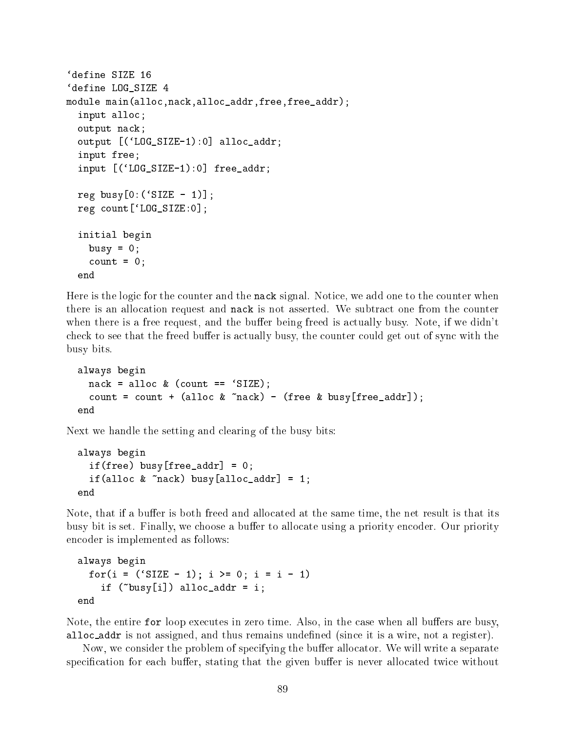```
'define SIZE 16
'define LOG SIZE 4
`define LOG_SIZE 4
module main(alloc,nack,alloc_addr,free,free_addr);
  input alloc;
  output nack;
  output [(`LOG_SIZE-1):0] alloc_addr;
  input free;
  input [(`LOG_SIZE-1):0] free_addr;
  reg busy[0:('SIZE - 1)];
  reg count[`LOG_SIZE:0];
  initial begin
    busy = 0;
    count = 0;end
```
Here is the logic for the counter and the nack signal. Notice, we add one to the counter when there is an allocation request and nack is not asserted. We subtract one from the counter when there is a free request, and the buffer being freed is actually busy. Note, if we didn't check to see that the freed buffer is actually busy, the counter could get out of sync with the busy bits.

```
always begin
  nack = alloc \& (count == 'SIZE);count = count + (alloc \& \infty mack) - (free \& busy[free_addr]);
end
```
Next we handle the setting and clearing of the busy bits:

```
always begin
  if(free) busy[free_addr] = 0;
  if(alloc & "nack) busy[alloc_addr] = 1;
```
Note, that if a buffer is both freed and allocated at the same time, the net result is that its busy bit is set. Finally, we choose a buffer to allocate using a priority encoder. Our priority encoder is implemented as follows:

```
always begin
  for(i = ('SIZE - 1); i >= 0; i = i - 1)if ('busy[i]) alloc_addr = i;
```
Note, the entire for loop executes in zero time. Also, in the case when all buffers are busy, alloc addr is not assigned, and thus remains undened (since it is a wire, not a register).

Now, we consider the problem of specifying the buffer allocator. We will write a separate specification for each buffer, stating that the given buffer is never allocated twice without